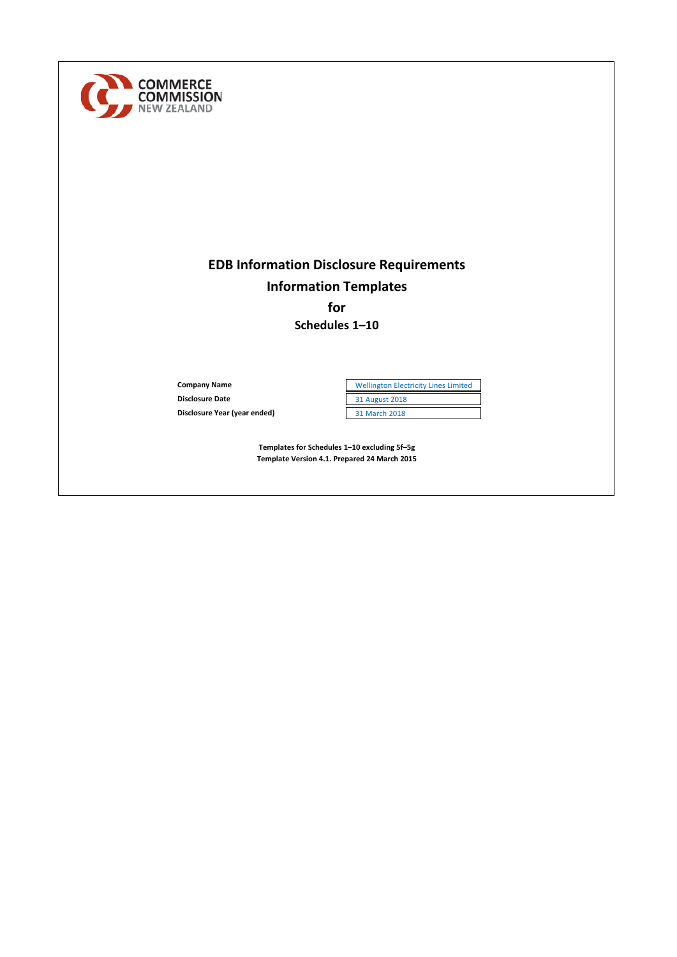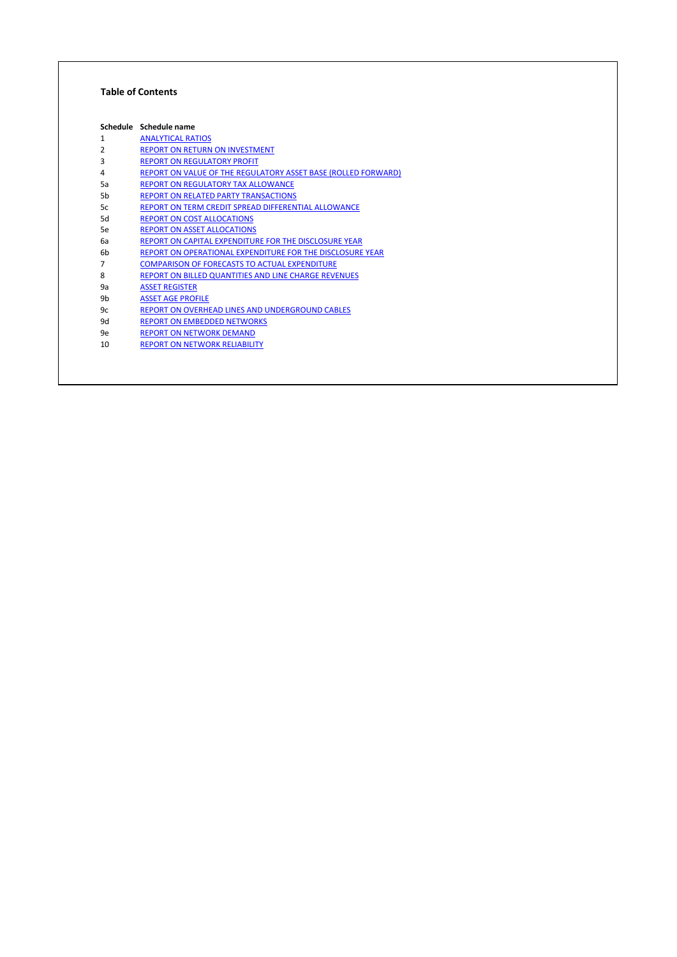#### **Table of Contents**

|    | Schedule Schedule name                                        |
|----|---------------------------------------------------------------|
| 1  | <b>ANALYTICAL RATIOS</b>                                      |
| 2  | <b>REPORT ON RETURN ON INVESTMENT</b>                         |
| 3  | <b>REPORT ON REGULATORY PROFIT</b>                            |
| 4  | REPORT ON VALUE OF THE REGULATORY ASSET BASE (ROLLED FORWARD) |
| 5a | <b>REPORT ON REGULATORY TAX ALLOWANCE</b>                     |
| 5b | <b>REPORT ON RELATED PARTY TRANSACTIONS</b>                   |
| 5c | REPORT ON TERM CREDIT SPREAD DIFFERENTIAL ALLOWANCE           |
| 5d | <b>REPORT ON COST ALLOCATIONS</b>                             |
| 5e | <b>REPORT ON ASSET ALLOCATIONS</b>                            |
| 6а | REPORT ON CAPITAL EXPENDITURE FOR THE DISCLOSURE YEAR         |
| 6b | REPORT ON OPERATIONAL EXPENDITURE FOR THE DISCLOSURE YEAR     |
| 7  | <b>COMPARISON OF FORECASTS TO ACTUAL EXPENDITURE</b>          |
| 8  | REPORT ON BILLED QUANTITIES AND LINE CHARGE REVENUES          |
| 9а | <b>ASSET REGISTER</b>                                         |
| 9b | <b>ASSET AGE PROFILE</b>                                      |
| 9c | REPORT ON OVERHEAD LINES AND UNDERGROUND CABLES               |
| 9d | <b>REPORT ON EMBEDDED NETWORKS</b>                            |
| 9e | <b>REPORT ON NETWORK DEMAND</b>                               |
| 10 | <b>REPORT ON NETWORK RELIABILITY</b>                          |
|    |                                                               |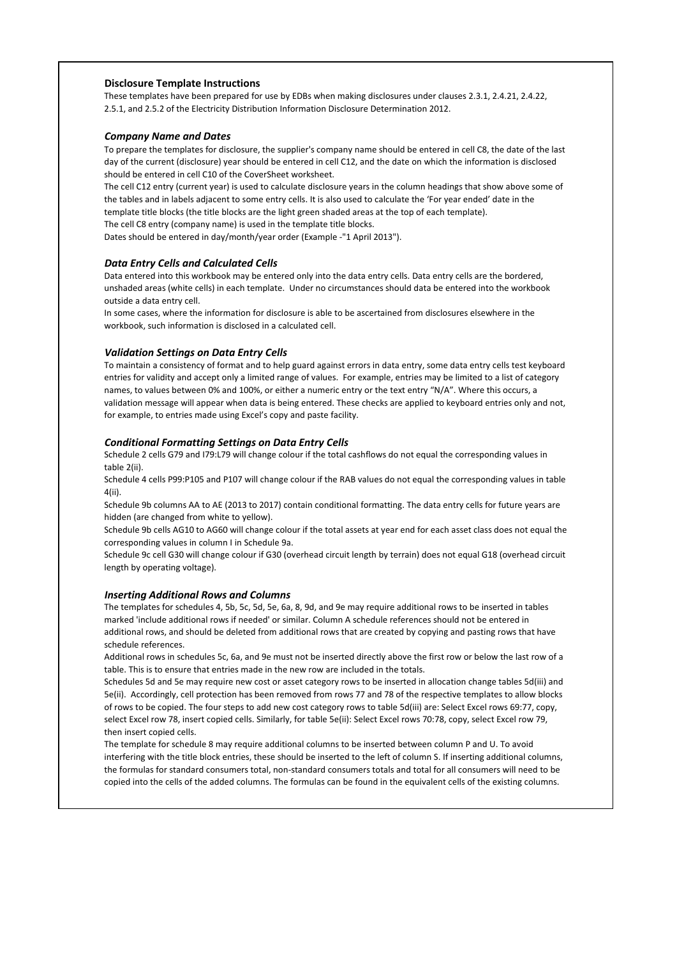#### **Disclosure Template Instructions**

These templates have been prepared for use by EDBs when making disclosures under clauses 2.3.1, 2.4.21, 2.4.22, 2.5.1, and 2.5.2 of the Electricity Distribution Information Disclosure Determination 2012.

#### *Company Name and Dates*

To prepare the templates for disclosure, the supplier's company name should be entered in cell C8, the date of the last day of the current (disclosure) year should be entered in cell C12, and the date on which the information is disclosed should be entered in cell C10 of the CoverSheet worksheet.

The cell C12 entry (current year) is used to calculate disclosure years in the column headings that show above some of the tables and in labels adjacent to some entry cells. It is also used to calculate the 'For year ended' date in the template title blocks (the title blocks are the light green shaded areas at the top of each template). The cell C8 entry (company name) is used in the template title blocks.

Dates should be entered in day/month/year order (Example -"1 April 2013").

#### *Data Entry Cells and Calculated Cells*

Data entered into this workbook may be entered only into the data entry cells. Data entry cells are the bordered, unshaded areas (white cells) in each template. Under no circumstances should data be entered into the workbook outside a data entry cell.

In some cases, where the information for disclosure is able to be ascertained from disclosures elsewhere in the workbook, such information is disclosed in a calculated cell.

#### *Validation Settings on Data Entry Cells*

To maintain a consistency of format and to help guard against errors in data entry, some data entry cells test keyboard entries for validity and accept only a limited range of values. For example, entries may be limited to a list of category names, to values between 0% and 100%, or either a numeric entry or the text entry "N/A". Where this occurs, a validation message will appear when data is being entered. These checks are applied to keyboard entries only and not, for example, to entries made using Excel's copy and paste facility.

#### *Conditional Formatting Settings on Data Entry Cells*

Schedule 2 cells G79 and I79:L79 will change colour if the total cashflows do not equal the corresponding values in table 2(ii).

Schedule 4 cells P99:P105 and P107 will change colour if the RAB values do not equal the corresponding values in table 4(ii).

Schedule 9b columns AA to AE (2013 to 2017) contain conditional formatting. The data entry cells for future years are hidden (are changed from white to yellow).

Schedule 9b cells AG10 to AG60 will change colour if the total assets at year end for each asset class does not equal the corresponding values in column I in Schedule 9a.

Schedule 9c cell G30 will change colour if G30 (overhead circuit length by terrain) does not equal G18 (overhead circuit length by operating voltage).

#### *Inserting Additional Rows and Columns*

The templates for schedules 4, 5b, 5c, 5d, 5e, 6a, 8, 9d, and 9e may require additional rows to be inserted in tables marked 'include additional rows if needed' or similar. Column A schedule references should not be entered in additional rows, and should be deleted from additional rows that are created by copying and pasting rows that have schedule references.

Additional rows in schedules 5c, 6a, and 9e must not be inserted directly above the first row or below the last row of a table. This is to ensure that entries made in the new row are included in the totals.

Schedules 5d and 5e may require new cost or asset category rows to be inserted in allocation change tables 5d(iii) and 5e(ii). Accordingly, cell protection has been removed from rows 77 and 78 of the respective templates to allow blocks of rows to be copied. The four steps to add new cost category rows to table 5d(iii) are: Select Excel rows 69:77, copy, select Excel row 78, insert copied cells. Similarly, for table 5e(ii): Select Excel rows 70:78, copy, select Excel row 79, then insert copied cells.

The template for schedule 8 may require additional columns to be inserted between column P and U. To avoid interfering with the title block entries, these should be inserted to the left of column S. If inserting additional columns, the formulas for standard consumers total, non-standard consumers totals and total for all consumers will need to be copied into the cells of the added columns. The formulas can be found in the equivalent cells of the existing columns.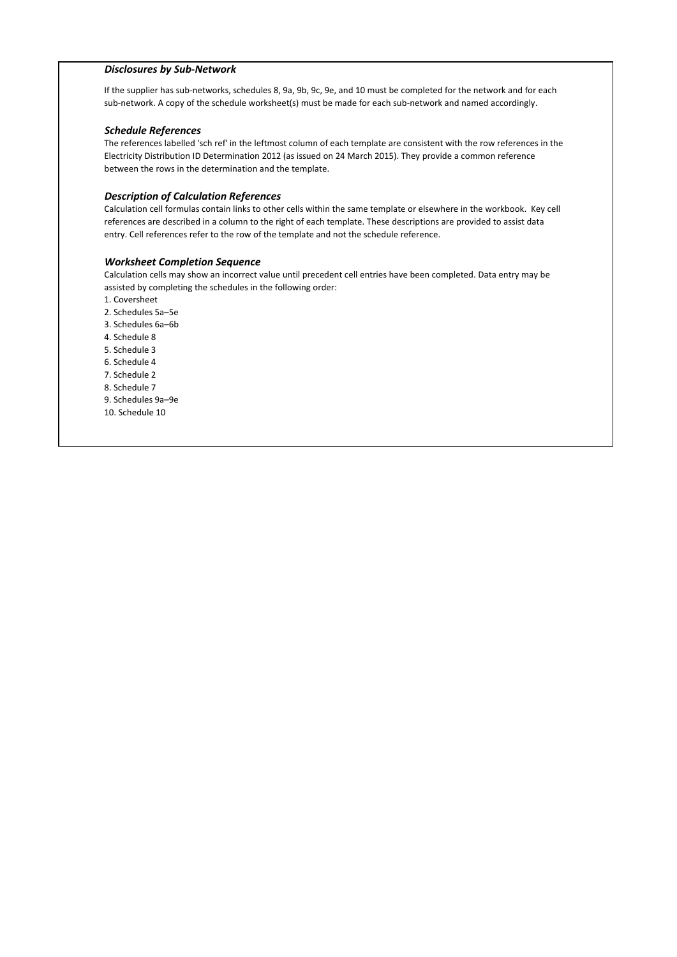#### *Disclosures by Sub-Network*

If the supplier has sub-networks, schedules 8, 9a, 9b, 9c, 9e, and 10 must be completed for the network and for each sub-network. A copy of the schedule worksheet(s) must be made for each sub-network and named accordingly.

#### *Schedule References*

The references labelled 'sch ref' in the leftmost column of each template are consistent with the row references in the Electricity Distribution ID Determination 2012 (as issued on 24 March 2015). They provide a common reference between the rows in the determination and the template.

#### *Description of Calculation References*

Calculation cell formulas contain links to other cells within the same template or elsewhere in the workbook. Key cell references are described in a column to the right of each template. These descriptions are provided to assist data entry. Cell references refer to the row of the template and not the schedule reference.

#### *Worksheet Completion Sequence*

Calculation cells may show an incorrect value until precedent cell entries have been completed. Data entry may be assisted by completing the schedules in the following order:

- 1. Coversheet
- 2. Schedules 5a–5e
- 3. Schedules 6a–6b
- 4. Schedule 8
- 5. Schedule 3
- 6. Schedule 4
- 7. Schedule 2
- 8. Schedule 7
- 9. Schedules 9a–9e
- 10. Schedule 10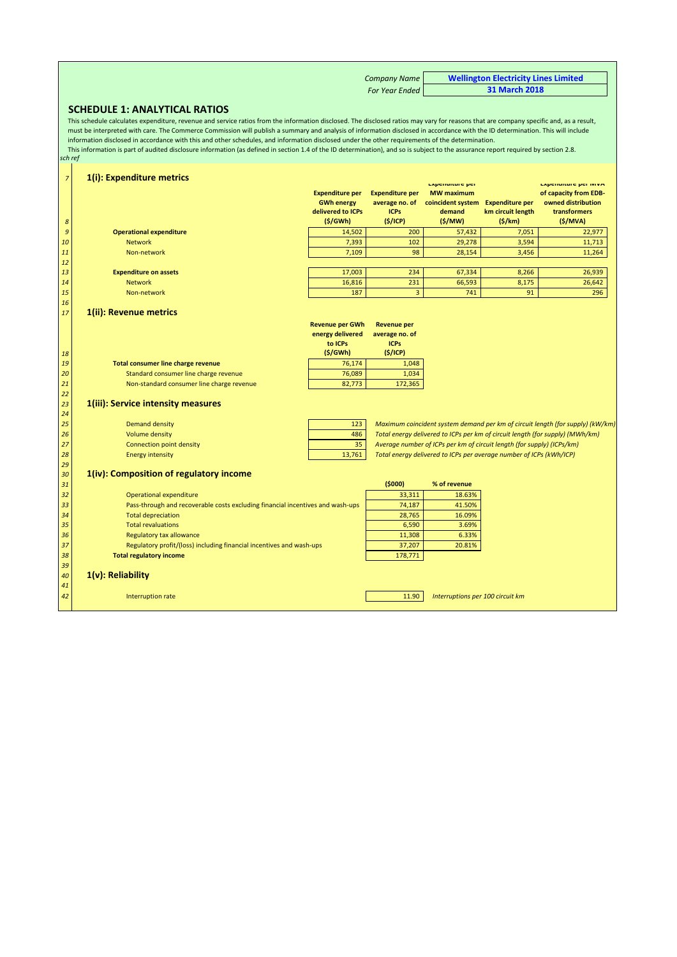| <b>Company Name</b> | <b>Wellington Electricity Lines Limited</b> |
|---------------------|---------------------------------------------|
| For Year Ended      | <b>31 March 2018</b>                        |

#### **SCHEDULE 1: ANALYTICAL RATIOS**

*sch ref* This schedule calculates expenditure, revenue and service ratios from the information disclosed. The disclosed ratios may vary for reasons that are company specific and, as a result, must be interpreted with care. The Commerce Commission will publish a summary and analysis of information disclosed in accordance with the ID determination. This will include information disclosed in accordance with this and other schedules, and information disclosed under the other requirements of the determination. This information is part of audited disclosure information (as defined in section 1.4 of the ID determination), and so is subject to the assurance report required by section 2.8.

| $\overline{z}$<br>8 | 1(i): Expenditure metrics                                                      | <b>Expenditure per</b><br><b>GWh energy</b><br>delivered to ICPs<br>(S/GWh) | <b>Expenditure per</b><br>average no. of<br><b>ICPs</b><br>(5/ICP) | <b>Experiencie per</b><br><b>MW</b> maximum<br>coincident system<br>demand<br>(S/MW) | <b>Expenditure per</b><br>km circuit length<br>(S/km) | <b>EXPERIGNUE PET IVIVA</b><br>of capacity from EDB-<br>owned distribution<br>transformers<br>(S/MVA) |
|---------------------|--------------------------------------------------------------------------------|-----------------------------------------------------------------------------|--------------------------------------------------------------------|--------------------------------------------------------------------------------------|-------------------------------------------------------|-------------------------------------------------------------------------------------------------------|
| $\boldsymbol{9}$    | <b>Operational expenditure</b>                                                 | 14,502                                                                      | 200                                                                | 57,432                                                                               | 7,051                                                 | 22,977                                                                                                |
| 10                  | <b>Network</b>                                                                 | 7,393                                                                       | 102                                                                | 29,278                                                                               | 3,594                                                 | 11,713                                                                                                |
| 11                  | Non-network                                                                    | 7,109                                                                       | 98                                                                 | 28,154                                                                               | 3,456                                                 | 11,264                                                                                                |
| 12                  |                                                                                |                                                                             |                                                                    |                                                                                      |                                                       |                                                                                                       |
| 13                  | <b>Expenditure on assets</b>                                                   | 17,003                                                                      | 234                                                                | 67,334                                                                               | 8,266                                                 | 26,939                                                                                                |
| 14                  | <b>Network</b>                                                                 | 16,816                                                                      | 231                                                                | 66,593                                                                               | 8,175                                                 | 26,642                                                                                                |
| 15                  | Non-network                                                                    | 187                                                                         | $\overline{3}$                                                     | 741                                                                                  | 91                                                    | 296                                                                                                   |
| 16                  |                                                                                |                                                                             |                                                                    |                                                                                      |                                                       |                                                                                                       |
| 17                  | 1(ii): Revenue metrics                                                         |                                                                             |                                                                    |                                                                                      |                                                       |                                                                                                       |
|                     |                                                                                | <b>Revenue per GWh</b>                                                      | <b>Revenue per</b>                                                 |                                                                                      |                                                       |                                                                                                       |
|                     |                                                                                | energy delivered                                                            | average no. of                                                     |                                                                                      |                                                       |                                                                                                       |
|                     |                                                                                | to ICPs                                                                     | <b>ICPs</b>                                                        |                                                                                      |                                                       |                                                                                                       |
| 18                  |                                                                                | (S/GWh)                                                                     | (5/ICP)                                                            |                                                                                      |                                                       |                                                                                                       |
| 19                  | <b>Total consumer line charge revenue</b>                                      | 76,174                                                                      | 1,048                                                              |                                                                                      |                                                       |                                                                                                       |
| 20                  | Standard consumer line charge revenue                                          | 76,089                                                                      | 1,034                                                              |                                                                                      |                                                       |                                                                                                       |
| 21                  | Non-standard consumer line charge revenue                                      | 82,773                                                                      | 172,365                                                            |                                                                                      |                                                       |                                                                                                       |
| 22                  |                                                                                |                                                                             |                                                                    |                                                                                      |                                                       |                                                                                                       |
| 23                  | 1(iii): Service intensity measures                                             |                                                                             |                                                                    |                                                                                      |                                                       |                                                                                                       |
| 24                  |                                                                                |                                                                             |                                                                    |                                                                                      |                                                       |                                                                                                       |
| 25                  | <b>Demand density</b>                                                          | 123                                                                         |                                                                    |                                                                                      |                                                       | Maximum coincident system demand per km of circuit length (for supply) (kW/km)                        |
| 26                  | <b>Volume density</b>                                                          | 486                                                                         |                                                                    |                                                                                      |                                                       | Total energy delivered to ICPs per km of circuit length (for supply) (MWh/km)                         |
| 27                  | Connection point density                                                       | 35                                                                          |                                                                    | Average number of ICPs per km of circuit length (for supply) (ICPs/km)               |                                                       |                                                                                                       |
| 28                  | <b>Energy intensity</b>                                                        | 13,761                                                                      |                                                                    | Total energy delivered to ICPs per average number of ICPs (kWh/ICP)                  |                                                       |                                                                                                       |
| 29                  |                                                                                |                                                                             |                                                                    |                                                                                      |                                                       |                                                                                                       |
| 30                  | 1(iv): Composition of regulatory income                                        |                                                                             |                                                                    |                                                                                      |                                                       |                                                                                                       |
| 31                  |                                                                                |                                                                             | (5000)                                                             | % of revenue                                                                         |                                                       |                                                                                                       |
| 32                  | Operational expenditure                                                        |                                                                             | 33,311                                                             | 18.63%                                                                               |                                                       |                                                                                                       |
| 33                  | Pass-through and recoverable costs excluding financial incentives and wash-ups |                                                                             | 74,187                                                             | 41.50%                                                                               |                                                       |                                                                                                       |
| 34                  | <b>Total depreciation</b>                                                      |                                                                             | 28,765                                                             | 16.09%                                                                               |                                                       |                                                                                                       |
| 35                  | <b>Total revaluations</b>                                                      |                                                                             | 6,590                                                              | 3.69%                                                                                |                                                       |                                                                                                       |
| 36                  | Regulatory tax allowance                                                       |                                                                             | 11,308                                                             | 6.33%                                                                                |                                                       |                                                                                                       |
| 37                  | Regulatory profit/(loss) including financial incentives and wash-ups           |                                                                             | 37,207                                                             | 20.81%                                                                               |                                                       |                                                                                                       |
| 38                  | <b>Total regulatory income</b>                                                 |                                                                             | 178,771                                                            |                                                                                      |                                                       |                                                                                                       |
| 39                  |                                                                                |                                                                             |                                                                    |                                                                                      |                                                       |                                                                                                       |
| 40                  | $1(v)$ : Reliability                                                           |                                                                             |                                                                    |                                                                                      |                                                       |                                                                                                       |
| 41                  |                                                                                |                                                                             |                                                                    |                                                                                      |                                                       |                                                                                                       |
| 42                  | Interruption rate                                                              |                                                                             | 11.90                                                              | Interruptions per 100 circuit km                                                     |                                                       |                                                                                                       |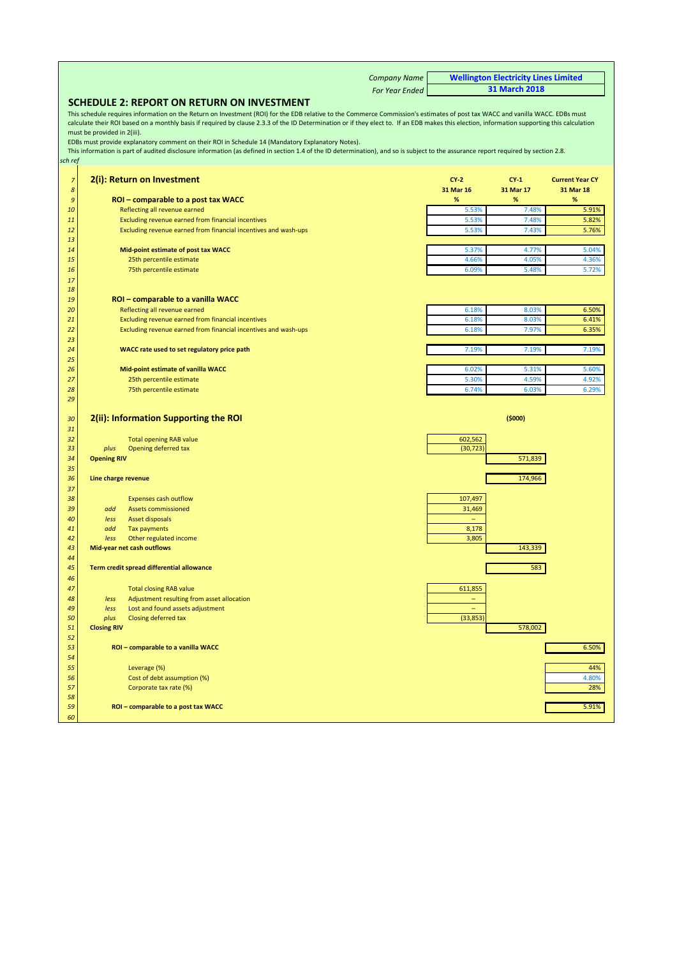|                             | <b>Company Name</b>                                                                                                                                                                          |                          | <b>Wellington Electricity Lines Limited</b> |                                     |
|-----------------------------|----------------------------------------------------------------------------------------------------------------------------------------------------------------------------------------------|--------------------------|---------------------------------------------|-------------------------------------|
|                             | <b>For Year Ended</b>                                                                                                                                                                        |                          | 31 March 2018                               |                                     |
|                             | SCHEDULE 2: REPORT ON RETURN ON INVESTMENT                                                                                                                                                   |                          |                                             |                                     |
|                             | This schedule requires information on the Return on Investment (ROI) for the EDB relative to the Commerce Commission's estimates of post tax WACC and vanilla WACC. EDBs must                |                          |                                             |                                     |
|                             | calculate their ROI based on a monthly basis if required by clause 2.3.3 of the ID Determination or if they elect to. If an EDB makes this election, information supporting this calculation |                          |                                             |                                     |
|                             | must be provided in 2(iii).<br>EDBs must provide explanatory comment on their ROI in Schedule 14 (Mandatory Explanatory Notes).                                                              |                          |                                             |                                     |
|                             | This information is part of audited disclosure information (as defined in section 1.4 of the ID determination), and so is subject to the assurance report required by section 2.8.           |                          |                                             |                                     |
| sch ref                     |                                                                                                                                                                                              |                          |                                             |                                     |
|                             |                                                                                                                                                                                              |                          |                                             |                                     |
| $\overline{z}$<br>$\pmb{8}$ | 2(i): Return on Investment                                                                                                                                                                   | $CY-2$<br>31 Mar 16      | $CY-1$<br>31 Mar 17                         | <b>Current Year CY</b><br>31 Mar 18 |
| $\mathfrak{g}$              | ROI – comparable to a post tax WACC                                                                                                                                                          | $\%$                     | %                                           | $\%$                                |
| 10                          | Reflecting all revenue earned                                                                                                                                                                | 5.53%                    | 7.48%                                       | 5.91%                               |
| 11                          | Excluding revenue earned from financial incentives                                                                                                                                           | 5.53%                    | 7.48%                                       | 5.82%                               |
| 12                          | Excluding revenue earned from financial incentives and wash-ups                                                                                                                              | 5.53%                    | 7.43%                                       | 5.76%                               |
| 13                          |                                                                                                                                                                                              |                          |                                             |                                     |
| 14<br>15                    | Mid-point estimate of post tax WACC<br>25th percentile estimate                                                                                                                              | 5.37%<br>4.66%           | 4.77%<br>4.05%                              | 5.04%<br>4.36%                      |
| 16                          | 75th percentile estimate                                                                                                                                                                     | 6.09%                    | 5.48%                                       | 5.72%                               |
| 17                          |                                                                                                                                                                                              |                          |                                             |                                     |
| 18                          |                                                                                                                                                                                              |                          |                                             |                                     |
| 19                          | ROI - comparable to a vanilla WACC                                                                                                                                                           |                          |                                             |                                     |
| 20                          | Reflecting all revenue earned                                                                                                                                                                | 6.18%                    | 8.03%                                       | 6.50%                               |
| 21<br>22                    | Excluding revenue earned from financial incentives<br>Excluding revenue earned from financial incentives and wash-ups                                                                        | 6.18%<br>6.18%           | 8.03%<br>7.97%                              | 6.41%<br>6.35%                      |
| 23                          |                                                                                                                                                                                              |                          |                                             |                                     |
| 24                          | WACC rate used to set regulatory price path                                                                                                                                                  | 7.19%                    | 7.19%                                       | 7.19%                               |
| 25                          |                                                                                                                                                                                              |                          |                                             |                                     |
| 26                          | Mid-point estimate of vanilla WACC                                                                                                                                                           | 6.02%                    | 5.31%                                       | 5.60%                               |
| 27                          | 25th percentile estimate                                                                                                                                                                     | 5.30%                    | 4.59%                                       | 4.92%                               |
| 28                          | 75th percentile estimate                                                                                                                                                                     | 6.74%                    | 6.03%                                       | 6.29%                               |
| 29                          |                                                                                                                                                                                              |                          |                                             |                                     |
| 30                          | 2(ii): Information Supporting the ROI                                                                                                                                                        |                          | (5000)                                      |                                     |
| 31                          |                                                                                                                                                                                              |                          |                                             |                                     |
| 32                          | <b>Total opening RAB value</b>                                                                                                                                                               | 602,562                  |                                             |                                     |
| 33                          | Opening deferred tax<br>plus                                                                                                                                                                 | (30, 723)                |                                             |                                     |
| 34<br>35                    | <b>Opening RIV</b>                                                                                                                                                                           |                          | 571,839                                     |                                     |
| 36                          | Line charge revenue                                                                                                                                                                          |                          | 174,966                                     |                                     |
| 37                          |                                                                                                                                                                                              |                          |                                             |                                     |
| 38                          | <b>Expenses cash outflow</b>                                                                                                                                                                 | 107,497                  |                                             |                                     |
| 39                          | add<br><b>Assets commissioned</b>                                                                                                                                                            | 31,469                   |                                             |                                     |
| 40                          | less<br>Asset disposals                                                                                                                                                                      | $\equiv$                 |                                             |                                     |
| 41<br>42                    | add<br><b>Tax payments</b><br>less<br>Other regulated income                                                                                                                                 | 8,178<br>3,805           |                                             |                                     |
| 43                          | Mid-year net cash outflows                                                                                                                                                                   |                          | 143,339                                     |                                     |
| 44                          |                                                                                                                                                                                              |                          |                                             |                                     |
| 45                          | Term credit spread differential allowance                                                                                                                                                    |                          | 583                                         |                                     |
| 46                          |                                                                                                                                                                                              |                          |                                             |                                     |
| 47                          | <b>Total closing RAB value</b>                                                                                                                                                               | 611,855                  |                                             |                                     |
| 48                          | Adjustment resulting from asset allocation<br>less                                                                                                                                           | $\overline{\phantom{0}}$ |                                             |                                     |
| 49<br>50                    | Lost and found assets adjustment<br>less<br>plus<br>Closing deferred tax                                                                                                                     | (33, 853)                |                                             |                                     |
| 51                          | <b>Closing RIV</b>                                                                                                                                                                           |                          | 578,002                                     |                                     |
| 52                          |                                                                                                                                                                                              |                          |                                             |                                     |
| 53                          | ROI - comparable to a vanilla WACC                                                                                                                                                           |                          |                                             | 6.50%                               |
| 54                          |                                                                                                                                                                                              |                          |                                             |                                     |
| 55                          | Leverage (%)                                                                                                                                                                                 |                          |                                             | 44%                                 |
| 56<br>57                    | Cost of debt assumption (%)<br>Corporate tax rate (%)                                                                                                                                        |                          |                                             | 4.80%<br>28%                        |
| 58                          |                                                                                                                                                                                              |                          |                                             |                                     |
| 59                          | ROI - comparable to a post tax WACC                                                                                                                                                          |                          |                                             | 5.91%                               |
| 60                          |                                                                                                                                                                                              |                          |                                             |                                     |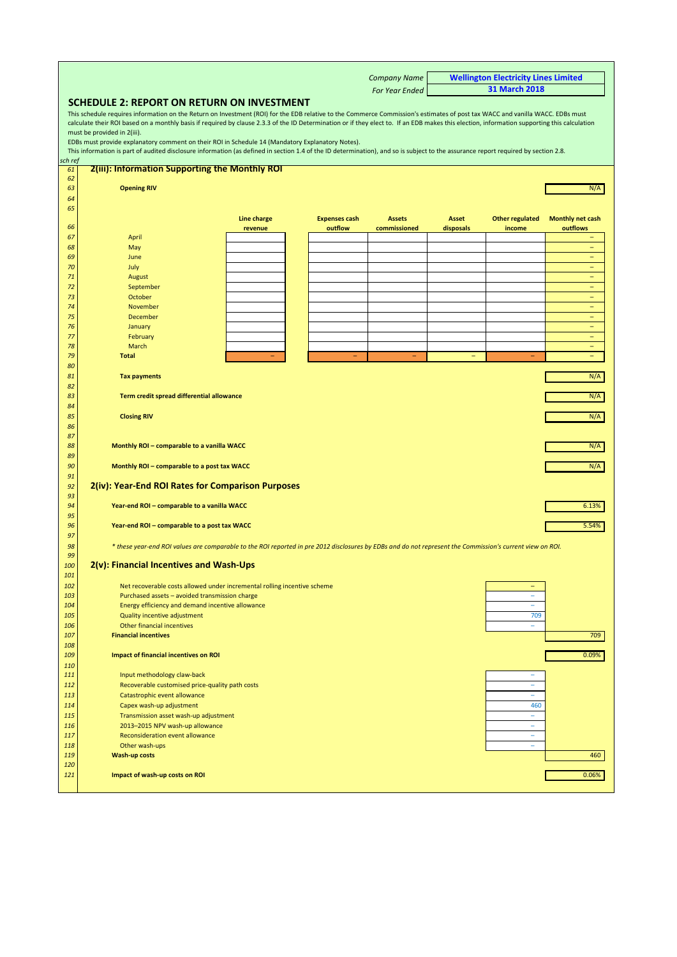<span id="page-6-0"></span>

|                   |                                                                                                                                                                                                                                                                                                                                                                                                                                                                                                                                                                                                                                                                                                        |             |                      | <b>Company Name</b> |           | <b>Wellington Electricity Lines Limited</b><br><b>31 March 2018</b> |                                               |
|-------------------|--------------------------------------------------------------------------------------------------------------------------------------------------------------------------------------------------------------------------------------------------------------------------------------------------------------------------------------------------------------------------------------------------------------------------------------------------------------------------------------------------------------------------------------------------------------------------------------------------------------------------------------------------------------------------------------------------------|-------------|----------------------|---------------------|-----------|---------------------------------------------------------------------|-----------------------------------------------|
|                   | <b>For Year Ended</b><br>SCHEDULE 2: REPORT ON RETURN ON INVESTMENT                                                                                                                                                                                                                                                                                                                                                                                                                                                                                                                                                                                                                                    |             |                      |                     |           |                                                                     |                                               |
|                   | This schedule requires information on the Return on Investment (ROI) for the EDB relative to the Commerce Commission's estimates of post tax WACC and vanilla WACC. EDBs must<br>calculate their ROI based on a monthly basis if required by clause 2.3.3 of the ID Determination or if they elect to. If an EDB makes this election, information supporting this calculation<br>must be provided in 2(iii).<br>EDBs must provide explanatory comment on their ROI in Schedule 14 (Mandatory Explanatory Notes).<br>This information is part of audited disclosure information (as defined in section 1.4 of the ID determination), and so is subject to the assurance report required by section 2.8. |             |                      |                     |           |                                                                     |                                               |
| sch ref           |                                                                                                                                                                                                                                                                                                                                                                                                                                                                                                                                                                                                                                                                                                        |             |                      |                     |           |                                                                     |                                               |
| 61                | <b>2(iii): Information Supporting the Monthly ROI</b>                                                                                                                                                                                                                                                                                                                                                                                                                                                                                                                                                                                                                                                  |             |                      |                     |           |                                                                     |                                               |
| 62<br>63<br>64    | <b>Opening RIV</b>                                                                                                                                                                                                                                                                                                                                                                                                                                                                                                                                                                                                                                                                                     |             |                      |                     |           |                                                                     | N/A                                           |
| 65                |                                                                                                                                                                                                                                                                                                                                                                                                                                                                                                                                                                                                                                                                                                        | Line charge | <b>Expenses cash</b> | <b>Assets</b>       | Asset     | <b>Other regulated</b>                                              | <b>Monthly net cash</b>                       |
| 66<br>67          | April                                                                                                                                                                                                                                                                                                                                                                                                                                                                                                                                                                                                                                                                                                  | revenue     | outflow              | commissioned        | disposals | income                                                              | outflows                                      |
| 68                | May                                                                                                                                                                                                                                                                                                                                                                                                                                                                                                                                                                                                                                                                                                    |             |                      |                     |           |                                                                     | $\qquad \qquad -$                             |
| 69                | June                                                                                                                                                                                                                                                                                                                                                                                                                                                                                                                                                                                                                                                                                                   |             |                      |                     |           |                                                                     | $\equiv$                                      |
| 70                | July                                                                                                                                                                                                                                                                                                                                                                                                                                                                                                                                                                                                                                                                                                   |             |                      |                     |           |                                                                     | $\equiv$                                      |
| 71<br>72          | August<br>September                                                                                                                                                                                                                                                                                                                                                                                                                                                                                                                                                                                                                                                                                    |             |                      |                     |           |                                                                     | $\overline{\phantom{0}}$                      |
| 73                | October                                                                                                                                                                                                                                                                                                                                                                                                                                                                                                                                                                                                                                                                                                |             |                      |                     |           |                                                                     | $\qquad \qquad -$                             |
| 74                | November                                                                                                                                                                                                                                                                                                                                                                                                                                                                                                                                                                                                                                                                                               |             |                      |                     |           |                                                                     | $-$                                           |
| 75                | December                                                                                                                                                                                                                                                                                                                                                                                                                                                                                                                                                                                                                                                                                               |             |                      |                     |           |                                                                     | $\equiv$                                      |
| 76                | January                                                                                                                                                                                                                                                                                                                                                                                                                                                                                                                                                                                                                                                                                                |             |                      |                     |           |                                                                     | $\overline{\phantom{m}}$                      |
| 77                | February                                                                                                                                                                                                                                                                                                                                                                                                                                                                                                                                                                                                                                                                                               |             |                      |                     |           |                                                                     | $\equiv$                                      |
| 78<br>79          | March<br><b>Total</b>                                                                                                                                                                                                                                                                                                                                                                                                                                                                                                                                                                                                                                                                                  |             |                      |                     |           |                                                                     | $\overline{\phantom{0}}$<br>$\qquad \qquad -$ |
| 80                |                                                                                                                                                                                                                                                                                                                                                                                                                                                                                                                                                                                                                                                                                                        |             |                      |                     |           |                                                                     |                                               |
| 81                | <b>Tax payments</b>                                                                                                                                                                                                                                                                                                                                                                                                                                                                                                                                                                                                                                                                                    |             |                      |                     |           |                                                                     | N/A                                           |
| 82<br>83          | Term credit spread differential allowance                                                                                                                                                                                                                                                                                                                                                                                                                                                                                                                                                                                                                                                              |             |                      |                     |           |                                                                     | N/A                                           |
| 84<br>85<br>86    | <b>Closing RIV</b>                                                                                                                                                                                                                                                                                                                                                                                                                                                                                                                                                                                                                                                                                     |             |                      |                     |           |                                                                     | N/A                                           |
| 87                |                                                                                                                                                                                                                                                                                                                                                                                                                                                                                                                                                                                                                                                                                                        |             |                      |                     |           |                                                                     |                                               |
| 88<br>89          | Monthly ROI - comparable to a vanilla WACC                                                                                                                                                                                                                                                                                                                                                                                                                                                                                                                                                                                                                                                             |             |                      |                     |           |                                                                     | N/A                                           |
| 90<br>91          | Monthly ROI - comparable to a post tax WACC                                                                                                                                                                                                                                                                                                                                                                                                                                                                                                                                                                                                                                                            |             |                      |                     |           |                                                                     | N/A                                           |
| 92<br>93          | 2(iv): Year-End ROI Rates for Comparison Purposes                                                                                                                                                                                                                                                                                                                                                                                                                                                                                                                                                                                                                                                      |             |                      |                     |           |                                                                     |                                               |
| 94<br>95          | Year-end ROI - comparable to a vanilla WACC                                                                                                                                                                                                                                                                                                                                                                                                                                                                                                                                                                                                                                                            |             |                      |                     |           |                                                                     | 6.13%                                         |
| 96<br>97          | Year-end ROI - comparable to a post tax WACC                                                                                                                                                                                                                                                                                                                                                                                                                                                                                                                                                                                                                                                           |             |                      |                     |           |                                                                     | 5.54%                                         |
| 98<br>99          | * these year-end ROI values are comparable to the ROI reported in pre 2012 disclosures by EDBs and do not represent the Commission's current view on ROI.                                                                                                                                                                                                                                                                                                                                                                                                                                                                                                                                              |             |                      |                     |           |                                                                     |                                               |
| 100<br>101        | 2(v): Financial Incentives and Wash-Ups                                                                                                                                                                                                                                                                                                                                                                                                                                                                                                                                                                                                                                                                |             |                      |                     |           |                                                                     |                                               |
| 102               | Net recoverable costs allowed under incremental rolling incentive scheme                                                                                                                                                                                                                                                                                                                                                                                                                                                                                                                                                                                                                               |             |                      |                     |           |                                                                     |                                               |
| 103<br>104        | Purchased assets - avoided transmission charge                                                                                                                                                                                                                                                                                                                                                                                                                                                                                                                                                                                                                                                         |             |                      |                     |           | ÷<br>$\equiv$                                                       |                                               |
| 105               | Energy efficiency and demand incentive allowance<br>Quality incentive adjustment                                                                                                                                                                                                                                                                                                                                                                                                                                                                                                                                                                                                                       |             |                      |                     |           | 709                                                                 |                                               |
| 106               | Other financial incentives                                                                                                                                                                                                                                                                                                                                                                                                                                                                                                                                                                                                                                                                             |             |                      |                     |           | $\equiv$                                                            |                                               |
| 107               | <b>Financial incentives</b>                                                                                                                                                                                                                                                                                                                                                                                                                                                                                                                                                                                                                                                                            |             |                      |                     |           |                                                                     | 709                                           |
| 108               |                                                                                                                                                                                                                                                                                                                                                                                                                                                                                                                                                                                                                                                                                                        |             |                      |                     |           |                                                                     |                                               |
| 109               | <b>Impact of financial incentives on ROI</b>                                                                                                                                                                                                                                                                                                                                                                                                                                                                                                                                                                                                                                                           |             |                      |                     |           |                                                                     | 0.09%                                         |
| 110<br><u>111</u> | Input methodology claw-back                                                                                                                                                                                                                                                                                                                                                                                                                                                                                                                                                                                                                                                                            |             |                      |                     |           |                                                                     |                                               |
| 112               | Recoverable customised price-quality path costs                                                                                                                                                                                                                                                                                                                                                                                                                                                                                                                                                                                                                                                        |             |                      |                     |           | ÷                                                                   |                                               |
| 113               | Catastrophic event allowance                                                                                                                                                                                                                                                                                                                                                                                                                                                                                                                                                                                                                                                                           |             |                      |                     |           | ÷                                                                   |                                               |
| 114               | Capex wash-up adjustment                                                                                                                                                                                                                                                                                                                                                                                                                                                                                                                                                                                                                                                                               |             |                      |                     |           | 460                                                                 |                                               |
| 115               | Transmission asset wash-up adjustment                                                                                                                                                                                                                                                                                                                                                                                                                                                                                                                                                                                                                                                                  |             |                      |                     |           | $\equiv$                                                            |                                               |
| 116               | 2013-2015 NPV wash-up allowance                                                                                                                                                                                                                                                                                                                                                                                                                                                                                                                                                                                                                                                                        |             |                      |                     |           | $\overline{\phantom{a}}$                                            |                                               |
| 117<br>118        | Reconsideration event allowance<br>Other wash-ups                                                                                                                                                                                                                                                                                                                                                                                                                                                                                                                                                                                                                                                      |             |                      |                     |           | $\equiv$<br>÷,                                                      |                                               |
| 119               | <b>Wash-up costs</b>                                                                                                                                                                                                                                                                                                                                                                                                                                                                                                                                                                                                                                                                                   |             |                      |                     |           |                                                                     | 460                                           |
| 120               |                                                                                                                                                                                                                                                                                                                                                                                                                                                                                                                                                                                                                                                                                                        |             |                      |                     |           |                                                                     |                                               |
| 121               | Impact of wash-up costs on ROI                                                                                                                                                                                                                                                                                                                                                                                                                                                                                                                                                                                                                                                                         |             |                      |                     |           |                                                                     | 0.06%                                         |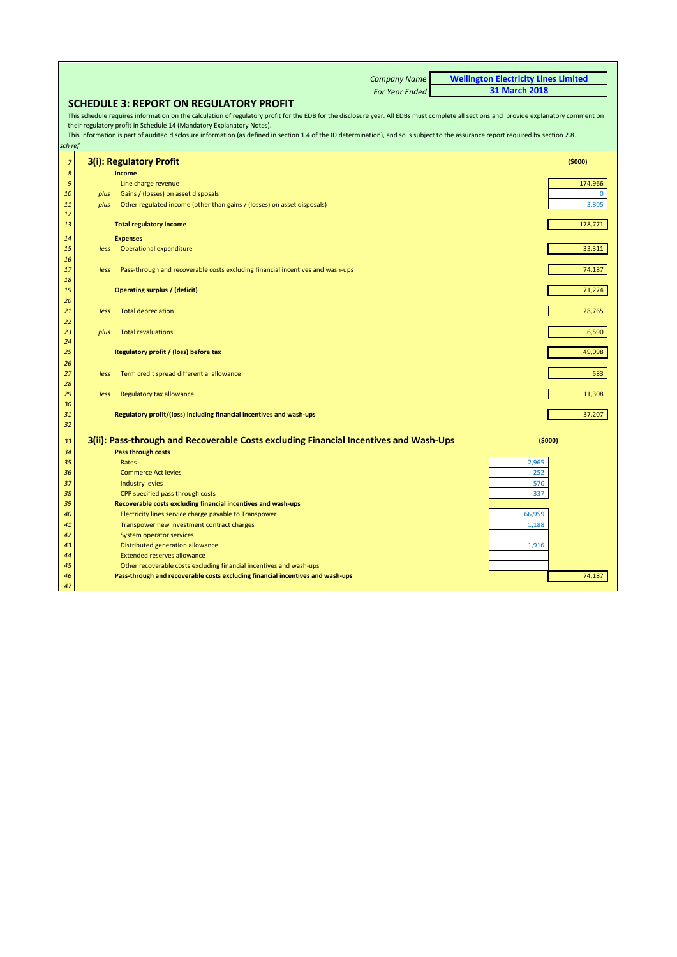|                |              | <b>Company Name</b>                                                                                                                                                                    | <b>Wellington Electricity Lines Limited</b> |                         |
|----------------|--------------|----------------------------------------------------------------------------------------------------------------------------------------------------------------------------------------|---------------------------------------------|-------------------------|
|                |              | <b>For Year Ended</b>                                                                                                                                                                  | <b>31 March 2018</b>                        |                         |
|                |              | <b>SCHEDULE 3: REPORT ON REGULATORY PROFIT</b>                                                                                                                                         |                                             |                         |
|                |              | This schedule requires information on the calculation of regulatory profit for the EDB for the disclosure year. All EDBs must complete all sections and provide explanatory comment on |                                             |                         |
|                |              | their regulatory profit in Schedule 14 (Mandatory Explanatory Notes).                                                                                                                  |                                             |                         |
|                |              | This information is part of audited disclosure information (as defined in section 1.4 of the ID determination), and so is subject to the assurance report required by section 2.8.     |                                             |                         |
| sch ref        |              |                                                                                                                                                                                        |                                             |                         |
| $\overline{z}$ |              | 3(i): Regulatory Profit                                                                                                                                                                |                                             | (5000)                  |
|                |              |                                                                                                                                                                                        |                                             |                         |
| 8              |              | Income                                                                                                                                                                                 |                                             |                         |
| 9<br>10        |              | Line charge revenue                                                                                                                                                                    |                                             | 174,966<br>$\mathbf{0}$ |
| 11             | plus<br>plus | Gains / (losses) on asset disposals<br>Other regulated income (other than gains / (losses) on asset disposals)                                                                         |                                             | 3,805                   |
| 12             |              |                                                                                                                                                                                        |                                             |                         |
| 13             |              | <b>Total regulatory income</b>                                                                                                                                                         |                                             | 178,771                 |
| 14             |              | <b>Expenses</b>                                                                                                                                                                        |                                             |                         |
| 15             | less         | Operational expenditure                                                                                                                                                                |                                             | 33,311                  |
| 16             |              |                                                                                                                                                                                        |                                             |                         |
| 17             | less         | Pass-through and recoverable costs excluding financial incentives and wash-ups                                                                                                         |                                             | 74,187                  |
| 18             |              |                                                                                                                                                                                        |                                             |                         |
| 19             |              | <b>Operating surplus / (deficit)</b>                                                                                                                                                   |                                             | 71,274                  |
| 20             |              |                                                                                                                                                                                        |                                             |                         |
| 21             | less         | <b>Total depreciation</b>                                                                                                                                                              |                                             | 28,765                  |
| 22             |              |                                                                                                                                                                                        |                                             |                         |
| 23             | plus         | <b>Total revaluations</b>                                                                                                                                                              |                                             | 6,590                   |
| 24             |              |                                                                                                                                                                                        |                                             |                         |
| 25             |              | Regulatory profit / (loss) before tax                                                                                                                                                  |                                             | 49,098                  |
| 26             |              |                                                                                                                                                                                        |                                             |                         |
| 27             | less         | Term credit spread differential allowance                                                                                                                                              |                                             | 583                     |
| 28             |              |                                                                                                                                                                                        |                                             |                         |
| 29<br>30       | less         | Regulatory tax allowance                                                                                                                                                               |                                             | 11,308                  |
| 31             |              | Regulatory profit/(loss) including financial incentives and wash-ups                                                                                                                   |                                             | 37,207                  |
| 32             |              |                                                                                                                                                                                        |                                             |                         |
| 33             |              | 3(ii): Pass-through and Recoverable Costs excluding Financial Incentives and Wash-Ups                                                                                                  |                                             | (5000)                  |
| 34             |              | Pass through costs                                                                                                                                                                     |                                             |                         |
| 35             |              | Rates                                                                                                                                                                                  | 2,965                                       |                         |
| 36             |              | <b>Commerce Act levies</b>                                                                                                                                                             | 252                                         |                         |
| 37             |              | <b>Industry levies</b>                                                                                                                                                                 | 570                                         |                         |
| 38             |              | CPP specified pass through costs                                                                                                                                                       | 337                                         |                         |
| 39             |              | Recoverable costs excluding financial incentives and wash-ups                                                                                                                          |                                             |                         |
| 40             |              | Electricity lines service charge payable to Transpower                                                                                                                                 | 66,959                                      |                         |
| 41             |              | Transpower new investment contract charges                                                                                                                                             | 1,188                                       |                         |
| 42             |              | System operator services                                                                                                                                                               |                                             |                         |
| 43             |              | Distributed generation allowance                                                                                                                                                       | 1,916                                       |                         |
| 44             |              | <b>Extended reserves allowance</b>                                                                                                                                                     |                                             |                         |
| 45             |              | Other recoverable costs excluding financial incentives and wash-ups                                                                                                                    |                                             |                         |
| 46             |              | Pass-through and recoverable costs excluding financial incentives and wash-ups                                                                                                         |                                             | 74,187                  |
| 47             |              |                                                                                                                                                                                        |                                             |                         |

Г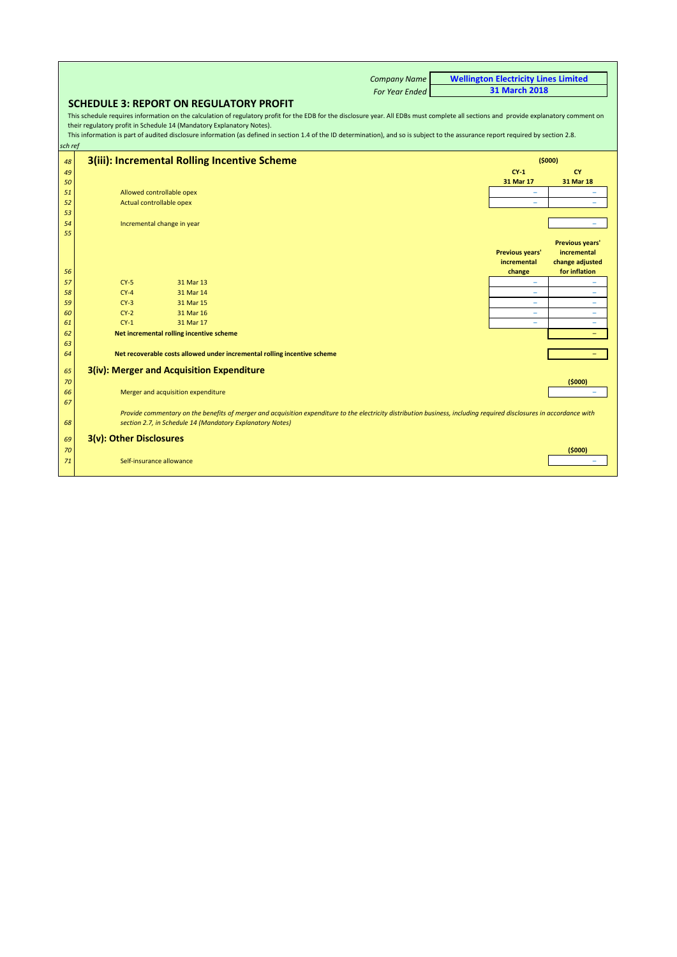<span id="page-8-0"></span>

|          | <b>Company Name</b>                                                                                                                                                                                                                                                                                                                                                                                                                                   | <b>Wellington Electricity Lines Limited</b> |                                                                           |
|----------|-------------------------------------------------------------------------------------------------------------------------------------------------------------------------------------------------------------------------------------------------------------------------------------------------------------------------------------------------------------------------------------------------------------------------------------------------------|---------------------------------------------|---------------------------------------------------------------------------|
|          | <b>For Year Ended</b>                                                                                                                                                                                                                                                                                                                                                                                                                                 | <b>31 March 2018</b>                        |                                                                           |
|          | <b>SCHEDULE 3: REPORT ON REGULATORY PROFIT</b>                                                                                                                                                                                                                                                                                                                                                                                                        |                                             |                                                                           |
| sch ref  | This schedule requires information on the calculation of regulatory profit for the EDB for the disclosure year. All EDBs must complete all sections and provide explanatory comment on<br>their regulatory profit in Schedule 14 (Mandatory Explanatory Notes).<br>This information is part of audited disclosure information (as defined in section 1.4 of the ID determination), and so is subject to the assurance report required by section 2.8. |                                             |                                                                           |
| 48       | 3(iii): Incremental Rolling Incentive Scheme                                                                                                                                                                                                                                                                                                                                                                                                          |                                             | (5000)                                                                    |
| 49       |                                                                                                                                                                                                                                                                                                                                                                                                                                                       | $CY-1$                                      | CY                                                                        |
| 50       |                                                                                                                                                                                                                                                                                                                                                                                                                                                       | 31 Mar 17                                   | 31 Mar 18                                                                 |
| 51       | Allowed controllable opex                                                                                                                                                                                                                                                                                                                                                                                                                             |                                             |                                                                           |
| 52       | Actual controllable opex                                                                                                                                                                                                                                                                                                                                                                                                                              |                                             |                                                                           |
| 53       |                                                                                                                                                                                                                                                                                                                                                                                                                                                       |                                             |                                                                           |
| 54       | Incremental change in year                                                                                                                                                                                                                                                                                                                                                                                                                            |                                             |                                                                           |
| 55<br>56 |                                                                                                                                                                                                                                                                                                                                                                                                                                                       | Previous years'<br>incremental<br>change    | <b>Previous years'</b><br>incremental<br>change adjusted<br>for inflation |
| 57       | $CY-5$<br>31 Mar 13                                                                                                                                                                                                                                                                                                                                                                                                                                   | ۰                                           |                                                                           |
| 58       | $CY-4$<br>31 Mar 14                                                                                                                                                                                                                                                                                                                                                                                                                                   | $\overline{\phantom{0}}$                    | ╾                                                                         |
| 59       | $CY-3$<br>31 Mar 15                                                                                                                                                                                                                                                                                                                                                                                                                                   | $\overline{\phantom{0}}$                    | $\overline{\phantom{0}}$                                                  |
| 60       | $CY-2$<br>31 Mar 16                                                                                                                                                                                                                                                                                                                                                                                                                                   | $\overline{\phantom{0}}$                    | $\overline{\phantom{0}}$                                                  |
| 61       | $CY-1$<br>31 Mar 17                                                                                                                                                                                                                                                                                                                                                                                                                                   |                                             |                                                                           |
| 62       | Net incremental rolling incentive scheme                                                                                                                                                                                                                                                                                                                                                                                                              |                                             |                                                                           |
| 63       |                                                                                                                                                                                                                                                                                                                                                                                                                                                       |                                             |                                                                           |
| 64       | Net recoverable costs allowed under incremental rolling incentive scheme                                                                                                                                                                                                                                                                                                                                                                              |                                             |                                                                           |
| 65<br>70 | 3(iv): Merger and Acquisition Expenditure                                                                                                                                                                                                                                                                                                                                                                                                             |                                             | (5000)                                                                    |
| 66<br>67 | Merger and acquisition expenditure                                                                                                                                                                                                                                                                                                                                                                                                                    |                                             |                                                                           |
| 68       | Provide commentary on the benefits of merger and acquisition expenditure to the electricity distribution business, including required disclosures in accordance with<br>section 2.7, in Schedule 14 (Mandatory Explanatory Notes)                                                                                                                                                                                                                     |                                             |                                                                           |
| 69       | 3(v): Other Disclosures                                                                                                                                                                                                                                                                                                                                                                                                                               |                                             |                                                                           |
| 70<br>71 | Self-insurance allowance                                                                                                                                                                                                                                                                                                                                                                                                                              |                                             | (5000)                                                                    |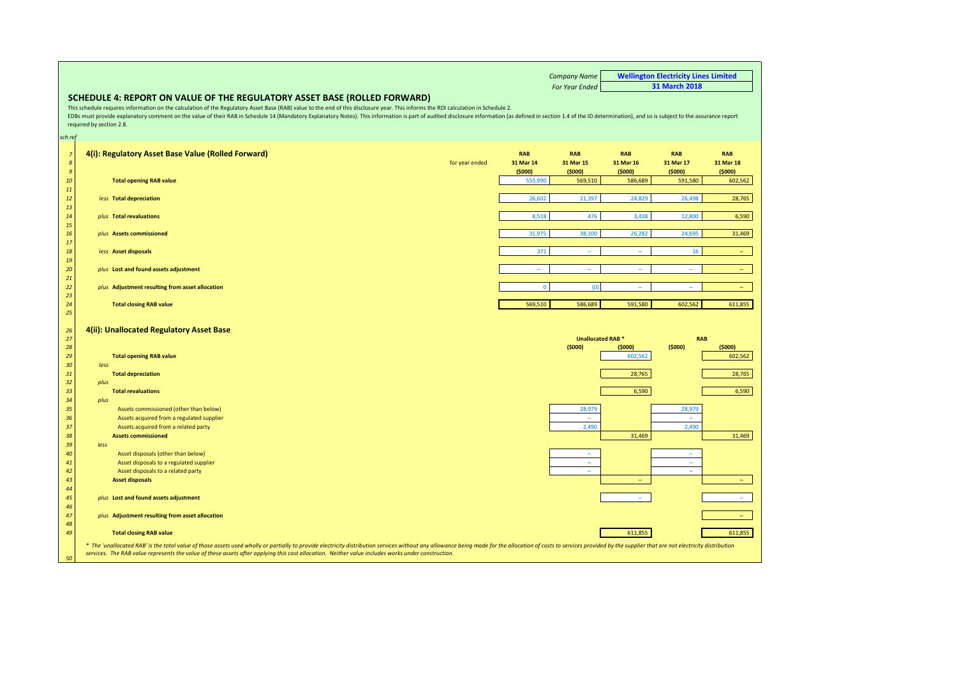*Company Name For Year Ended* **SCHEDULE 4: REPORT ON VALUE OF THE REGULATORY ASSET BASE (ROLLED FORWARD)** *sch ref* **4(i): Regulatory Asset Base Value (Rolled Forward) RAB RAB RAB RAB RAB** for year ended **31 Mar 14 31 Mar 15 31 Mar 16 31 Mar 17 31 Mar 18 (\$000) (\$000) (\$000) (\$000) (\$000) Total opening RAB value** 555,990 569,510 586,689 591,580 602,562 *less* **Total depreciation** 26,602 21,397 24,829 26,498 28,765 *plus* **Total revaluations** 8,518 476 3,438 12,800 6,590 *plus* **Assets commissioned** 31,975 38,100 26,282 24,695 31,469 *less* **Asset disposals** 371 – – 16 – *plus* **Lost and found assets adjustment** – – – – – *<u>plus</u>* **Adjustment resulting from asset allocation Total closing RAB value** 569,510 586,689 591,580 602,562 611,855 **4(ii): Unallocated Regulatory Asset Base (\$000) (\$000) (\$000) (\$000) Total opening RAB value** 602,562 602,562 *less* **Total depreciation** 28,765 28,765 *plus* **Total revaluations** 6,590 6,590 *plus* **Assets commissioned (other than below)** 28,979 28,979 28,979 28,979 28,979 28,979 28,979 28,979 28,979 28,979 28,979 28,979 28,979 28,979 28,979 28,979 28,979 28,979 28,979 28,979 28,979 28,979 28,979 28,979 28,979 2 Assets acquired from a regulated supplier – – and a set of the set of the set of the set of the set of the set of the set of the set of the set of the set of the set of the set of the set of the set of the set of the set of the set of the set of the set of the set of **Assets commissioned** 31,469 31,469 *less*  **Asset disposals (other than below)**  Asset disposals to a regulated supplier – – Asset disposals to a related party **Asset disposals** – – *plus* **Lost and found assets adjustment** – – *plus* **Adjustment resulting from asset allocation** – **Total closing RAB value** 611,855 611,855 **RAB Wellington Electricity Lines Limited 31 March 2018** This schedule requires information on the calculation of the Regulatory Asset Base (RAB) value to the end of this disclosure year. This informs the ROI calculation in Schedule 2. EDBs must provide explanatory comment on the value of their RAB in Schedule 14 (Mandatory Explanatory Notes). This information is part of audited disclosure information (as defined in section 1.4 of the ID determination), required by section 2.8. \* The 'unallocated RAB' is the total value of those assets used wholly or partially to provide electricity distribution services without any allowance beina made for the allocation of costs to services provided by the supp services. The RAB value represents the value of these assets after applying this cost allocation. Neither value includes works under construction. **Unallocated RAB \***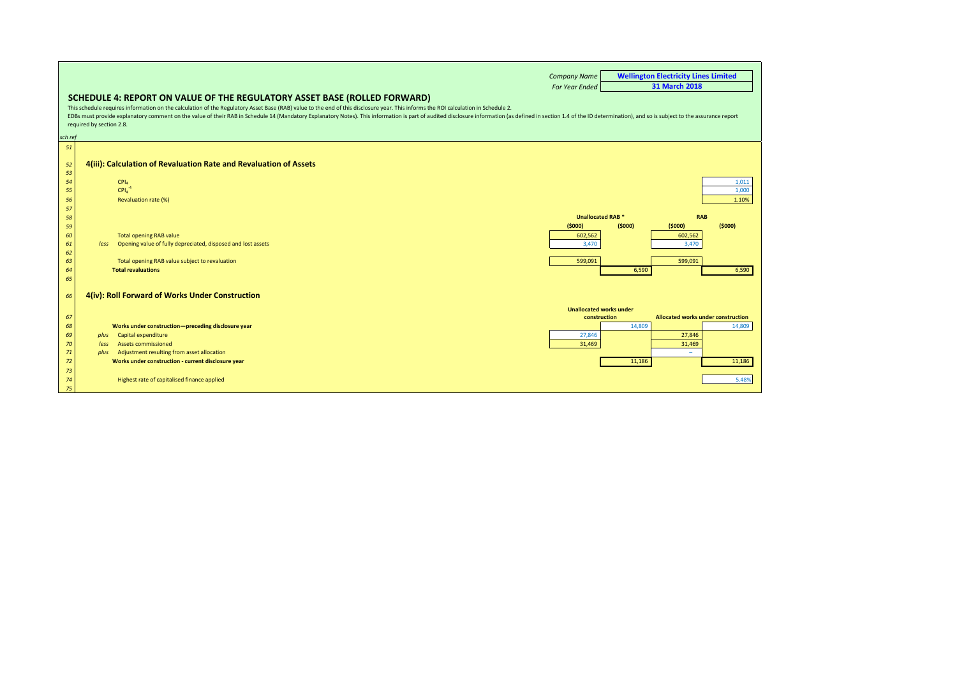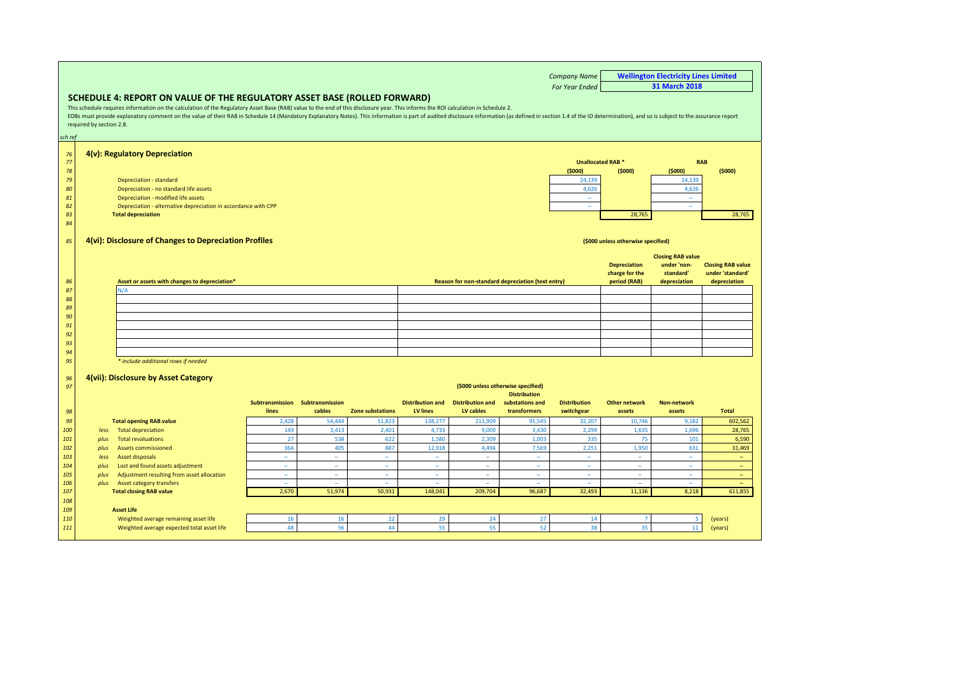<span id="page-11-0"></span>*Company Name For Year Ended* **SCHEDULE 4: REPORT ON VALUE OF THE REGULATORY ASSET BASE (ROLLED FORWARD)** *sch ref* **Wellington Electricity Lines Limited 31 March 2018** This schedule requires information on the calculation of the Regulatory Asset Base (RAB) value to the end of this disclosure year. This informs the ROI calculation in Schedule 2. EDBs must provide explanatory comment on the value of their RAB in Schedule 14 (Mandatory Explanatory Notes). This information is part of audited disclosure information (as defined in section 1.4 of the ID determination), required by section 2.8. *76* **4(v): Regulatory Depreciation** *77 78* **(\$000) (\$000) (\$000) (\$000) 79 Depreciation - standard 24,139 24,139 24,139 24,139 24,139 24,139 24,139 24,139 24,139 24,139 24,139 24,139 24,139 24,139 24,139 24,139 24,139 24,139 24,139 24,139 24,139 24,139 24,139 24,139 24,139 24,139 24,139 24,13 80** Depreciation - no standard life assets 4,626 4,626 4,626 4,626 4,626 4,626 4,626 4,626 4,626 4,626 4,626 4,626 4,626 4,626 4,626 4,626 4,626 4,626 4,626 4,626 4,626 4,626 4,626 4,626 4,626 4,626 4,626 4,626 4,626 4,62 *81* Depreciation - modified life assets – – **82** Depreciation - alternative depreciation in accordance with CPP *83* **Total depreciation** 28,765 28,765 *84 85* **4(vi): Disclosure of Changes to Depreciation Profiles** *86* **Asset or assets with changes to depreciation\* Reason for non-standard depreciation (text entry) Depreciation charge for the period (RAB) Closing RAB value under 'nonstandard' depreciation Closing RAB value under 'standard' depreciation**  *87 88 89 90 91 92 93 94 95 \* include additional rows if needed 96* **4(vii): Disclosure by Asset Category** *97* **(\$000 unless otherwise specified)** *98* **Subtransmission Subtransmission lines cables Zone substations Distribution and Distribution and LV lines LV cables Distribution substations and transformers Distribution switchgear Other network assets Non-network assets Total**  *99* **Total opening RAB value** 2,428 54,444 51,823 138,277 211,909 91,545 32,207 10,746 9,182 602,562 *100 less* Total depreciation 149 3,413 2,401 4,733 9,009 3,430 2,299 1,635 1,696 28,765 *101 plus* Total revaluations 27 538 622 1,580 2,309 1,003 335 75 101 6,590 *102 plus* Assets commissioned 364 405 887 12,918 4,494 7,569 2,251 1,950 631 31,469 *103 less* Asset disposals – – – – – – – – – – **104** *plus* Lost and found assets adjustment<br>105 *plus* Lost and found assets adjustment *105 plus* Adjustment resulting from asset allocation – – – – – – – – – – *106 plus* Asset category transfers – – – – – – – – – – *107* **Total closing RAB value** 2,670 51,974 50,931 148,041 209,704 96,687 32,493 11,136 8,218 611,855 *108 109* **Asset Life** 110 Weighted average remaining asset life 16 16 16 22 29 24 27 14 7 5 (years)<br>111 Weighted average expected total asset life 18 48 56 44 55 55 52 38 35 11 (years) *111* Weighted average expected total asset life 48 56 44 55 55 52 38 35 11 (years) **Unallocated RAB \* RAB (\$000 unless otherwise specified)** N/A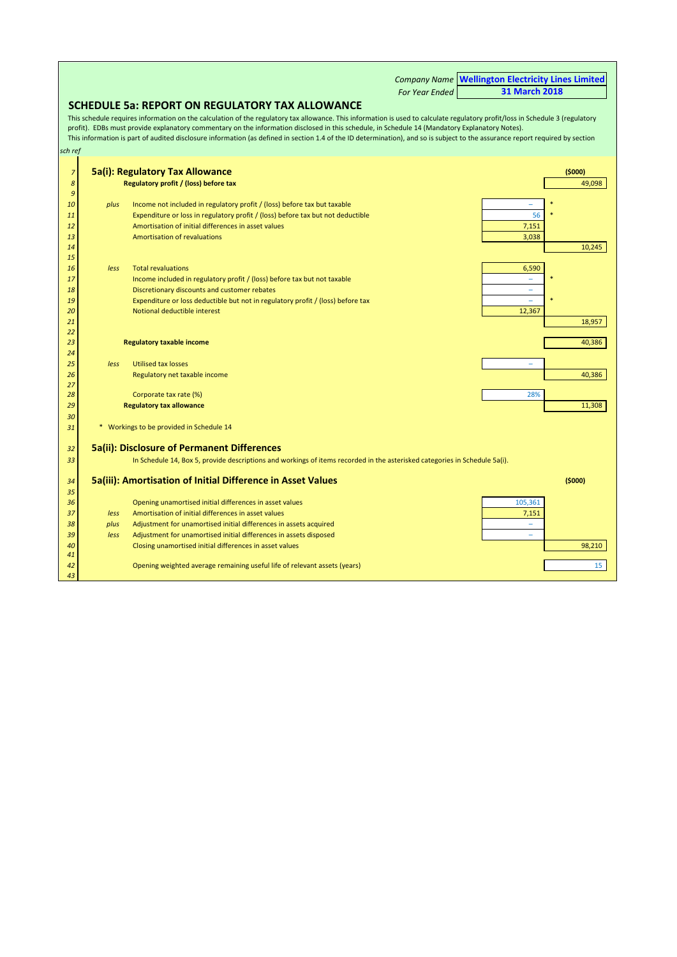*Company Name For Year Ended* **SCHEDULE 5a: REPORT ON REGULATORY TAX ALLOWANCE** *sch ref* **5a(i): Regulatory Tax Allowance (\$000) Regulatory profit / (loss) before tax** 49,098 *plus* Income not included in regulatory profit / (loss) before tax but taxable **11** Expenditure or loss in regulatory profit / (loss) before tax but not deductible 56  $\sim$  56 Amortisation of initial differences in asset values **7,151 Amortisation of initial differences** in asset values Amortisation of revaluations **3,038** Amortisation of revaluations **3,038**  10,245 *less* Total revaluations **6,590** *less* Total revaluations **6,590**  Income included in regulatory profit / (loss) before tax but not taxable **Discretionary discounts and customer rebates CONSIDERED ASSESSED FOR A REPORT OF A REPORT OF A REPORT OF A REPORT OF A REPORT OF A REPORT OF A REPORT OF A REPORT OF A REPORT OF A REPORT OF A REPORT OF A REPORT OF A**  Expenditure or loss deductible but not in regulatory profit / (loss) before tax – \* Notional deductible interest **12,367** Notional deductible interest **18,957 من المسافر المسافر المسافر المسافر المسافر المسافر المسافر المسافر المسافر المسافر المسافر المسافر ال Regulatory taxable income** 40,386 *less* Utilised tax losses – **Regulatory net taxable income** 40,386 **All 2009 Controls and the control of the control of the 40,386 All 2009 Control of the 40,386 All 2009 Controls and the 40,386 All 2009 Controls and the 40,386 All 2009 Controls 28 Corporate tax rate (%)** 28% and 28% and 28% and 28% and 28% and 28% and 28% and 28% and 28% and 28% and 28% **Regulatory tax allowance** 11,308 \* Workings to be provided in Schedule 14 **5a(ii): Disclosure of Permanent Differences** In Schedule 14, Box 5, provide descriptions and workings of items recorded in the asterisked categories in Schedule 5a(i). **5a(iii): Amortisation of Initial Difference in Asset Values (\$000)** Opening unamortised initial differences in asset values 105,361 Opening unamortised initial differences in asset values *less* Amortisation of initial differences in asset values *and a set of a set of a set of a set of a set of a set of a set of a set of a set of a set of a set of a set of a set of a set of a set of a set of a se plus* Adjustment for unamortised initial differences in assets acquired – **less** Adjustment for unamortised initial differences in assets disposed 40 **400 Closing unamortised initial differences in asset values** 98,210 Opening weighted average remaining useful life of relevant assets (years) 15 and 15 and 15 and 16 and 16 and 15 and 15 and 15 and 15 and 15 and 15 and 16 and 16 and 16 and 16 and 16 and 16 and 16 and 16 and 16 and 16 This schedule requires information on the calculation of the regulatory tax allowance. This information is used to calculate regulatory profit/loss in Schedule 3 (regulatory profit). EDBs must provide explanatory commentary on the information disclosed in this schedule, in Schedule 14 (Mandatory Explanatory Notes). This information is part of audited disclosure information (as defined in section 1.4 of the ID determination), and so is subject to the assurance report required by section **Wellington Electricity Lines Limited 31 March 2018**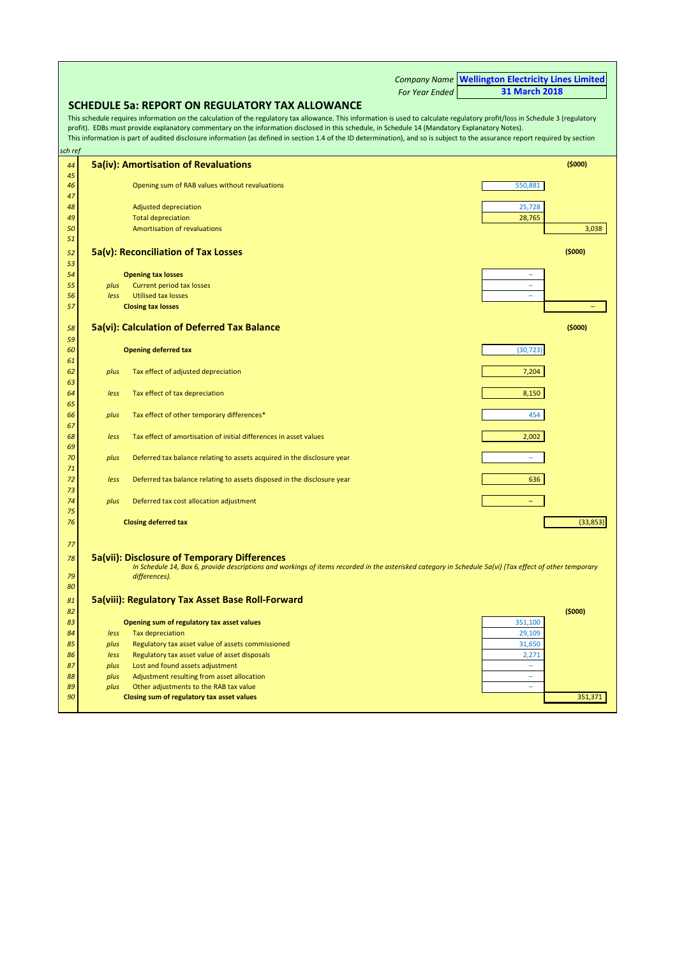<span id="page-13-0"></span>

|          |      |                                                                                                                                                                                                                                                                                                                                                                                                                                                                                                                  |                       | <b>Company Name Wellington Electricity Lines Limited</b> |           |
|----------|------|------------------------------------------------------------------------------------------------------------------------------------------------------------------------------------------------------------------------------------------------------------------------------------------------------------------------------------------------------------------------------------------------------------------------------------------------------------------------------------------------------------------|-----------------------|----------------------------------------------------------|-----------|
|          |      |                                                                                                                                                                                                                                                                                                                                                                                                                                                                                                                  | <b>For Year Ended</b> | <b>31 March 2018</b>                                     |           |
|          |      | <b>SCHEDULE 5a: REPORT ON REGULATORY TAX ALLOWANCE</b>                                                                                                                                                                                                                                                                                                                                                                                                                                                           |                       |                                                          |           |
| sch ref  |      | This schedule requires information on the calculation of the regulatory tax allowance. This information is used to calculate regulatory profit/loss in Schedule 3 (regulatory<br>profit). EDBs must provide explanatory commentary on the information disclosed in this schedule, in Schedule 14 (Mandatory Explanatory Notes).<br>This information is part of audited disclosure information (as defined in section 1.4 of the ID determination), and so is subject to the assurance report required by section |                       |                                                          |           |
|          |      |                                                                                                                                                                                                                                                                                                                                                                                                                                                                                                                  |                       |                                                          |           |
| 44<br>45 |      | <b>5a(iv): Amortisation of Revaluations</b>                                                                                                                                                                                                                                                                                                                                                                                                                                                                      |                       |                                                          | (5000)    |
| 46<br>47 |      | Opening sum of RAB values without revaluations                                                                                                                                                                                                                                                                                                                                                                                                                                                                   |                       | 550,881                                                  |           |
| 48       |      | Adjusted depreciation                                                                                                                                                                                                                                                                                                                                                                                                                                                                                            |                       | 25,728                                                   |           |
| 49       |      | <b>Total depreciation</b>                                                                                                                                                                                                                                                                                                                                                                                                                                                                                        |                       | 28,765                                                   |           |
| 50       |      | <b>Amortisation of revaluations</b>                                                                                                                                                                                                                                                                                                                                                                                                                                                                              |                       |                                                          | 3,038     |
| 51       |      |                                                                                                                                                                                                                                                                                                                                                                                                                                                                                                                  |                       |                                                          |           |
| 52       |      | 5a(v): Reconciliation of Tax Losses                                                                                                                                                                                                                                                                                                                                                                                                                                                                              |                       |                                                          | (5000)    |
| 53       |      |                                                                                                                                                                                                                                                                                                                                                                                                                                                                                                                  |                       |                                                          |           |
| 54       |      | <b>Opening tax losses</b>                                                                                                                                                                                                                                                                                                                                                                                                                                                                                        |                       | ۰                                                        |           |
| 55       | plus | <b>Current period tax losses</b>                                                                                                                                                                                                                                                                                                                                                                                                                                                                                 |                       | L.                                                       |           |
| 56       | less | <b>Utilised tax losses</b>                                                                                                                                                                                                                                                                                                                                                                                                                                                                                       |                       | ۰                                                        |           |
| 57       |      | <b>Closing tax losses</b>                                                                                                                                                                                                                                                                                                                                                                                                                                                                                        |                       |                                                          |           |
| 58       |      | 5a(vi): Calculation of Deferred Tax Balance                                                                                                                                                                                                                                                                                                                                                                                                                                                                      |                       |                                                          | (5000)    |
| 59       |      |                                                                                                                                                                                                                                                                                                                                                                                                                                                                                                                  |                       |                                                          |           |
| 60       |      | <b>Opening deferred tax</b>                                                                                                                                                                                                                                                                                                                                                                                                                                                                                      |                       | (30, 723)                                                |           |
| 61       |      |                                                                                                                                                                                                                                                                                                                                                                                                                                                                                                                  |                       |                                                          |           |
| 62       | plus | Tax effect of adjusted depreciation                                                                                                                                                                                                                                                                                                                                                                                                                                                                              |                       | 7,204                                                    |           |
| 63<br>64 | less | Tax effect of tax depreciation                                                                                                                                                                                                                                                                                                                                                                                                                                                                                   |                       | 8,150                                                    |           |
| 65       |      |                                                                                                                                                                                                                                                                                                                                                                                                                                                                                                                  |                       |                                                          |           |
| 66       | plus | Tax effect of other temporary differences*                                                                                                                                                                                                                                                                                                                                                                                                                                                                       |                       | 454                                                      |           |
| 67       |      |                                                                                                                                                                                                                                                                                                                                                                                                                                                                                                                  |                       |                                                          |           |
| 68       | less | Tax effect of amortisation of initial differences in asset values                                                                                                                                                                                                                                                                                                                                                                                                                                                |                       | 2,002                                                    |           |
| 69       |      |                                                                                                                                                                                                                                                                                                                                                                                                                                                                                                                  |                       |                                                          |           |
| 70       | plus | Deferred tax balance relating to assets acquired in the disclosure year                                                                                                                                                                                                                                                                                                                                                                                                                                          |                       | ۳                                                        |           |
| 71       |      |                                                                                                                                                                                                                                                                                                                                                                                                                                                                                                                  |                       |                                                          |           |
| 72<br>73 | less | Deferred tax balance relating to assets disposed in the disclosure year                                                                                                                                                                                                                                                                                                                                                                                                                                          |                       | 636                                                      |           |
| 74       | plus | Deferred tax cost allocation adjustment                                                                                                                                                                                                                                                                                                                                                                                                                                                                          |                       | $\overline{\phantom{0}}$                                 |           |
| 75       |      |                                                                                                                                                                                                                                                                                                                                                                                                                                                                                                                  |                       |                                                          |           |
| 76       |      | <b>Closing deferred tax</b>                                                                                                                                                                                                                                                                                                                                                                                                                                                                                      |                       |                                                          | (33, 853) |
|          |      |                                                                                                                                                                                                                                                                                                                                                                                                                                                                                                                  |                       |                                                          |           |
| 77       |      |                                                                                                                                                                                                                                                                                                                                                                                                                                                                                                                  |                       |                                                          |           |
| 78       |      | 5a(vii): Disclosure of Temporary Differences<br>In Schedule 14, Box 6, provide descriptions and workings of items recorded in the asterisked category in Schedule 5a(vi) (Tax effect of other temporary                                                                                                                                                                                                                                                                                                          |                       |                                                          |           |
| 79       |      | differences).                                                                                                                                                                                                                                                                                                                                                                                                                                                                                                    |                       |                                                          |           |
| 80       |      |                                                                                                                                                                                                                                                                                                                                                                                                                                                                                                                  |                       |                                                          |           |
| 81       |      | 5a(viii): Regulatory Tax Asset Base Roll-Forward                                                                                                                                                                                                                                                                                                                                                                                                                                                                 |                       |                                                          |           |
| 82       |      |                                                                                                                                                                                                                                                                                                                                                                                                                                                                                                                  |                       |                                                          | (5000)    |
| 83       |      | Opening sum of regulatory tax asset values                                                                                                                                                                                                                                                                                                                                                                                                                                                                       |                       | 351,100                                                  |           |
| 84       | less | <b>Tax depreciation</b>                                                                                                                                                                                                                                                                                                                                                                                                                                                                                          |                       | 29,109                                                   |           |
| 85       | plus | Regulatory tax asset value of assets commissioned                                                                                                                                                                                                                                                                                                                                                                                                                                                                |                       | 31,650                                                   |           |
| 86       | less | Regulatory tax asset value of asset disposals                                                                                                                                                                                                                                                                                                                                                                                                                                                                    |                       | 2,271                                                    |           |
| 87       | plus | Lost and found assets adjustment                                                                                                                                                                                                                                                                                                                                                                                                                                                                                 |                       | ۰                                                        |           |
| 88       | plus | Adjustment resulting from asset allocation                                                                                                                                                                                                                                                                                                                                                                                                                                                                       |                       | ۰                                                        |           |
| 89       | plus | Other adjustments to the RAB tax value                                                                                                                                                                                                                                                                                                                                                                                                                                                                           |                       | $\overline{\phantom{a}}$                                 |           |
| 90       |      | Closing sum of regulatory tax asset values                                                                                                                                                                                                                                                                                                                                                                                                                                                                       |                       |                                                          | 351,371   |

 $\blacksquare$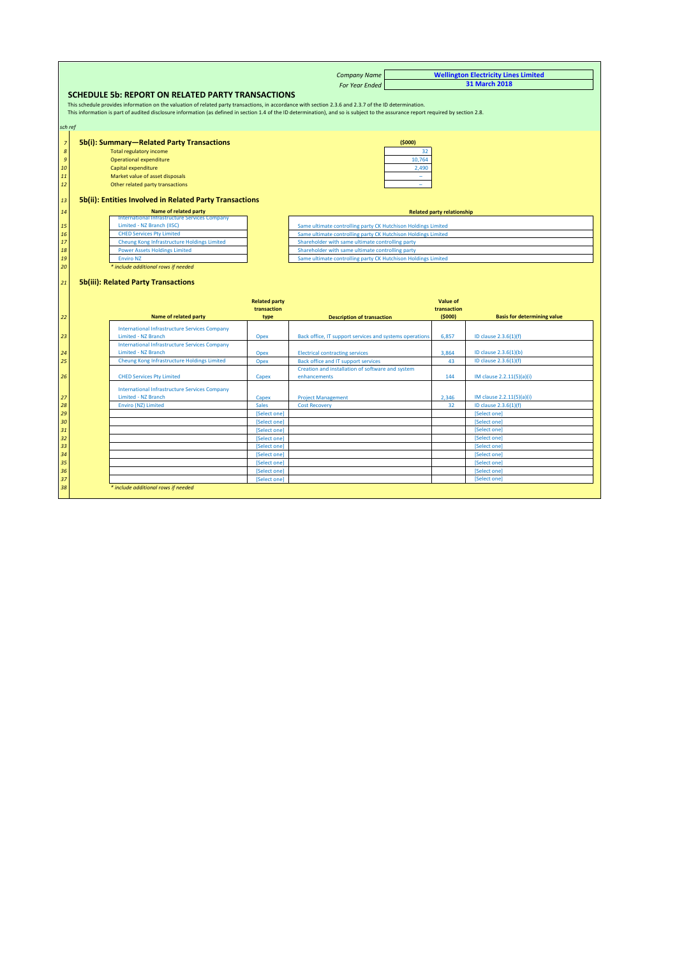<span id="page-14-0"></span>

|                                                                             |                              | <b>Company Name</b>                                                                                                                                                                |                                   | <b>Wellington Electricity Lines Limited</b> |  |
|-----------------------------------------------------------------------------|------------------------------|------------------------------------------------------------------------------------------------------------------------------------------------------------------------------------|-----------------------------------|---------------------------------------------|--|
|                                                                             |                              | <b>For Year Ended</b>                                                                                                                                                              |                                   | <b>31 March 2018</b>                        |  |
| SCHEDULE 5b: REPORT ON RELATED PARTY TRANSACTIONS                           |                              |                                                                                                                                                                                    |                                   |                                             |  |
|                                                                             |                              | This schedule provides information on the valuation of related party transactions, in accordance with section 2.3.6 and 2.3.7 of the ID determination.                             |                                   |                                             |  |
|                                                                             |                              | This information is part of audited disclosure information (as defined in section 1.4 of the ID determination), and so is subject to the assurance report required by section 2.8. |                                   |                                             |  |
|                                                                             |                              |                                                                                                                                                                                    |                                   |                                             |  |
|                                                                             |                              |                                                                                                                                                                                    |                                   |                                             |  |
| 5b(i): Summary-Related Party Transactions                                   |                              | (5000)                                                                                                                                                                             |                                   |                                             |  |
| <b>Total regulatory income</b>                                              |                              | 32                                                                                                                                                                                 |                                   |                                             |  |
| <b>Operational expenditure</b>                                              |                              | 10,764                                                                                                                                                                             |                                   |                                             |  |
| Capital expenditure                                                         |                              | 2,490                                                                                                                                                                              |                                   |                                             |  |
| Market value of asset disposals                                             |                              | $\sim$                                                                                                                                                                             |                                   |                                             |  |
| Other related party transactions                                            |                              | $\overline{\phantom{a}}$                                                                                                                                                           |                                   |                                             |  |
|                                                                             |                              |                                                                                                                                                                                    |                                   |                                             |  |
| 5b(ii): Entities Involved in Related Party Transactions                     |                              |                                                                                                                                                                                    |                                   |                                             |  |
| Name of related party<br>International Infrastructure Services Company      |                              |                                                                                                                                                                                    | <b>Related party relationship</b> |                                             |  |
| Limited - NZ Branch (IISC)                                                  |                              | Same ultimate controlling party CK Hutchison Holdings Limited                                                                                                                      |                                   |                                             |  |
| <b>CHED Services Pty Limited</b>                                            |                              | Same ultimate controlling party CK Hutchison Holdings Limited                                                                                                                      |                                   |                                             |  |
| Cheung Kong Infrastructure Holdings Limited                                 |                              | Shareholder with same ultimate controlling party                                                                                                                                   |                                   |                                             |  |
| <b>Power Assets Holdings Limited</b>                                        |                              | Shareholder with same ultimate controlling party                                                                                                                                   |                                   |                                             |  |
| <b>Enviro NZ</b>                                                            |                              | Same ultimate controlling party CK Hutchison Holdings Limited                                                                                                                      |                                   |                                             |  |
| * include additional rows if needed                                         |                              |                                                                                                                                                                                    |                                   |                                             |  |
|                                                                             |                              |                                                                                                                                                                                    |                                   |                                             |  |
| <b>5b(iii): Related Party Transactions</b>                                  |                              |                                                                                                                                                                                    |                                   |                                             |  |
|                                                                             | <b>Related party</b>         |                                                                                                                                                                                    | <b>Value of</b>                   |                                             |  |
| Name of related party                                                       | transaction<br>type          | <b>Description of transaction</b>                                                                                                                                                  | transaction<br>(5000)             | <b>Basis for determining value</b>          |  |
|                                                                             |                              |                                                                                                                                                                                    |                                   |                                             |  |
| <b>International Infrastructure Services Company</b><br>Limited - NZ Branch | Opex                         | Back office, IT support services and systems operations                                                                                                                            | 6.857                             | ID clause 2.3.6(1)(f)                       |  |
| <b>International Infrastructure Services Company</b>                        |                              |                                                                                                                                                                                    |                                   |                                             |  |
| Limited - NZ Branch                                                         | Opex                         | <b>Electrical contracting services</b>                                                                                                                                             | 3,864                             | ID clause 2.3.6(1)(b)                       |  |
| Cheung Kong Infrastructure Holdings Limited                                 | Opex                         | Back office and IT support services                                                                                                                                                | 43                                | ID clause 2.3.6(1)(f)                       |  |
|                                                                             |                              | Creation and installation of software and system                                                                                                                                   |                                   |                                             |  |
| <b>CHED Services Pty Limited</b>                                            | Capex                        | enhancements                                                                                                                                                                       | 144                               | IM clause 2.2.11(5)(a)(i)                   |  |
| <b>International Infrastructure Services Company</b>                        |                              |                                                                                                                                                                                    |                                   |                                             |  |
| Limited - NZ Branch                                                         | Capex                        | <b>Project Management</b>                                                                                                                                                          | 2,346                             | IM clause 2.2.11(5)(a)(i)                   |  |
| <b>Enviro (NZ) Limited</b>                                                  | <b>Sales</b>                 | <b>Cost Recovery</b>                                                                                                                                                               | 32                                | ID clause 2.3.6(1)(f)                       |  |
|                                                                             | [Select one]                 |                                                                                                                                                                                    |                                   | [Select one]                                |  |
|                                                                             | [Select one]                 |                                                                                                                                                                                    |                                   | [Select one]                                |  |
|                                                                             | [Select one]                 |                                                                                                                                                                                    |                                   | [Select one]                                |  |
|                                                                             | [Select one]                 |                                                                                                                                                                                    |                                   | [Select one]                                |  |
|                                                                             | [Select one]                 |                                                                                                                                                                                    |                                   | [Select one]                                |  |
|                                                                             | [Select one]                 |                                                                                                                                                                                    |                                   | [Select one]                                |  |
|                                                                             | [Select one]                 |                                                                                                                                                                                    |                                   | [Select one]                                |  |
|                                                                             | [Select one]<br>[Select one] |                                                                                                                                                                                    |                                   | [Select one]<br>[Select one]                |  |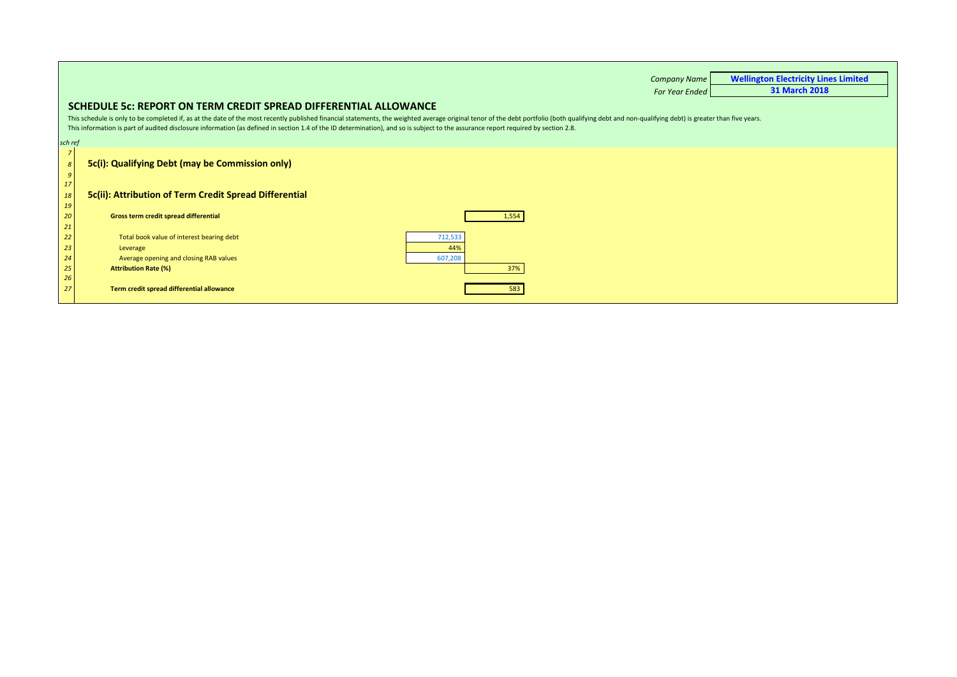|                                     |                                                                                                                                                                                                                                                                                                                                                                                                                                                                                          | <b>Company Name</b>   | <b>Wellington Electricity Lines Limited</b> |
|-------------------------------------|------------------------------------------------------------------------------------------------------------------------------------------------------------------------------------------------------------------------------------------------------------------------------------------------------------------------------------------------------------------------------------------------------------------------------------------------------------------------------------------|-----------------------|---------------------------------------------|
|                                     |                                                                                                                                                                                                                                                                                                                                                                                                                                                                                          | <b>For Year Ended</b> | <b>31 March 2018</b>                        |
|                                     | SCHEDULE 5c: REPORT ON TERM CREDIT SPREAD DIFFERENTIAL ALLOWANCE<br>This schedule is only to be completed if, as at the date of the most recently published financial statements, the weighted average original tenor of the debt portfolio (both qualifying debt and non-qualifying debt) is grea<br>This information is part of audited disclosure information (as defined in section 1.4 of the ID determination), and so is subject to the assurance report required by section 2.8. |                       |                                             |
| sch ref                             |                                                                                                                                                                                                                                                                                                                                                                                                                                                                                          |                       |                                             |
| $\pmb{8}$<br>$\boldsymbol{g}$<br>17 | 5c(i): Qualifying Debt (may be Commission only)                                                                                                                                                                                                                                                                                                                                                                                                                                          |                       |                                             |
| 18<br>19                            | 5c(ii): Attribution of Term Credit Spread Differential                                                                                                                                                                                                                                                                                                                                                                                                                                   |                       |                                             |
| 20<br>21                            | Gross term credit spread differential<br>1,554                                                                                                                                                                                                                                                                                                                                                                                                                                           |                       |                                             |
| 22                                  | Total book value of interest bearing debt<br>712,533                                                                                                                                                                                                                                                                                                                                                                                                                                     |                       |                                             |
| 23                                  | 44%<br>Leverage                                                                                                                                                                                                                                                                                                                                                                                                                                                                          |                       |                                             |
| 24                                  | Average opening and closing RAB values<br>607,208                                                                                                                                                                                                                                                                                                                                                                                                                                        |                       |                                             |
| 25                                  | 37%<br><b>Attribution Rate (%)</b>                                                                                                                                                                                                                                                                                                                                                                                                                                                       |                       |                                             |
| 26                                  |                                                                                                                                                                                                                                                                                                                                                                                                                                                                                          |                       |                                             |
| 27                                  | Term credit spread differential allowance                                                                                                                                                                                                                                                                                                                                                                                                                                                |                       |                                             |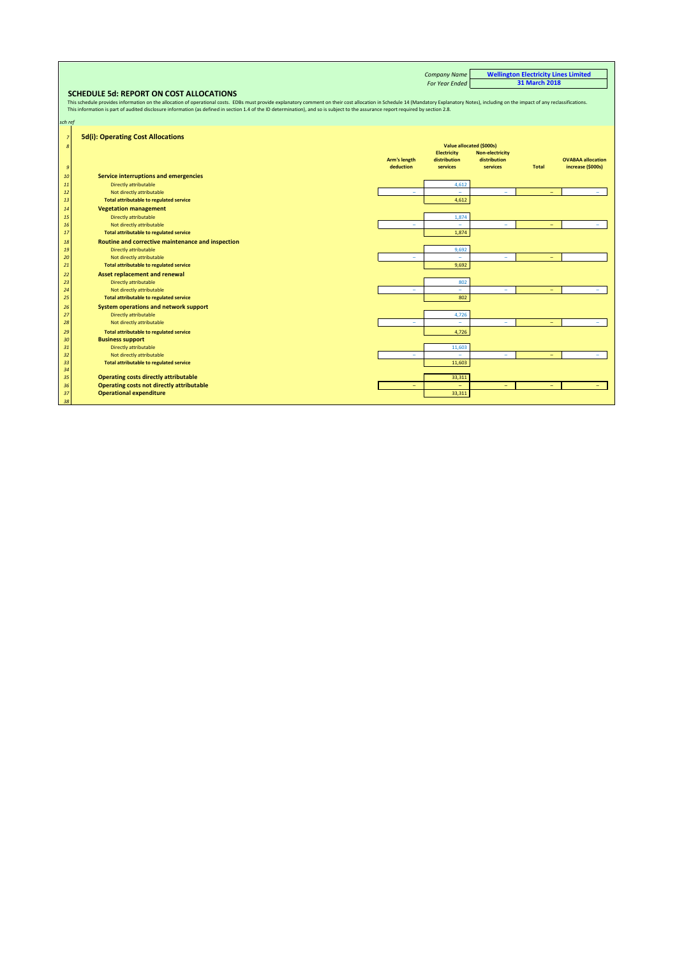|                |                                                                                                                                                                                                                                |                          | <b>Company Name</b>      |                        | <b>Wellington Electricity Lines Limited</b> |                          |
|----------------|--------------------------------------------------------------------------------------------------------------------------------------------------------------------------------------------------------------------------------|--------------------------|--------------------------|------------------------|---------------------------------------------|--------------------------|
|                |                                                                                                                                                                                                                                |                          | <b>For Year Ended</b>    |                        | <b>31 March 2018</b>                        |                          |
|                | <b>SCHEDULE 5d: REPORT ON COST ALLOCATIONS</b>                                                                                                                                                                                 |                          |                          |                        |                                             |                          |
|                | This schedule provides information on the allocation of operational costs. EDBs must provide explanatory comment on their cost allocation in Schedule 14 (Mandatory Explanatory Notes), including on the impact of any reclass |                          |                          |                        |                                             |                          |
|                | This information is part of audited disclosure information (as defined in section 1.4 of the ID determination), and so is subject to the assurance report required by section 2.8.                                             |                          |                          |                        |                                             |                          |
|                |                                                                                                                                                                                                                                |                          |                          |                        |                                             |                          |
| sch ref        |                                                                                                                                                                                                                                |                          |                          |                        |                                             |                          |
| $\overline{z}$ | <b>5d(i): Operating Cost Allocations</b>                                                                                                                                                                                       |                          |                          |                        |                                             |                          |
| 8              |                                                                                                                                                                                                                                |                          | Value allocated (\$000s) |                        |                                             |                          |
|                |                                                                                                                                                                                                                                |                          | <b>Electricity</b>       | <b>Non-electricity</b> |                                             |                          |
|                |                                                                                                                                                                                                                                | Arm's length             | distribution             | distribution           |                                             | <b>OVABAA allocation</b> |
| $\mathfrak{g}$ |                                                                                                                                                                                                                                | deduction                | services                 | services               | <b>Total</b>                                | increase (\$000s)        |
| 10             | Service interruptions and emergencies                                                                                                                                                                                          |                          |                          |                        |                                             |                          |
| 11             | Directly attributable                                                                                                                                                                                                          |                          | 4,612                    |                        |                                             |                          |
| 12             | Not directly attributable                                                                                                                                                                                                      | $\overline{\phantom{a}}$ |                          | ۳                      |                                             |                          |
| 13             | <b>Total attributable to regulated service</b>                                                                                                                                                                                 |                          | 4,612                    |                        |                                             |                          |
| 14             | <b>Vegetation management</b>                                                                                                                                                                                                   |                          |                          |                        |                                             |                          |
| 15             | Directly attributable                                                                                                                                                                                                          |                          | 1,874                    |                        |                                             |                          |
| 16             | Not directly attributable                                                                                                                                                                                                      | $\sim$                   |                          | ۳                      |                                             |                          |
| 17             | <b>Total attributable to regulated service</b>                                                                                                                                                                                 |                          | 1,874                    |                        |                                             |                          |
| 18             | Routine and corrective maintenance and inspection                                                                                                                                                                              |                          |                          |                        |                                             |                          |
| 19             | Directly attributable                                                                                                                                                                                                          |                          | 9,692                    |                        |                                             |                          |
| 20             | Not directly attributable                                                                                                                                                                                                      | $\sim$                   | $=$                      | ÷                      |                                             |                          |
| 21             | <b>Total attributable to regulated service</b>                                                                                                                                                                                 |                          | 9,692                    |                        |                                             |                          |
| 22             | <b>Asset replacement and renewal</b>                                                                                                                                                                                           |                          |                          |                        |                                             |                          |
| 23             | Directly attributable                                                                                                                                                                                                          |                          | 802                      |                        |                                             |                          |
| 24             | Not directly attributable                                                                                                                                                                                                      | $\equiv$                 | $=$                      | ÷.                     |                                             |                          |
| 25             | <b>Total attributable to regulated service</b>                                                                                                                                                                                 |                          | 802                      |                        |                                             |                          |
| 26             | System operations and network support                                                                                                                                                                                          |                          |                          |                        |                                             |                          |
| 27             | Directly attributable                                                                                                                                                                                                          |                          | 4,726                    |                        |                                             |                          |
| 28             | Not directly attributable                                                                                                                                                                                                      | $\equiv$                 | ÷                        | ۳                      |                                             |                          |
| 29             | <b>Total attributable to regulated service</b>                                                                                                                                                                                 |                          | 4,726                    |                        |                                             |                          |
| 30             | <b>Business support</b>                                                                                                                                                                                                        |                          |                          |                        |                                             |                          |
| 31             | Directly attributable                                                                                                                                                                                                          |                          | 11,603                   |                        |                                             |                          |
| 32             | Not directly attributable                                                                                                                                                                                                      |                          | -                        | ۰                      |                                             |                          |
| 33<br>34       | <b>Total attributable to regulated service</b>                                                                                                                                                                                 |                          | 11,603                   |                        |                                             |                          |
| 35             | <b>Operating costs directly attributable</b>                                                                                                                                                                                   |                          | 33,311                   |                        |                                             |                          |
| 36             | <b>Operating costs not directly attributable</b>                                                                                                                                                                               |                          | ۳                        | ۰                      |                                             |                          |
| 37             | <b>Operational expenditure</b>                                                                                                                                                                                                 |                          | 33,311                   |                        |                                             |                          |
| 38             |                                                                                                                                                                                                                                |                          |                          |                        |                                             |                          |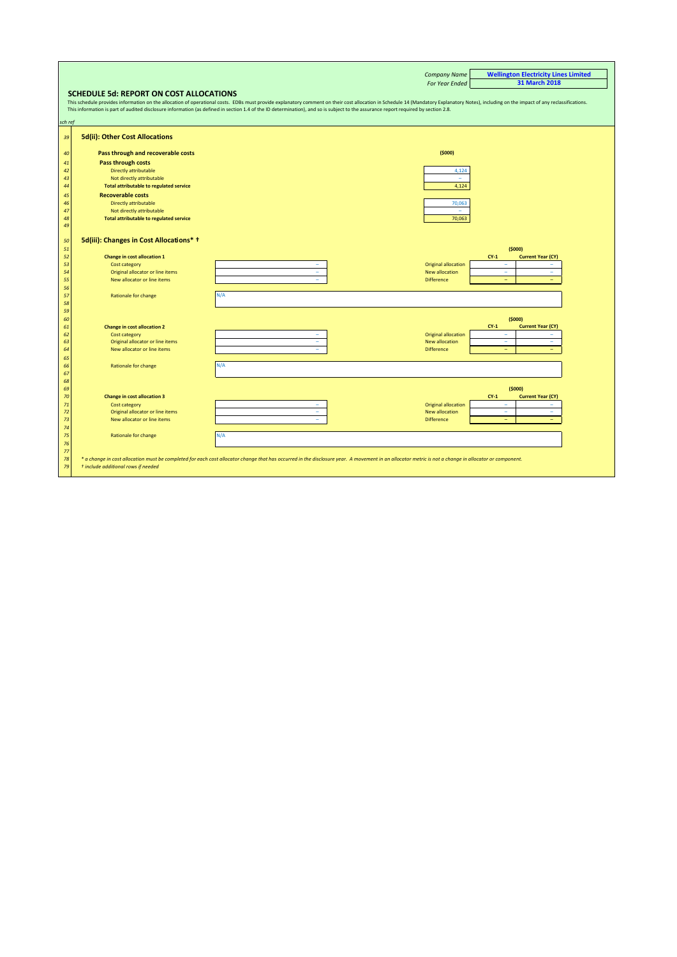<span id="page-17-0"></span>

|          |                                                     | <b>Company Name</b>                                                                                                                                                                                                            | <b>Wellington Electricity Lines Limited</b>  |
|----------|-----------------------------------------------------|--------------------------------------------------------------------------------------------------------------------------------------------------------------------------------------------------------------------------------|----------------------------------------------|
|          |                                                     | <b>For Year Ended</b>                                                                                                                                                                                                          | <b>31 March 2018</b>                         |
|          | <b>SCHEDULE 5d: REPORT ON COST ALLOCATIONS</b>      |                                                                                                                                                                                                                                |                                              |
|          |                                                     | This schedule provides information on the allocation of operational costs. EDBs must provide explanatory comment on their cost allocation in Schedule 14 (Mandatory Explanatory Notes), including on the impact of any reclass |                                              |
|          |                                                     | This information is part of audited disclosure information (as defined in section 1.4 of the ID determination), and so is subject to the assurance report required by section 2.8.                                             |                                              |
|          |                                                     |                                                                                                                                                                                                                                |                                              |
| sch ref  |                                                     |                                                                                                                                                                                                                                |                                              |
| 39       | 5d(ii): Other Cost Allocations                      |                                                                                                                                                                                                                                |                                              |
|          |                                                     |                                                                                                                                                                                                                                |                                              |
| 40       | Pass through and recoverable costs                  | (5000)                                                                                                                                                                                                                         |                                              |
| 41       | Pass through costs                                  |                                                                                                                                                                                                                                |                                              |
| 42       | Directly attributable                               | 4,124                                                                                                                                                                                                                          |                                              |
| 43       | Not directly attributable                           | $\sim$                                                                                                                                                                                                                         |                                              |
| 44       | <b>Total attributable to regulated service</b>      | 4,124                                                                                                                                                                                                                          |                                              |
| 45       | <b>Recoverable costs</b>                            |                                                                                                                                                                                                                                |                                              |
| 46       | Directly attributable                               | 70,063                                                                                                                                                                                                                         |                                              |
| 47       | Not directly attributable                           | $\sim$                                                                                                                                                                                                                         |                                              |
| 48       | <b>Total attributable to regulated service</b>      | 70,063                                                                                                                                                                                                                         |                                              |
| 49       |                                                     |                                                                                                                                                                                                                                |                                              |
| 50       | 5d(iii): Changes in Cost Allocations* +             |                                                                                                                                                                                                                                |                                              |
| 51       |                                                     |                                                                                                                                                                                                                                | (5000)                                       |
| 52       | <b>Change in cost allocation 1</b>                  |                                                                                                                                                                                                                                | <b>Current Year (CY)</b><br>$CY-1$           |
| 53       | Cost category                                       | <b>Original allocation</b><br>$\overline{\phantom{a}}$                                                                                                                                                                         | $\overline{\phantom{a}}$<br>۰                |
| 54       | Original allocator or line items                    | ٠<br>New allocation                                                                                                                                                                                                            | $\equiv$<br>٠                                |
| 55       | New allocator or line items                         | ÷<br><b>Difference</b>                                                                                                                                                                                                         | $\equiv$<br>÷                                |
| 56       |                                                     |                                                                                                                                                                                                                                |                                              |
| 57       | Rationale for change                                | N/A                                                                                                                                                                                                                            |                                              |
| 58       |                                                     |                                                                                                                                                                                                                                |                                              |
| 59       |                                                     |                                                                                                                                                                                                                                |                                              |
| 60       |                                                     |                                                                                                                                                                                                                                | (5000)<br>$CY-1$<br><b>Current Year (CY)</b> |
| 61<br>62 | <b>Change in cost allocation 2</b><br>Cost category | <b>Original allocation</b><br>$\overline{\phantom{a}}$                                                                                                                                                                         | $\equiv$<br>÷                                |
| 63       | Original allocator or line items                    | ÷,<br>New allocation                                                                                                                                                                                                           | ٠                                            |
| 64       | New allocator or line items                         | ÷.<br><b>Difference</b>                                                                                                                                                                                                        | $\equiv$<br>$\equiv$                         |
| 65       |                                                     |                                                                                                                                                                                                                                |                                              |
| 66       | Rationale for change                                | N/A                                                                                                                                                                                                                            |                                              |
| 67       |                                                     |                                                                                                                                                                                                                                |                                              |
| 68       |                                                     |                                                                                                                                                                                                                                |                                              |
| 69       |                                                     |                                                                                                                                                                                                                                | (5000)                                       |
| 70       | <b>Change in cost allocation 3</b>                  |                                                                                                                                                                                                                                | <b>Current Year (CY)</b><br>$CY-1$           |
| 71<br>72 | Cost category<br>Original allocator or line items   | <b>Original allocation</b><br>$\qquad \qquad =$<br>New allocation<br>$\overline{\phantom{a}}$                                                                                                                                  | $\qquad \qquad =$<br>$\equiv$<br>÷.<br>۳     |
| 73       | New allocator or line items                         | <b>Difference</b><br>$\sim$                                                                                                                                                                                                    | $\equiv$<br>÷                                |
| 74       |                                                     |                                                                                                                                                                                                                                |                                              |
| 75       | Rationale for change                                | N/A                                                                                                                                                                                                                            |                                              |
| 76       |                                                     |                                                                                                                                                                                                                                |                                              |
| 77       |                                                     |                                                                                                                                                                                                                                |                                              |
| 78       |                                                     | * a change in cost allocation must be completed for each cost allocator change that has occurred in the disclosure year. A movement in an allocator metric is not a change in allocator or component.                          |                                              |
| 79       | t include additional rows if needed                 |                                                                                                                                                                                                                                |                                              |
|          |                                                     |                                                                                                                                                                                                                                |                                              |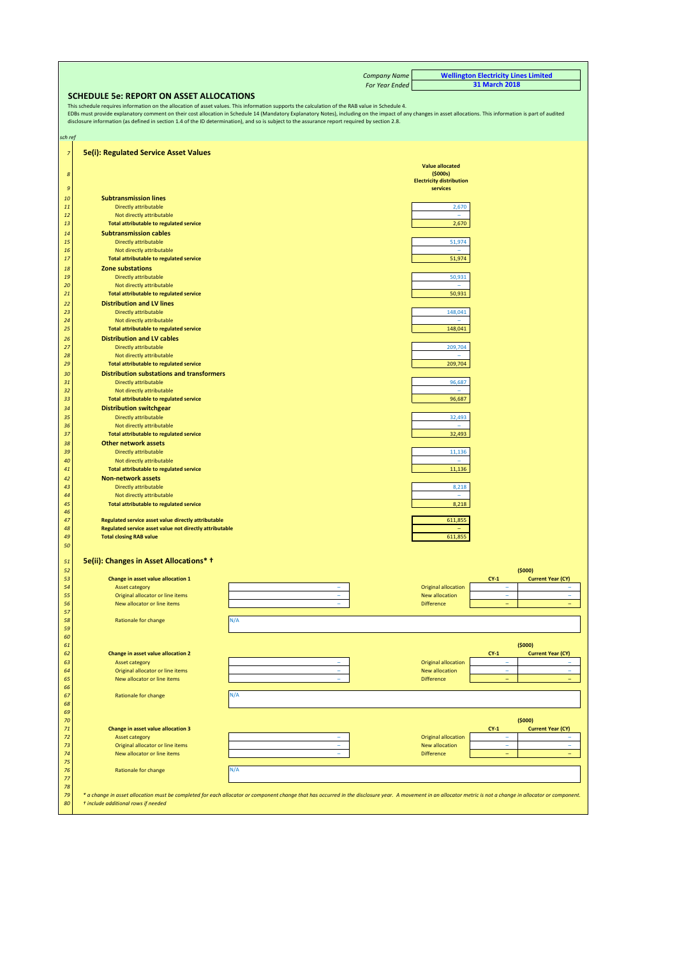|                |                                                                                                                                                                                                                                                                                                                                                                                                                                                                                                                                                                       |                          | <b>Company Name</b> |                                                        | <b>Wellington Electricity Lines Limited</b>          |  |  |  |  |  |  |  |  |
|----------------|-----------------------------------------------------------------------------------------------------------------------------------------------------------------------------------------------------------------------------------------------------------------------------------------------------------------------------------------------------------------------------------------------------------------------------------------------------------------------------------------------------------------------------------------------------------------------|--------------------------|---------------------|--------------------------------------------------------|------------------------------------------------------|--|--|--|--|--|--|--|--|
|                |                                                                                                                                                                                                                                                                                                                                                                                                                                                                                                                                                                       |                          | For Year Ended      |                                                        | 31 March 2018                                        |  |  |  |  |  |  |  |  |
|                | <b>SCHEDULE 5e: REPORT ON ASSET ALLOCATIONS</b><br>This schedule requires information on the allocation of asset values. This information supports the calculation of the RAB value in Schedule 4.<br>EDBs must provide explanatory comment on their cost allocation in Schedule 14 (Mandatory Explanatory Notes), including on the impact of any changes in asset allocations. This information is part of audited<br>disclosure information (as defined in section 1.4 of the ID determination), and so is subject to the assurance report required by section 2.8. |                          |                     |                                                        |                                                      |  |  |  |  |  |  |  |  |
| sch ref        |                                                                                                                                                                                                                                                                                                                                                                                                                                                                                                                                                                       |                          |                     |                                                        |                                                      |  |  |  |  |  |  |  |  |
| $\overline{7}$ | <b>5e(i): Regulated Service Asset Values</b>                                                                                                                                                                                                                                                                                                                                                                                                                                                                                                                          |                          |                     |                                                        |                                                      |  |  |  |  |  |  |  |  |
|                |                                                                                                                                                                                                                                                                                                                                                                                                                                                                                                                                                                       |                          |                     | <b>Value allocated</b>                                 |                                                      |  |  |  |  |  |  |  |  |
| 8<br>9         |                                                                                                                                                                                                                                                                                                                                                                                                                                                                                                                                                                       |                          |                     | (5000s)<br><b>Electricity distribution</b><br>services |                                                      |  |  |  |  |  |  |  |  |
| 10             | <b>Subtransmission lines</b>                                                                                                                                                                                                                                                                                                                                                                                                                                                                                                                                          |                          |                     |                                                        |                                                      |  |  |  |  |  |  |  |  |
| 11<br>12       | Directly attributable<br>Not directly attributable                                                                                                                                                                                                                                                                                                                                                                                                                                                                                                                    |                          |                     | 2,670<br>÷                                             |                                                      |  |  |  |  |  |  |  |  |
| 13             | <b>Total attributable to regulated service</b>                                                                                                                                                                                                                                                                                                                                                                                                                                                                                                                        |                          |                     | 2,670                                                  |                                                      |  |  |  |  |  |  |  |  |
| 14             | <b>Subtransmission cables</b>                                                                                                                                                                                                                                                                                                                                                                                                                                                                                                                                         |                          |                     |                                                        |                                                      |  |  |  |  |  |  |  |  |
| 15<br>16       | Directly attributable<br>Not directly attributable                                                                                                                                                                                                                                                                                                                                                                                                                                                                                                                    |                          |                     | 51,974<br>÷,                                           |                                                      |  |  |  |  |  |  |  |  |
| 17             | <b>Total attributable to regulated service</b>                                                                                                                                                                                                                                                                                                                                                                                                                                                                                                                        |                          |                     | 51,974                                                 |                                                      |  |  |  |  |  |  |  |  |
| 18             | Zone substations                                                                                                                                                                                                                                                                                                                                                                                                                                                                                                                                                      |                          |                     |                                                        |                                                      |  |  |  |  |  |  |  |  |
| 19<br>20       | <b>Directly attributable</b><br>Not directly attributable                                                                                                                                                                                                                                                                                                                                                                                                                                                                                                             |                          |                     | 50,931                                                 |                                                      |  |  |  |  |  |  |  |  |
| 21             | Total attributable to regulated service                                                                                                                                                                                                                                                                                                                                                                                                                                                                                                                               |                          |                     | 50,931                                                 |                                                      |  |  |  |  |  |  |  |  |
| 22             | <b>Distribution and LV lines</b>                                                                                                                                                                                                                                                                                                                                                                                                                                                                                                                                      |                          |                     |                                                        |                                                      |  |  |  |  |  |  |  |  |
| 23             | Directly attributable                                                                                                                                                                                                                                                                                                                                                                                                                                                                                                                                                 |                          |                     | 148,041                                                |                                                      |  |  |  |  |  |  |  |  |
| 24<br>25       | Not directly attributable<br><b>Total attributable to regulated service</b>                                                                                                                                                                                                                                                                                                                                                                                                                                                                                           |                          |                     | 148,041                                                |                                                      |  |  |  |  |  |  |  |  |
| 26             | <b>Distribution and LV cables</b>                                                                                                                                                                                                                                                                                                                                                                                                                                                                                                                                     |                          |                     |                                                        |                                                      |  |  |  |  |  |  |  |  |
| 27             | Directly attributable                                                                                                                                                                                                                                                                                                                                                                                                                                                                                                                                                 |                          |                     | 209,704                                                |                                                      |  |  |  |  |  |  |  |  |
| 28<br>29       | Not directly attributable<br>Total attributable to regulated service                                                                                                                                                                                                                                                                                                                                                                                                                                                                                                  |                          |                     | 209,704                                                |                                                      |  |  |  |  |  |  |  |  |
| 30             | <b>Distribution substations and transformers</b>                                                                                                                                                                                                                                                                                                                                                                                                                                                                                                                      |                          |                     |                                                        |                                                      |  |  |  |  |  |  |  |  |
| 31<br>32       | Directly attributable                                                                                                                                                                                                                                                                                                                                                                                                                                                                                                                                                 |                          |                     | 96,687<br>÷                                            |                                                      |  |  |  |  |  |  |  |  |
| 33             | Not directly attributable<br>Total attributable to regulated service                                                                                                                                                                                                                                                                                                                                                                                                                                                                                                  |                          |                     | 96,687                                                 |                                                      |  |  |  |  |  |  |  |  |
| 34             | <b>Distribution switchgear</b>                                                                                                                                                                                                                                                                                                                                                                                                                                                                                                                                        |                          |                     |                                                        |                                                      |  |  |  |  |  |  |  |  |
| 35<br>36       | Directly attributable<br>Not directly attributable                                                                                                                                                                                                                                                                                                                                                                                                                                                                                                                    |                          |                     | 32,493                                                 |                                                      |  |  |  |  |  |  |  |  |
| 37             | Total attributable to regulated service                                                                                                                                                                                                                                                                                                                                                                                                                                                                                                                               |                          |                     | 32,493                                                 |                                                      |  |  |  |  |  |  |  |  |
| 38             | <b>Other network assets</b>                                                                                                                                                                                                                                                                                                                                                                                                                                                                                                                                           |                          |                     |                                                        |                                                      |  |  |  |  |  |  |  |  |
| 39<br>40       | Directly attributable<br>Not directly attributable                                                                                                                                                                                                                                                                                                                                                                                                                                                                                                                    |                          |                     | 11,136                                                 |                                                      |  |  |  |  |  |  |  |  |
| 41             | Total attributable to regulated service                                                                                                                                                                                                                                                                                                                                                                                                                                                                                                                               |                          |                     | 11,136                                                 |                                                      |  |  |  |  |  |  |  |  |
| 42             | <b>Non-network assets</b>                                                                                                                                                                                                                                                                                                                                                                                                                                                                                                                                             |                          |                     |                                                        |                                                      |  |  |  |  |  |  |  |  |
| 43<br>44       | Directly attributable<br>Not directly attributable                                                                                                                                                                                                                                                                                                                                                                                                                                                                                                                    |                          |                     | 8,218<br>÷                                             |                                                      |  |  |  |  |  |  |  |  |
| 45             | <b>Total attributable to regulated service</b>                                                                                                                                                                                                                                                                                                                                                                                                                                                                                                                        |                          |                     | 8,218                                                  |                                                      |  |  |  |  |  |  |  |  |
| 46<br>47       | Regulated service asset value directly attributable                                                                                                                                                                                                                                                                                                                                                                                                                                                                                                                   |                          |                     | 611,855                                                |                                                      |  |  |  |  |  |  |  |  |
| 48             | Regulated service asset value not directly attributable                                                                                                                                                                                                                                                                                                                                                                                                                                                                                                               |                          |                     |                                                        |                                                      |  |  |  |  |  |  |  |  |
| 49<br>50       | <b>Total closing RAB value</b>                                                                                                                                                                                                                                                                                                                                                                                                                                                                                                                                        |                          |                     | 611,855                                                |                                                      |  |  |  |  |  |  |  |  |
|                |                                                                                                                                                                                                                                                                                                                                                                                                                                                                                                                                                                       |                          |                     |                                                        |                                                      |  |  |  |  |  |  |  |  |
| 51             | 5e(ii): Changes in Asset Allocations* +                                                                                                                                                                                                                                                                                                                                                                                                                                                                                                                               |                          |                     |                                                        |                                                      |  |  |  |  |  |  |  |  |
| 52<br>53       | Change in asset value allocation 1                                                                                                                                                                                                                                                                                                                                                                                                                                                                                                                                    |                          |                     |                                                        | (5000)<br>$CY-1$<br><b>Current Year (CY)</b>         |  |  |  |  |  |  |  |  |
| 54             | <b>Asset category</b>                                                                                                                                                                                                                                                                                                                                                                                                                                                                                                                                                 |                          |                     | <b>Original allocation</b>                             | ۰                                                    |  |  |  |  |  |  |  |  |
| 55<br>56       | Original allocator or line items<br>New allocator or line items                                                                                                                                                                                                                                                                                                                                                                                                                                                                                                       | ÷<br>$\overline{a}$      |                     | New allocation<br><b>Difference</b>                    | ÷<br>$\overline{\phantom{0}}$                        |  |  |  |  |  |  |  |  |
| 57             |                                                                                                                                                                                                                                                                                                                                                                                                                                                                                                                                                                       |                          |                     |                                                        |                                                      |  |  |  |  |  |  |  |  |
| 58<br>59       | Rationale for change                                                                                                                                                                                                                                                                                                                                                                                                                                                                                                                                                  | N/A                      |                     |                                                        |                                                      |  |  |  |  |  |  |  |  |
| 60             |                                                                                                                                                                                                                                                                                                                                                                                                                                                                                                                                                                       |                          |                     |                                                        |                                                      |  |  |  |  |  |  |  |  |
| 61             |                                                                                                                                                                                                                                                                                                                                                                                                                                                                                                                                                                       |                          |                     |                                                        | (5000)                                               |  |  |  |  |  |  |  |  |
| 62<br>63       | Change in asset value allocation 2<br><b>Asset category</b>                                                                                                                                                                                                                                                                                                                                                                                                                                                                                                           |                          |                     | <b>Original allocation</b>                             | $CY-1$<br><b>Current Year (CY)</b><br>۰              |  |  |  |  |  |  |  |  |
| 64             | Original allocator or line items                                                                                                                                                                                                                                                                                                                                                                                                                                                                                                                                      | $\overline{\phantom{a}}$ |                     | New allocation                                         | ٠<br>٠                                               |  |  |  |  |  |  |  |  |
| 65<br>66       | New allocator or line items                                                                                                                                                                                                                                                                                                                                                                                                                                                                                                                                           | ÷                        |                     | <b>Difference</b>                                      | $\overline{\phantom{0}}$<br>$\overline{\phantom{0}}$ |  |  |  |  |  |  |  |  |
| 67             | Rationale for change                                                                                                                                                                                                                                                                                                                                                                                                                                                                                                                                                  | N/A                      |                     |                                                        |                                                      |  |  |  |  |  |  |  |  |
| 68             |                                                                                                                                                                                                                                                                                                                                                                                                                                                                                                                                                                       |                          |                     |                                                        |                                                      |  |  |  |  |  |  |  |  |
| 69<br>70       |                                                                                                                                                                                                                                                                                                                                                                                                                                                                                                                                                                       |                          |                     |                                                        | (5000)                                               |  |  |  |  |  |  |  |  |
| 71             | Change in asset value allocation 3                                                                                                                                                                                                                                                                                                                                                                                                                                                                                                                                    |                          |                     |                                                        | $CY-1$<br><b>Current Year (CY)</b>                   |  |  |  |  |  |  |  |  |
| 72<br>73       | <b>Asset category</b><br>Original allocator or line items                                                                                                                                                                                                                                                                                                                                                                                                                                                                                                             |                          |                     | <b>Original allocation</b><br>New allocation           | ٠                                                    |  |  |  |  |  |  |  |  |
| 74             | New allocator or line items                                                                                                                                                                                                                                                                                                                                                                                                                                                                                                                                           | ÷,                       |                     | <b>Difference</b>                                      | ÷<br>$\equiv$                                        |  |  |  |  |  |  |  |  |
| 75<br>76       | Rationale for change                                                                                                                                                                                                                                                                                                                                                                                                                                                                                                                                                  | N/A                      |                     |                                                        |                                                      |  |  |  |  |  |  |  |  |
| 77             |                                                                                                                                                                                                                                                                                                                                                                                                                                                                                                                                                                       |                          |                     |                                                        |                                                      |  |  |  |  |  |  |  |  |
| 78<br>79       | * a change in asset allocation must be completed for each allocator or component change that has occurred in the disclosure year. A movement in an allocator metric is not a change in allocator or component.                                                                                                                                                                                                                                                                                                                                                        |                          |                     |                                                        |                                                      |  |  |  |  |  |  |  |  |
| 80             | t include additional rows if needed                                                                                                                                                                                                                                                                                                                                                                                                                                                                                                                                   |                          |                     |                                                        |                                                      |  |  |  |  |  |  |  |  |
|                |                                                                                                                                                                                                                                                                                                                                                                                                                                                                                                                                                                       |                          |                     |                                                        |                                                      |  |  |  |  |  |  |  |  |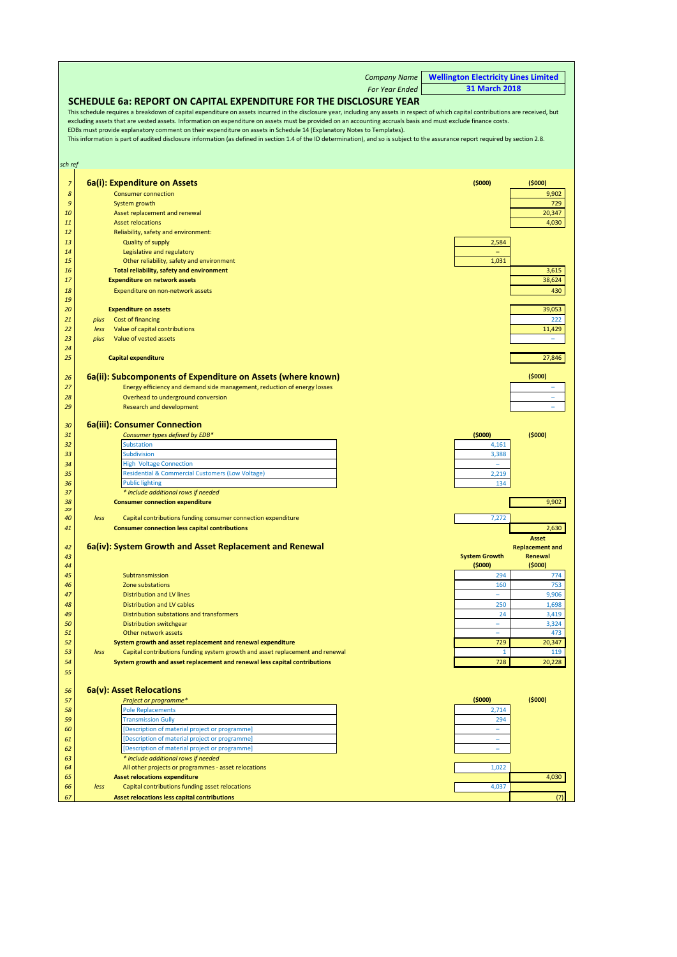|          |      |                                                                                                                                                                                       | <b>Company Name</b>   | <b>Wellington Electricity Lines Limited</b> |                              |
|----------|------|---------------------------------------------------------------------------------------------------------------------------------------------------------------------------------------|-----------------------|---------------------------------------------|------------------------------|
|          |      |                                                                                                                                                                                       | <b>For Year Ended</b> | 31 March 2018                               |                              |
|          |      | SCHEDULE 6a: REPORT ON CAPITAL EXPENDITURE FOR THE DISCLOSURE YEAR                                                                                                                    |                       |                                             |                              |
|          |      | This schedule requires a breakdown of capital expenditure on assets incurred in the disclosure year, including any assets in respect of which capital contributions are received, but |                       |                                             |                              |
|          |      | excluding assets that are vested assets. Information on expenditure on assets must be provided on an accounting accruals basis and must exclude finance costs.                        |                       |                                             |                              |
|          |      | EDBs must provide explanatory comment on their expenditure on assets in Schedule 14 (Explanatory Notes to Templates).                                                                 |                       |                                             |                              |
|          |      | This information is part of audited disclosure information (as defined in section 1.4 of the ID determination), and so is subject to the assurance report required by section 2.8.    |                       |                                             |                              |
|          |      |                                                                                                                                                                                       |                       |                                             |                              |
|          |      |                                                                                                                                                                                       |                       |                                             |                              |
| sch ref  |      |                                                                                                                                                                                       |                       |                                             |                              |
| 7        |      | 6a(i): Expenditure on Assets                                                                                                                                                          |                       | (5000)                                      | (5000)                       |
| 8        |      | <b>Consumer connection</b>                                                                                                                                                            |                       |                                             | 9,902                        |
| 9        |      | System growth                                                                                                                                                                         |                       |                                             | 729                          |
| 10       |      | Asset replacement and renewal                                                                                                                                                         |                       |                                             | 20,347                       |
| 11       |      | <b>Asset relocations</b>                                                                                                                                                              |                       |                                             | 4,030                        |
| 12       |      | Reliability, safety and environment:                                                                                                                                                  |                       |                                             |                              |
| 13       |      | <b>Quality of supply</b>                                                                                                                                                              |                       | 2,584                                       |                              |
| 14       |      | Legislative and regulatory                                                                                                                                                            |                       |                                             |                              |
| 15       |      | Other reliability, safety and environment                                                                                                                                             |                       | 1,031                                       |                              |
| 16       |      | Total reliability, safety and environment                                                                                                                                             |                       |                                             | 3,615                        |
| 17       |      | <b>Expenditure on network assets</b>                                                                                                                                                  |                       |                                             | 38,624                       |
| 18       |      | Expenditure on non-network assets                                                                                                                                                     |                       |                                             | 430                          |
| 19       |      |                                                                                                                                                                                       |                       |                                             |                              |
| 20       |      | <b>Expenditure on assets</b>                                                                                                                                                          |                       |                                             | 39,053                       |
| 21       | plus | Cost of financing                                                                                                                                                                     |                       |                                             | 222                          |
| 22       | less | Value of capital contributions                                                                                                                                                        |                       |                                             | 11,429                       |
| 23<br>24 | plus | Value of vested assets                                                                                                                                                                |                       |                                             | ÷,                           |
| 25       |      | <b>Capital expenditure</b>                                                                                                                                                            |                       |                                             | 27,846                       |
|          |      |                                                                                                                                                                                       |                       |                                             |                              |
| 26       |      | 6a(ii): Subcomponents of Expenditure on Assets (where known)                                                                                                                          |                       |                                             | (5000)                       |
| 27       |      | Energy efficiency and demand side management, reduction of energy losses                                                                                                              |                       |                                             | $\qquad \qquad \blacksquare$ |
| 28       |      | Overhead to underground conversion                                                                                                                                                    |                       |                                             |                              |
| 29       |      | <b>Research and development</b>                                                                                                                                                       |                       |                                             | ÷                            |
|          |      |                                                                                                                                                                                       |                       |                                             |                              |
| 30       |      | <b>6a(iii): Consumer Connection</b>                                                                                                                                                   |                       |                                             |                              |
| 31       |      | Consumer types defined by EDB*                                                                                                                                                        |                       | (5000)                                      | (5000)                       |
| 32       |      | Substation                                                                                                                                                                            |                       | 4,161                                       |                              |
| 33       |      | Subdivision                                                                                                                                                                           |                       | 3,388                                       |                              |
| 34       |      | <b>High Voltage Connection</b>                                                                                                                                                        |                       |                                             |                              |
| 35       |      | <b>Residential &amp; Commercial Customers (Low Voltage)</b>                                                                                                                           |                       | 2,219                                       |                              |
| 36       |      | <b>Public lighting</b>                                                                                                                                                                |                       | 134                                         |                              |
| 37       |      | * include additional rows if needed                                                                                                                                                   |                       |                                             |                              |
| 38<br>39 |      | <b>Consumer connection expenditure</b>                                                                                                                                                |                       |                                             | 9,902                        |
| 40       | less | Capital contributions funding consumer connection expenditure                                                                                                                         |                       | 7,272                                       |                              |
| 41       |      | <b>Consumer connection less capital contributions</b>                                                                                                                                 |                       |                                             | 2,630                        |
|          |      |                                                                                                                                                                                       |                       |                                             | <b>Asset</b>                 |
| 42       |      | 6a(iv): System Growth and Asset Replacement and Renewal                                                                                                                               |                       |                                             | <b>Replacement and</b>       |
| 43       |      |                                                                                                                                                                                       |                       | <b>System Growth</b>                        | Renewal                      |
| 44       |      |                                                                                                                                                                                       |                       | (5000)                                      | (5000)                       |
| 45       |      | Subtransmission                                                                                                                                                                       |                       | 294                                         | 774                          |
| 46       |      | Zone substations                                                                                                                                                                      |                       | 160                                         | 753                          |
| 47       |      | <b>Distribution and LV lines</b>                                                                                                                                                      |                       |                                             | 9,906                        |
| 48       |      | <b>Distribution and LV cables</b>                                                                                                                                                     |                       | 250                                         | 1,698                        |
| 49       |      | Distribution substations and transformers                                                                                                                                             |                       | 24                                          | 3,419                        |
| 50       |      | Distribution switchgear                                                                                                                                                               |                       | ÷,                                          | 3,324                        |
| 51<br>52 |      | Other network assets                                                                                                                                                                  |                       | 729                                         | 473<br>20,347                |
| 53       | less | System growth and asset replacement and renewal expenditure<br>Capital contributions funding system growth and asset replacement and renewal                                          |                       | 1                                           | 119                          |
| 54       |      | System growth and asset replacement and renewal less capital contributions                                                                                                            |                       | 728                                         | 20,228                       |
| 55       |      |                                                                                                                                                                                       |                       |                                             |                              |
|          |      |                                                                                                                                                                                       |                       |                                             |                              |
| 56       |      | 6a(v): Asset Relocations                                                                                                                                                              |                       |                                             |                              |
| 57       |      | Project or programme*                                                                                                                                                                 |                       | (5000)                                      | (5000)                       |
| 58       |      | <b>Pole Replacements</b>                                                                                                                                                              |                       | 2,714                                       |                              |
| 59       |      | <b>Transmission Gully</b>                                                                                                                                                             |                       | 294                                         |                              |
| 60       |      | [Description of material project or programme]                                                                                                                                        |                       | ÷                                           |                              |
| 61       |      | [Description of material project or programme]                                                                                                                                        |                       | Ξ                                           |                              |
| 62       |      | [Description of material project or programme]                                                                                                                                        |                       | ۳                                           |                              |
| 63       |      | * include additional rows if needed                                                                                                                                                   |                       |                                             |                              |
| 64       |      | All other projects or programmes - asset relocations                                                                                                                                  |                       | 1,022                                       |                              |
| 65       |      | <b>Asset relocations expenditure</b>                                                                                                                                                  |                       |                                             | 4,030                        |
| 66       | less | Capital contributions funding asset relocations                                                                                                                                       |                       | 4,037                                       |                              |
| 67       |      | Asset relocations less capital contributions                                                                                                                                          |                       |                                             | (7)                          |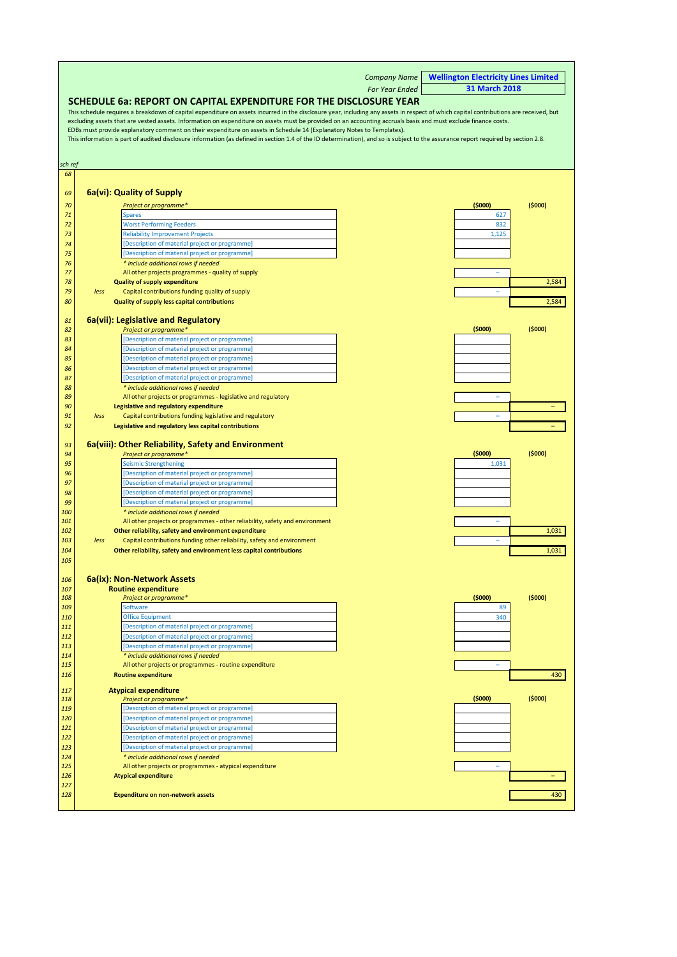<span id="page-20-0"></span>

|            |      |                                                                                                                                                                                                                                                                                                             | <b>Company Name</b> | <b>Wellington Electricity Lines Limited</b> |
|------------|------|-------------------------------------------------------------------------------------------------------------------------------------------------------------------------------------------------------------------------------------------------------------------------------------------------------------|---------------------|---------------------------------------------|
|            |      |                                                                                                                                                                                                                                                                                                             | For Year Ended      | <b>31 March 2018</b>                        |
|            |      | SCHEDULE 6a: REPORT ON CAPITAL EXPENDITURE FOR THE DISCLOSURE YEAR                                                                                                                                                                                                                                          |                     |                                             |
|            |      | This schedule requires a breakdown of capital expenditure on assets incurred in the disclosure year, including any assets in respect of which capital contributions are received, but                                                                                                                       |                     |                                             |
|            |      | excluding assets that are vested assets. Information on expenditure on assets must be provided on an accounting accruals basis and must exclude finance costs.                                                                                                                                              |                     |                                             |
|            |      | EDBs must provide explanatory comment on their expenditure on assets in Schedule 14 (Explanatory Notes to Templates).<br>This information is part of audited disclosure information (as defined in section 1.4 of the ID determination), and so is subject to the assurance report required by section 2.8. |                     |                                             |
|            |      |                                                                                                                                                                                                                                                                                                             |                     |                                             |
|            |      |                                                                                                                                                                                                                                                                                                             |                     |                                             |
| sch ref    |      |                                                                                                                                                                                                                                                                                                             |                     |                                             |
| 68         |      |                                                                                                                                                                                                                                                                                                             |                     |                                             |
| 69         |      | 6a(vi): Quality of Supply                                                                                                                                                                                                                                                                                   |                     |                                             |
| 70         |      | Project or programme*                                                                                                                                                                                                                                                                                       |                     | (5000)<br>(5000)                            |
| 71         |      | <b>Spares</b>                                                                                                                                                                                                                                                                                               |                     | 627                                         |
| 72         |      | <b>Worst Performing Feeders</b>                                                                                                                                                                                                                                                                             |                     | 832                                         |
| 73         |      | <b>Reliability Improvement Projects</b>                                                                                                                                                                                                                                                                     |                     | 1,125                                       |
| 74         |      | [Description of material project or programme]                                                                                                                                                                                                                                                              |                     |                                             |
| 75         |      | [Description of material project or programme]                                                                                                                                                                                                                                                              |                     |                                             |
| 76<br>77   |      | * include additional rows if needed<br>All other projects programmes - quality of supply                                                                                                                                                                                                                    |                     | ÷                                           |
| 78         |      | <b>Quality of supply expenditure</b>                                                                                                                                                                                                                                                                        |                     | 2,584                                       |
| 79         | less | Capital contributions funding quality of supply                                                                                                                                                                                                                                                             |                     |                                             |
| 80         |      | Quality of supply less capital contributions                                                                                                                                                                                                                                                                |                     | 2,584                                       |
|            |      |                                                                                                                                                                                                                                                                                                             |                     |                                             |
| 81         |      | 6a(vii): Legislative and Regulatory                                                                                                                                                                                                                                                                         |                     |                                             |
| 82<br>83   |      | Project or programme*<br>[Description of material project or programme]                                                                                                                                                                                                                                     |                     | (5000)<br>(5000)                            |
| 84         |      | [Description of material project or programme]                                                                                                                                                                                                                                                              |                     |                                             |
| 85         |      | [Description of material project or programme]                                                                                                                                                                                                                                                              |                     |                                             |
| 86         |      | [Description of material project or programme]                                                                                                                                                                                                                                                              |                     |                                             |
| 87         |      | [Description of material project or programme]                                                                                                                                                                                                                                                              |                     |                                             |
| 88         |      | * include additional rows if needed                                                                                                                                                                                                                                                                         |                     |                                             |
| 89<br>90   |      | All other projects or programmes - legislative and regulatory                                                                                                                                                                                                                                               |                     | L,                                          |
| 91         | less | Legislative and regulatory expenditure<br>Capital contributions funding legislative and regulatory                                                                                                                                                                                                          |                     |                                             |
| 92         |      | Legislative and regulatory less capital contributions                                                                                                                                                                                                                                                       |                     |                                             |
|            |      |                                                                                                                                                                                                                                                                                                             |                     |                                             |
| 93         |      | 6a(viii): Other Reliability, Safety and Environment                                                                                                                                                                                                                                                         |                     |                                             |
| 94         |      | Project or programme*                                                                                                                                                                                                                                                                                       |                     | (5000)<br>(5000)                            |
| 95<br>96   |      | <b>Seismic Strengthening</b><br>[Description of material project or programme]                                                                                                                                                                                                                              |                     | 1,031                                       |
| 97         |      | [Description of material project or programme]                                                                                                                                                                                                                                                              |                     |                                             |
| 98         |      | [Description of material project or programme]                                                                                                                                                                                                                                                              |                     |                                             |
| 99         |      | [Description of material project or programme]                                                                                                                                                                                                                                                              |                     |                                             |
| 100        |      | * include additional rows if needed                                                                                                                                                                                                                                                                         |                     |                                             |
| 101        |      | All other projects or programmes - other reliability, safety and environment                                                                                                                                                                                                                                |                     | ÷,                                          |
| 102<br>103 |      | Other reliability, safety and environment expenditure                                                                                                                                                                                                                                                       |                     | 1,031                                       |
| 104        | less | Capital contributions funding other reliability, safety and environment<br>Other reliability, safety and environment less capital contributions                                                                                                                                                             |                     | 1,031                                       |
| 105        |      |                                                                                                                                                                                                                                                                                                             |                     |                                             |
|            |      |                                                                                                                                                                                                                                                                                                             |                     |                                             |
| 106        |      | 6a(ix): Non-Network Assets                                                                                                                                                                                                                                                                                  |                     |                                             |
| 107        |      | <b>Routine expenditure</b>                                                                                                                                                                                                                                                                                  |                     |                                             |
| 108<br>109 |      | Project or programme*<br>Software                                                                                                                                                                                                                                                                           |                     | (5000)<br>(5000)<br>89                      |
| 110        |      | <b>Office Equipment</b>                                                                                                                                                                                                                                                                                     |                     | 340                                         |
| 111        |      | [Description of material project or programme]                                                                                                                                                                                                                                                              |                     |                                             |
| 112        |      | [Description of material project or programme]                                                                                                                                                                                                                                                              |                     |                                             |
| 113        |      | [Description of material project or programme]                                                                                                                                                                                                                                                              |                     |                                             |
| 114        |      | * include additional rows if needed                                                                                                                                                                                                                                                                         |                     |                                             |
| <b>115</b> |      | All other projects or programmes - routine expenditure                                                                                                                                                                                                                                                      |                     |                                             |
| 116        |      | <b>Routine expenditure</b>                                                                                                                                                                                                                                                                                  |                     | 430                                         |
| 117        |      | <b>Atypical expenditure</b>                                                                                                                                                                                                                                                                                 |                     |                                             |
| 118        |      | Project or programme*                                                                                                                                                                                                                                                                                       |                     | (5000)<br>(5000)                            |
| 119<br>120 |      | [Description of material project or programme]                                                                                                                                                                                                                                                              |                     |                                             |
| 121        |      | [Description of material project or programme]<br>[Description of material project or programme]                                                                                                                                                                                                            |                     |                                             |
| 122        |      | [Description of material project or programme]                                                                                                                                                                                                                                                              |                     |                                             |
| 123        |      | [Description of material project or programme]                                                                                                                                                                                                                                                              |                     |                                             |
| 124        |      | * include additional rows if needed                                                                                                                                                                                                                                                                         |                     |                                             |
| 125        |      | All other projects or programmes - atypical expenditure                                                                                                                                                                                                                                                     |                     |                                             |
| 126        |      | <b>Atypical expenditure</b>                                                                                                                                                                                                                                                                                 |                     |                                             |
| 127<br>128 |      | <b>Expenditure on non-network assets</b>                                                                                                                                                                                                                                                                    |                     | 430                                         |
|            |      |                                                                                                                                                                                                                                                                                                             |                     |                                             |
|            |      |                                                                                                                                                                                                                                                                                                             |                     |                                             |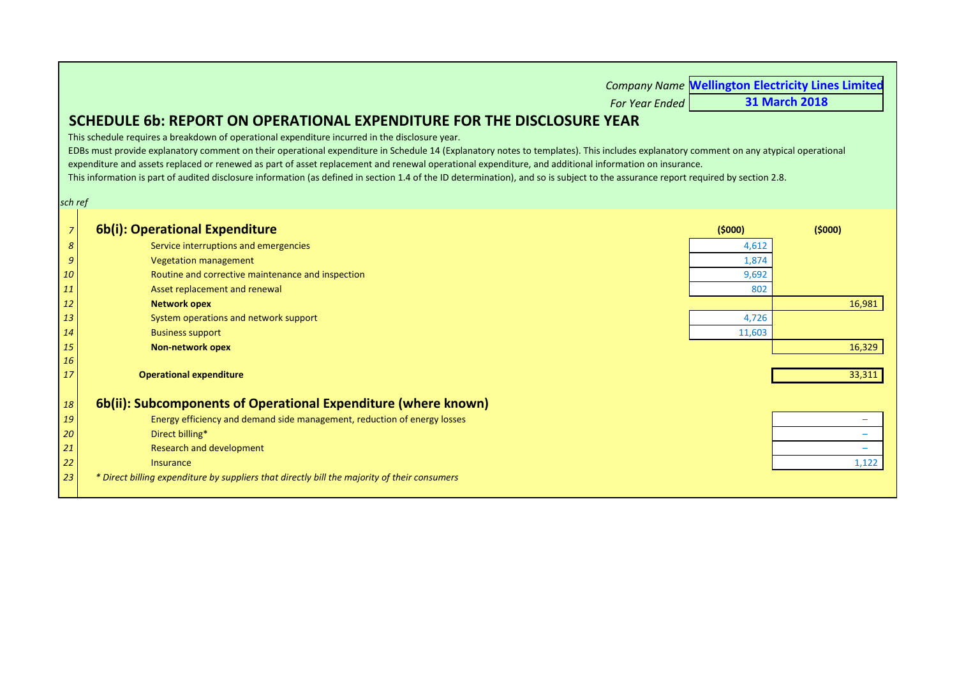<span id="page-21-0"></span>

|                |                                                                                                                                                                                       |        | <b>Company Name Wellington Electricity Lines Limited</b> |
|----------------|---------------------------------------------------------------------------------------------------------------------------------------------------------------------------------------|--------|----------------------------------------------------------|
|                | <b>For Year Ended</b>                                                                                                                                                                 |        | <b>31 March 2018</b>                                     |
|                | SCHEDULE 6b: REPORT ON OPERATIONAL EXPENDITURE FOR THE DISCLOSURE YEAR                                                                                                                |        |                                                          |
|                | This schedule requires a breakdown of operational expenditure incurred in the disclosure year.                                                                                        |        |                                                          |
|                | EDBs must provide explanatory comment on their operational expenditure in Schedule 14 (Explanatory notes to templates). This includes explanatory comment on any atypical operational |        |                                                          |
|                | expenditure and assets replaced or renewed as part of asset replacement and renewal operational expenditure, and additional information on insurance.                                 |        |                                                          |
|                | This information is part of audited disclosure information (as defined in section 1.4 of the ID determination), and so is subject to the assurance report required by section 2.8.    |        |                                                          |
| sch ref        |                                                                                                                                                                                       |        |                                                          |
|                |                                                                                                                                                                                       |        |                                                          |
| $\overline{7}$ | 6b(i): Operational Expenditure                                                                                                                                                        | (5000) | (5000)                                                   |
| 8              | Service interruptions and emergencies                                                                                                                                                 | 4,612  |                                                          |
| $\mathfrak{g}$ | <b>Vegetation management</b>                                                                                                                                                          | 1,874  |                                                          |
| 10             | Routine and corrective maintenance and inspection                                                                                                                                     | 9,692  |                                                          |
| 11             | Asset replacement and renewal                                                                                                                                                         | 802    |                                                          |
| <b>12</b>      | <b>Network opex</b>                                                                                                                                                                   |        | 16,981                                                   |
| 13             | System operations and network support                                                                                                                                                 | 4,726  |                                                          |
| 14             | <b>Business support</b>                                                                                                                                                               | 11,603 |                                                          |
| <b>15</b>      | <b>Non-network opex</b>                                                                                                                                                               |        | 16,329                                                   |
| 16             |                                                                                                                                                                                       |        |                                                          |
| 17             | <b>Operational expenditure</b>                                                                                                                                                        |        | 33,311                                                   |
| 18             | 6b(ii): Subcomponents of Operational Expenditure (where known)                                                                                                                        |        |                                                          |
| 19             | Energy efficiency and demand side management, reduction of energy losses                                                                                                              |        |                                                          |
| 20             | Direct billing*                                                                                                                                                                       |        | $\overline{\phantom{a}}$                                 |
| 21             | <b>Research and development</b>                                                                                                                                                       |        | $\overline{\phantom{0}}$                                 |
| 22             | <b>Insurance</b>                                                                                                                                                                      |        | 1,122                                                    |
| 23             | * Direct billing expenditure by suppliers that directly bill the majority of their consumers                                                                                          |        |                                                          |
|                |                                                                                                                                                                                       |        |                                                          |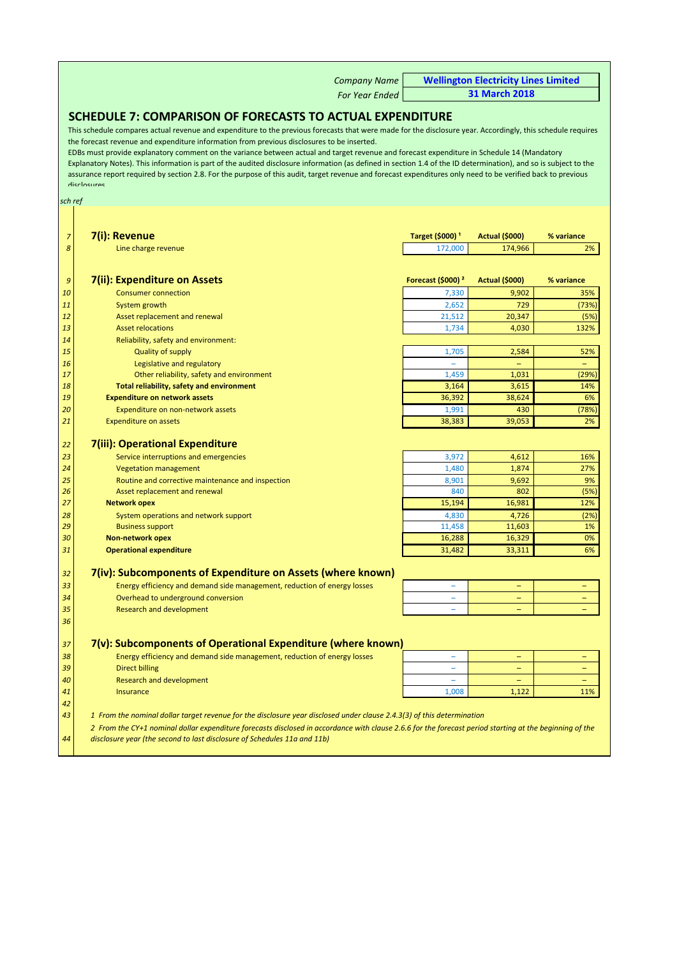*Company Name For Year Ended* **Wellington Electricity Lines Limited 31 March 2018**

## <span id="page-22-0"></span>**SCHEDULE 7: COMPARISON OF FORECASTS TO ACTUAL EXPENDITURE**

This schedule compares actual revenue and expenditure to the previous forecasts that were made for the disclosure year. Accordingly, this schedule requires the forecast revenue and expenditure information from previous disclosures to be inserted.

EDBs must provide explanatory comment on the variance between actual and target revenue and forecast expenditure in Schedule 14 (Mandatory Explanatory Notes). This information is part of the audited disclosure information (as defined in section 1.4 of the ID determination), and so is subject to the assurance report required by section 2.8. For the purpose of this audit, target revenue and forecast expenditures only need to be verified back to previous disclosures

#### *sch ref*

| $\overline{7}$ | 7(i): Revenue                                                                                                                                           | Target (\$000) <sup>1</sup>   | <b>Actual (\$000)</b> | % variance               |
|----------------|---------------------------------------------------------------------------------------------------------------------------------------------------------|-------------------------------|-----------------------|--------------------------|
| 8              | Line charge revenue                                                                                                                                     | 172,000                       | 174,966               | 2%                       |
|                |                                                                                                                                                         |                               |                       |                          |
| 9              | 7(ii): Expenditure on Assets                                                                                                                            | Forecast (\$000) <sup>2</sup> | <b>Actual (\$000)</b> | % variance               |
| 10             | <b>Consumer connection</b>                                                                                                                              | 7,330                         | 9,902                 | 35%                      |
| 11             | System growth                                                                                                                                           | 2,652                         | 729                   | (73%)                    |
| 12             | Asset replacement and renewal                                                                                                                           | 21,512                        | 20,347                | (5%)                     |
| 13             | <b>Asset relocations</b>                                                                                                                                | 1,734                         | 4,030                 | 132%                     |
| 14             | Reliability, safety and environment:                                                                                                                    |                               |                       |                          |
| 15             | <b>Quality of supply</b>                                                                                                                                | 1,705                         | 2,584                 | 52%                      |
| 16             | Legislative and regulatory                                                                                                                              |                               |                       |                          |
| 17             | Other reliability, safety and environment                                                                                                               | 1,459                         | 1,031                 | (29%)                    |
| 18             | Total reliability, safety and environment                                                                                                               | 3,164                         | 3,615                 | 14%                      |
| 19             | <b>Expenditure on network assets</b>                                                                                                                    | 36,392                        | 38,624                | 6%                       |
| 20             | Expenditure on non-network assets                                                                                                                       | 1,991                         | 430                   | (78%                     |
| 21             | <b>Expenditure on assets</b>                                                                                                                            | 38,383                        | 39,053                | 2%                       |
| 22             | 7(iii): Operational Expenditure                                                                                                                         |                               |                       |                          |
| 23             | Service interruptions and emergencies                                                                                                                   | 3,972                         | 4,612                 | 16%                      |
| 24             | <b>Vegetation management</b>                                                                                                                            | 1,480                         | 1,874                 | 27%                      |
| 25             | Routine and corrective maintenance and inspection                                                                                                       | 8,901                         | 9,692                 | 9%                       |
| 26             | Asset replacement and renewal                                                                                                                           | 840                           | 802                   | (5%)                     |
| 27             | <b>Network opex</b>                                                                                                                                     | 15,194                        | 16,981                | 12%                      |
|                |                                                                                                                                                         |                               |                       |                          |
| 28<br>29       | System operations and network support<br><b>Business support</b>                                                                                        | 4,830<br>11,458               | 4,726<br>11,603       | (2%)<br>1%               |
| 30             | <b>Non-network opex</b>                                                                                                                                 | 16,288                        | 16,329                | 0%                       |
| 31             | <b>Operational expenditure</b>                                                                                                                          | 31,482                        | 33,311                | 6%                       |
|                |                                                                                                                                                         |                               |                       |                          |
| 32             | 7(iv): Subcomponents of Expenditure on Assets (where known)                                                                                             |                               |                       |                          |
| 33             | Energy efficiency and demand side management, reduction of energy losses                                                                                |                               |                       |                          |
| 34             | Overhead to underground conversion                                                                                                                      |                               |                       |                          |
| 35             | <b>Research and development</b>                                                                                                                         | $\sim$                        | ÷                     |                          |
| 36             |                                                                                                                                                         |                               |                       |                          |
| 37             | 7(v): Subcomponents of Operational Expenditure (where known)                                                                                            |                               |                       |                          |
| 38             | Energy efficiency and demand side management, reduction of energy losses                                                                                |                               |                       |                          |
| 39             | <b>Direct billing</b>                                                                                                                                   |                               |                       |                          |
| 40             | <b>Research and development</b>                                                                                                                         | $\sim$                        | $\equiv$              | $\overline{\phantom{0}}$ |
| 41             | <b>Insurance</b>                                                                                                                                        | 1,008                         | 1,122                 | 11%                      |
| 42             |                                                                                                                                                         |                               |                       |                          |
| 43             | 1 From the nominal dollar target revenue for the disclosure year disclosed under clause 2.4.3(3) of this determination                                  |                               |                       |                          |
|                | 2 From the CY+1 nominal dollar expenditure forecasts disclosed in accordance with clause 2.6.6 for the forecast period starting at the beginning of the |                               |                       |                          |
| 44             | disclosure year (the second to last disclosure of Schedules 11a and 11b)                                                                                |                               |                       |                          |
|                |                                                                                                                                                         |                               |                       |                          |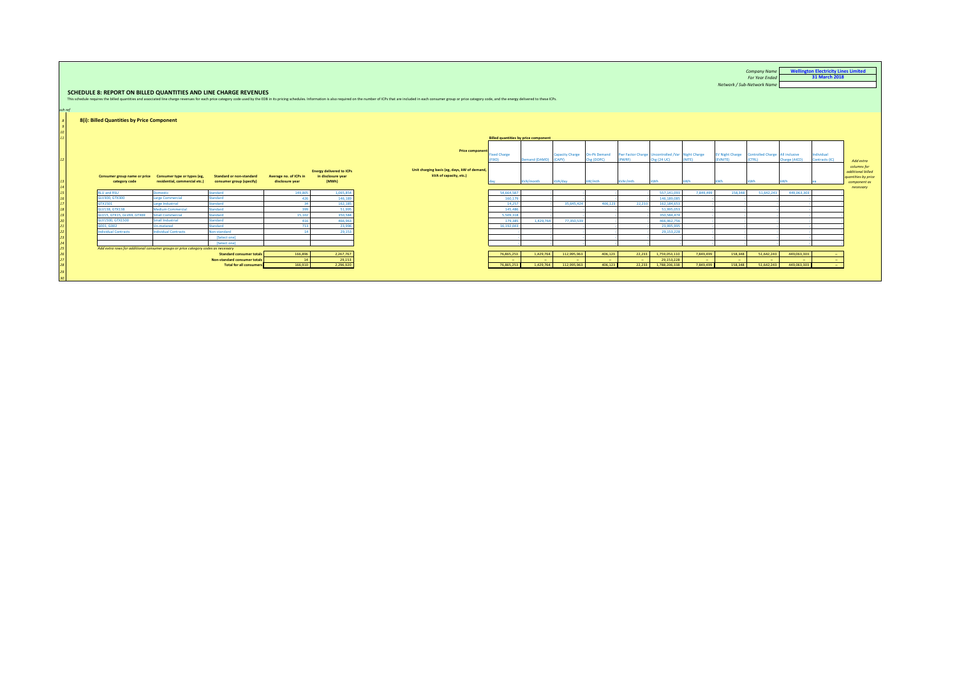| sch ref         | 8(i): Billed Quantities by Price Component    |                                                                                    | SCHEDULE 8: REPORT ON BILLED QUANTITIES AND LINE CHARGE REVENUES |                                           |                                                                | This schedule requires the billed quantities and associated line charge revenues for each price category code used by the EDB in its pricing schedules. Information is also required on the number of ICPs that are included i |                                             |                          |                        |                                   |                                                            |                           |           | Network / Sub-Network Name        | <b>Company Name</b><br><b>For Year Ended</b>     |               | <b>Wellington Electricity Lines Limited</b><br>31 March 2018 |                                                                         |
|-----------------|-----------------------------------------------|------------------------------------------------------------------------------------|------------------------------------------------------------------|-------------------------------------------|----------------------------------------------------------------|--------------------------------------------------------------------------------------------------------------------------------------------------------------------------------------------------------------------------------|---------------------------------------------|--------------------------|------------------------|-----------------------------------|------------------------------------------------------------|---------------------------|-----------|-----------------------------------|--------------------------------------------------|---------------|--------------------------------------------------------------|-------------------------------------------------------------------------|
|                 |                                               |                                                                                    |                                                                  |                                           |                                                                |                                                                                                                                                                                                                                |                                             |                          |                        |                                   |                                                            |                           |           |                                   |                                                  |               |                                                              |                                                                         |
|                 |                                               |                                                                                    |                                                                  |                                           |                                                                |                                                                                                                                                                                                                                | <b>Billed quantities by price component</b> |                          |                        |                                   |                                                            |                           |           |                                   |                                                  |               |                                                              |                                                                         |
| 12 <sup>1</sup> |                                               |                                                                                    |                                                                  |                                           |                                                                | <b>Price component</b>                                                                                                                                                                                                         | ixed Charge<br><b>FIXD)</b>                 | Demand (DAMD) (CAPY)     | <b>Capacity Charge</b> | <b>On-Pk Demand</b><br>Che (DOPC) | Pwr Factor Charge Uncontrolled /Var Night Charge<br>(PWRF) | Che (24 UC)               | (NITE)    | <b>EV Night Charge</b><br>EVNITE) | <b>Controlled Charge</b> All inclusive<br>(CTRL) | Charge (AICO) | Individual<br>Contracts (IC)                                 | Add extra                                                               |
| 14              | Consumer group name or price<br>category code | Consumer type or types (eg,<br>residential, commercial etc.)                       | <b>Standard or non-standard</b><br>consumer group (specify)      | Average no. of ICPs in<br>disclosure year | <b>Energy delivered to ICPs</b><br>in disclosure year<br>(MWh) | Unit charging basis (eg, days, kW of demand,<br>kVA of capacity, etc.)                                                                                                                                                         |                                             | kVA/month                | kVA/day                | kW/mth                            | kVAr/mth                                                   | kWh                       |           | <b>MIN</b>                        | Wh                                               |               |                                                              | columns for<br>additional billed<br>quantities by price<br>component as |
|                 | <b>RLU and RSU</b>                            | Domestic                                                                           | Standard                                                         | 149,805                                   | 1,065,854                                                      |                                                                                                                                                                                                                                | 54,664,587                                  |                          |                        |                                   |                                                            | 557.141.093               | 7,849,499 | 158,348                           | 51.642.243                                       | 449,063.30    |                                                              | necessary                                                               |
|                 | GLV300, GTX300                                | Large Commercial                                                                   | Standard                                                         | 426                                       | 146,189                                                        |                                                                                                                                                                                                                                | 160.179                                     |                          |                        |                                   |                                                            | 146 189 085               |           |                                   |                                                  |               |                                                              |                                                                         |
| 17 <sup>1</sup> | GTX1501                                       | Large Industrial                                                                   | Standard                                                         | -34                                       | 162.185                                                        |                                                                                                                                                                                                                                | 14.257                                      |                          | 35.645.424             | 406.123                           | 22.233                                                     | 162.184.653               |           |                                   |                                                  |               |                                                              |                                                                         |
| 18 <sup>1</sup> | GLV138, GTX138                                | Medium Commercia                                                                   | Standard                                                         | 399                                       | 51.995                                                         |                                                                                                                                                                                                                                | 145,486                                     |                          |                        |                                   |                                                            | 51,995,053                |           |                                   |                                                  |               |                                                              |                                                                         |
| 19 <sup>1</sup> | PAYER PAVIS GIVER GTX69                       | <b>Small Commercial</b>                                                            | Standard                                                         | 15.102                                    | 350.584                                                        |                                                                                                                                                                                                                                | 5.509.318                                   |                          |                        |                                   |                                                            | 350 584 474               |           |                                   |                                                  |               |                                                              |                                                                         |
|                 | GLV1500, GTX1500<br>G001. G002                | Small Industrial<br><b>Jn-metered</b>                                              | Standard<br>Standard                                             | 416<br>713                                | 466,963<br>23,996                                              |                                                                                                                                                                                                                                | 179,385<br>16.192.043                       | 1,429,764                | 77,350.53              |                                   |                                                            | 466.962.756<br>23,995,995 |           |                                   |                                                  |               |                                                              |                                                                         |
| 22              | <b>Individual Contracts</b>                   | <b>Individual Contracts</b>                                                        | Non-standard                                                     | 14                                        | 29,153                                                         |                                                                                                                                                                                                                                |                                             |                          |                        |                                   |                                                            | 29,153,228                |           |                                   |                                                  |               |                                                              |                                                                         |
| 23              |                                               |                                                                                    | [Select one]                                                     |                                           |                                                                |                                                                                                                                                                                                                                |                                             |                          |                        |                                   |                                                            |                           |           |                                   |                                                  |               |                                                              |                                                                         |
| 24              |                                               |                                                                                    | [Select one]                                                     |                                           |                                                                |                                                                                                                                                                                                                                |                                             |                          |                        |                                   |                                                            |                           |           |                                   |                                                  |               |                                                              |                                                                         |
| 25 <sub>1</sub> |                                               | Add extra rows for additional consumer groups or price category codes as necessary |                                                                  |                                           |                                                                |                                                                                                                                                                                                                                |                                             |                          |                        |                                   |                                                            |                           |           |                                   |                                                  |               |                                                              |                                                                         |
| 26 <sup>1</sup> |                                               |                                                                                    | <b>Standard consumer totals</b>                                  | 166,896                                   | 2,267,767                                                      |                                                                                                                                                                                                                                | 76.865.253                                  | 1,429,764                | 112,995,963            | 406,123                           | 22,233                                                     | 1,759,053,110             | 7,849,499 | 158,348                           | 51.642.243                                       | 449.063.303   | $\sim$                                                       |                                                                         |
| 27              |                                               |                                                                                    | Non-standard consumer totals                                     | 14                                        | 29,153                                                         |                                                                                                                                                                                                                                |                                             | $\overline{\phantom{a}}$ |                        | $\sim$                            | $\overline{\phantom{0}}$                                   | 29.153.228                | $\sim$    | $\overline{\phantom{a}}$          |                                                  |               | $\sim$                                                       |                                                                         |
| 28              |                                               |                                                                                    | <b>Total for all consumers</b>                                   | 166,910                                   | 2,296,920                                                      |                                                                                                                                                                                                                                | 76.865.253                                  | 1.429.764                | 112,995,963            | 406.123                           |                                                            | 22.233 1.788.206.338      | 7,849,499 | 158,348                           | 51.642.243                                       | 449.063.303   |                                                              |                                                                         |
| 29              |                                               |                                                                                    |                                                                  |                                           |                                                                |                                                                                                                                                                                                                                |                                             |                          |                        |                                   |                                                            |                           |           |                                   |                                                  |               |                                                              |                                                                         |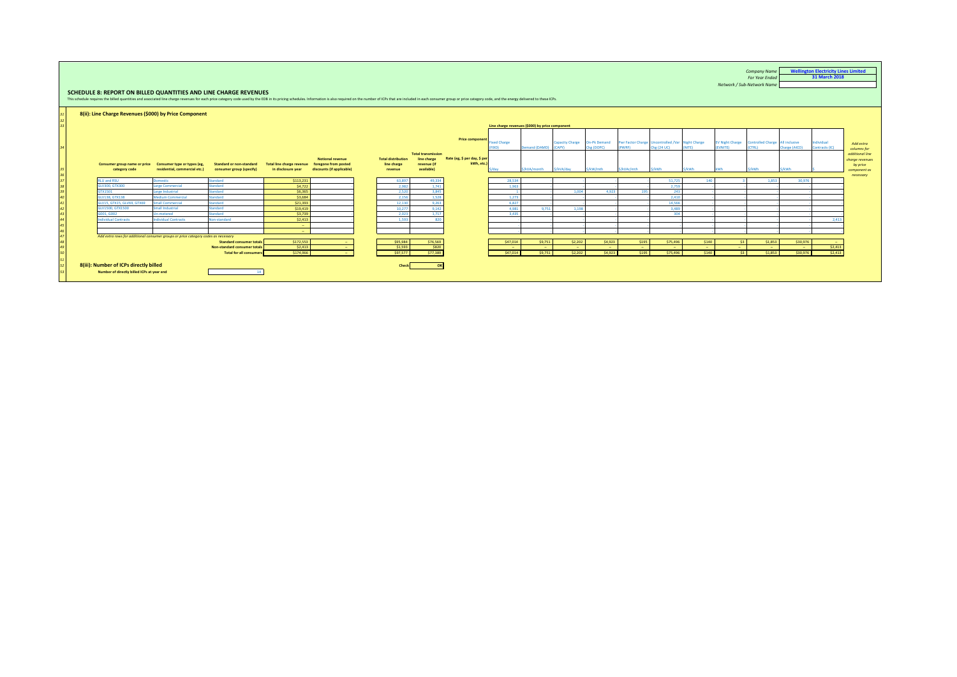<span id="page-24-0"></span>

| SCHEDULE 8: REPORT ON BILLED QUANTITIES AND LINE CHARGE REVENUES<br>This schedule requires the billed quantities and associated line charge revenues for each price category code used by the EDB in its pricing schedules. Information is also required on the number of ICPs that are included i<br>8(ii): Line Charge Revenues (\$000) by Price Component |                                                                                              |                                                                                                  |                                                        |                                                                              |                                                     |                                                                       |                                  |                                                                      |                                  |                                                                                        |                                     |                                               |                                               |                                                                                        |                                  |                                                             | <b>For Year Ended</b><br>Network / Sub-Network Name |                                | 31 March 2018                |
|--------------------------------------------------------------------------------------------------------------------------------------------------------------------------------------------------------------------------------------------------------------------------------------------------------------------------------------------------------------|----------------------------------------------------------------------------------------------|--------------------------------------------------------------------------------------------------|--------------------------------------------------------|------------------------------------------------------------------------------|-----------------------------------------------------|-----------------------------------------------------------------------|----------------------------------|----------------------------------------------------------------------|----------------------------------|----------------------------------------------------------------------------------------|-------------------------------------|-----------------------------------------------|-----------------------------------------------|----------------------------------------------------------------------------------------|----------------------------------|-------------------------------------------------------------|-----------------------------------------------------|--------------------------------|------------------------------|
| Consumer group name or price<br>category code                                                                                                                                                                                                                                                                                                                | Consumer type or types (eg,<br>residential, commercial etc.)                                 | <b>Standard or non-standard</b><br>consumer group (specify)                                      | <b>Total line charge revenue</b><br>in disclosure year | <b>Notional revenue</b><br>foregone from posted<br>discounts (if applicable) | <b>Total distribution</b><br>line charge<br>revenue | <b>Total transmission</b><br>line charge<br>revenue (if<br>available) |                                  | <b>Price component</b><br>Rate (eg, \$ per day, \$ per<br>kWh, etc.) | <b>Eixed Charge</b><br>/dav      | Line charge revenues (\$000) by price component<br>Demand (DAMD) (CAPY)<br>S/kVA/month | <b>Capacity Charge</b><br>S/kVA/dav | <b>On-Pk Demand</b><br>Chg (DOPC)<br>S/kW/mth | (PWRF)<br>S/kVAr/mth                          | Pwr Factor Charge Uncontrolled /Var Night Charge<br><b>Chg (24 UC)</b><br><b>S/kWh</b> | (NITE)<br>S/kWh                  | EV Night Charge Controlled Charge All inclusive<br>(EVNITE) | <b>CTRLI</b><br><b>/kWh</b>                         | Charge (AICO)<br>S/kWh         | Individual<br>Contracts (IC) |
| <b>RILL and RSLL</b><br>GLV300 GTX300<br>GTX1501                                                                                                                                                                                                                                                                                                             | <b>Domestic</b><br><b>Large Commercial</b><br>Large Industrial                               | Standard<br>Standard<br>Standard                                                                 | \$113,231<br>\$4,722<br>\$6,365                        |                                                                              |                                                     | 63.897<br>2.982<br>2.520                                              | 49.334<br>1.741<br>3,845         |                                                                      | 28,534<br>1.963                  |                                                                                        | 1.004                               | 4.923                                         | 195                                           | 51,725<br>2.759<br>243                                                                 | 140                              |                                                             | 1.853                                               | 30.976                         |                              |
| GLV138, GTX138<br>GLV15, GTX15, GLV69, GTX69<br>GLV1500, GTX1500<br>G001, G002                                                                                                                                                                                                                                                                               | <b>Medium Commercial</b><br><b>Small Commercial</b><br>Small Industrial<br><b>Un-metered</b> | Standard<br>Standard<br>Standard<br>Standard                                                     | \$3,684<br>\$21.393<br>\$19,419<br>\$3,739             |                                                                              |                                                     | 2.156<br>12.130<br>10.277<br>2.023                                    | 1,528<br>9.263<br>9.142<br>1,717 |                                                                      | 1.273<br>6.827<br>4.981<br>3.435 | 9.751                                                                                  | 1.198                               |                                               |                                               | 2,410<br>14.566<br>3,489<br>304                                                        |                                  |                                                             |                                                     |                                |                              |
| ndividual Contracts                                                                                                                                                                                                                                                                                                                                          | Individual Contracts                                                                         | Non-standard                                                                                     | \$2,413<br><b>Security</b><br><b>Section</b>           |                                                                              |                                                     | 1.593                                                                 | 820                              |                                                                      |                                  |                                                                                        |                                     |                                               |                                               |                                                                                        |                                  |                                                             |                                                     |                                | 2.413                        |
| Add extra rows for additional consumer groups or price category codes as necessary                                                                                                                                                                                                                                                                           |                                                                                              | <b>Standard consumer totals</b><br>Non-standard consumer totals<br><b>Total for all consumer</b> | \$172,553<br>S2.413<br>S174,966                        |                                                                              |                                                     | \$95,984<br>\$1.593<br>\$97,577                                       | \$76,569<br>\$820<br>\$77,389    |                                                                      | \$47,014<br>- 11<br>S47.014      | \$9,751<br>\$9,751                                                                     | \$2,202<br>$\sim$<br>\$2,202        | \$4,923<br>S4.923                             | \$195<br><b>CONTINUES</b><br>S <sub>195</sub> | \$75,496<br>$\sim$<br>\$75,496                                                         | \$140<br><b>Section</b><br>\$140 | \$3<br>$\sim$<br>52                                         | \$1,853<br>$\sim$<br>\$1,853                        | \$30,976<br>$\sim$<br>\$30,976 | <b>.</b><br>S2.413<br>S2.413 |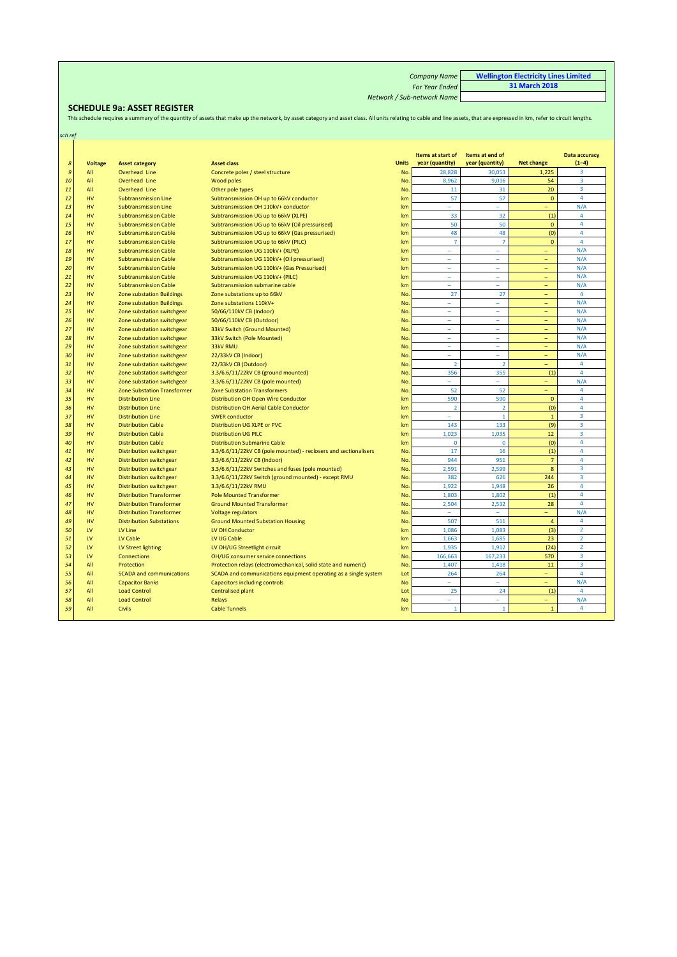| <b>Company Name</b>        | <b>Wellington Electricity Lines Limited</b> |
|----------------------------|---------------------------------------------|
| <b>For Year Ended</b>      | 31 March 2018                               |
| Network / Sub-network Name |                                             |

<span id="page-25-0"></span>SCHEDULE 9a: ASSET REGISTER<br>This schedule requires a summary of the quantity of assets that make up the network, by asset category and asset class. All units relating to cable and line assets, that are expressed in km, ref

| sch ref        |                |                                    |                                                                  |              |                                      |                                    |                          |                                 |
|----------------|----------------|------------------------------------|------------------------------------------------------------------|--------------|--------------------------------------|------------------------------------|--------------------------|---------------------------------|
|                |                |                                    |                                                                  |              |                                      |                                    |                          |                                 |
| $\pmb{8}$      | <b>Voltage</b> | <b>Asset category</b>              | <b>Asset class</b>                                               | <b>Units</b> | Items at start of<br>year (quantity) | Items at end of<br>year (quantity) | <b>Net change</b>        | <b>Data accuracy</b><br>$(1-4)$ |
| $\mathfrak{g}$ | All            | Overhead Line                      | Concrete poles / steel structure                                 | No.          | 28,828                               | 30,053                             | 1,225                    | 3                               |
| 10             | All            | Overhead Line                      | Wood poles                                                       | No.          | 8,962                                | 9,016                              | 54                       | $\overline{3}$                  |
| 11             | All            | Overhead Line                      | Other pole types                                                 | <b>No</b>    | 11                                   | 31                                 | 20                       | 3                               |
| 12             | HV             | <b>Subtransmission Line</b>        | Subtransmission OH up to 66kV conductor                          | km           | 57                                   | 57                                 | $\mathbf{0}$             | $\overline{4}$                  |
| 13             | HV             | <b>Subtransmission Line</b>        | Subtransmission OH 110kV+ conductor                              | km           | ÷                                    | ÷.                                 | $\equiv$                 | N/A                             |
| 14             | HV             | <b>Subtransmission Cable</b>       | Subtransmission UG up to 66kV (XLPE)                             | km           | 33                                   | 32                                 | (1)                      | $\overline{4}$                  |
| 15             | <b>HV</b>      | <b>Subtransmission Cable</b>       | Subtransmission UG up to 66kV (Oil pressurised)                  | km           | 50                                   | 50                                 | $\mathbf{0}$             | $\overline{4}$                  |
| 16             | HV             | <b>Subtransmission Cable</b>       | Subtransmission UG up to 66kV (Gas pressurised)                  | km           | 48                                   | 48                                 | (0)                      | $\overline{4}$                  |
| 17             | <b>HV</b>      | <b>Subtransmission Cable</b>       | Subtransmission UG up to 66kV (PILC)                             | km           | 7                                    | $\overline{7}$                     | $\mathbf{0}$             | $\overline{4}$                  |
| 18             | <b>HV</b>      | <b>Subtransmission Cable</b>       | Subtransmission UG 110kV+ (XLPE)                                 | km           | ÷                                    |                                    | $\overline{\phantom{0}}$ | N/A                             |
| 19             | HV             | <b>Subtransmission Cable</b>       | Subtransmission UG 110kV+ (Oil pressurised)                      | km           | $\bar{\phantom{a}}$                  | $\sim$                             | ÷,                       | N/A                             |
| 20             | HV             | <b>Subtransmission Cable</b>       | Subtransmission UG 110kV+ (Gas Pressurised)                      | km           | $\overline{\phantom{a}}$             | ۳                                  |                          | N/A                             |
| 21             | <b>HV</b>      | <b>Subtransmission Cable</b>       | Subtransmission UG 110kV+ (PILC)                                 | km           | L,                                   | L,                                 |                          | N/A                             |
| 22             | HV             | <b>Subtransmission Cable</b>       | Subtransmission submarine cable                                  | km           | $\overline{\phantom{a}}$             | $\sim$                             | ÷.                       | N/A                             |
| 23             | HV             | <b>Zone substation Buildings</b>   | Zone substations up to 66kV                                      | <b>No</b>    | 27                                   | 27                                 | -                        | 4                               |
| 24             | <b>HV</b>      | <b>Zone substation Buildings</b>   | Zone substations 110kV+                                          | <b>No</b>    | ۰                                    | ۰                                  | Ξ                        | N/A                             |
| 25             | <b>HV</b>      | Zone substation switchgear         | 50/66/110kV CB (Indoor)                                          | <b>No</b>    | $\bar{\phantom{a}}$                  | ٠                                  | Ξ                        | N/A                             |
| 26             | HV             | Zone substation switchgear         | 50/66/110kV CB (Outdoor)                                         | <b>No</b>    | $\overline{\phantom{a}}$             | ۳                                  |                          | N/A                             |
| 27             | HV             | Zone substation switchgear         | 33kV Switch (Ground Mounted)                                     | <b>No</b>    | $\bar{\phantom{a}}$                  | ٠                                  | Ξ                        | N/A                             |
| 28             | HV             | Zone substation switchgear         | 33kV Switch (Pole Mounted)                                       | <b>No</b>    | $\equiv$                             | $\sim$                             | L,                       | N/A                             |
| 29             | HV             | Zone substation switchgear         | 33kV RMU                                                         | <b>No</b>    | ÷                                    |                                    |                          | N/A                             |
| 30             | <b>HV</b>      | Zone substation switchgear         | 22/33kV CB (Indoor)                                              | <b>No</b>    | L.                                   |                                    | Ξ                        | N/A                             |
| 31             | HV             | Zone substation switchgear         | 22/33kV CB (Outdoor)                                             | <b>No</b>    | $\overline{2}$                       | $\overline{2}$                     | $=$                      | $\overline{4}$                  |
| 32             | <b>HV</b>      | Zone substation switchgear         | 3.3/6.6/11/22kV CB (ground mounted)                              | <b>No</b>    | 356                                  | 355                                | (1)                      | $\overline{4}$                  |
| 33             | HV             | Zone substation switchgear         | 3.3/6.6/11/22kV CB (pole mounted)                                | <b>No</b>    | L                                    | ÷                                  | ÷                        | N/A                             |
| 34             | HV             | <b>Zone Substation Transformer</b> | <b>Zone Substation Transformers</b>                              | No.          | 52                                   | 52                                 | ÷                        | $\overline{4}$                  |
| 35             | HV             | <b>Distribution Line</b>           | Distribution OH Open Wire Conductor                              | km           | 590                                  | 590                                | $\mathbf{0}$             | $\overline{4}$                  |
| 36             | <b>HV</b>      | <b>Distribution Line</b>           | Distribution OH Aerial Cable Conductor                           | km           | $\overline{2}$                       | $\overline{2}$                     | (0)                      | $\overline{4}$                  |
| 37             | HV             | <b>Distribution Line</b>           | <b>SWER</b> conductor                                            | km           | $\sim$                               | $\mathbf{1}$                       | $\mathbf 1$              | $\overline{3}$                  |
| 38             | <b>HV</b>      | <b>Distribution Cable</b>          | Distribution UG XLPE or PVC                                      | km           | 143                                  | 133                                | (9)                      | $\overline{\mathbf{3}}$         |
| 39             | HV             | <b>Distribution Cable</b>          | <b>Distribution UG PILC</b>                                      | km           | 1,023                                | 1,035                              | 12 <sup>2</sup>          | $\overline{\mathbf{3}}$         |
| 40             | HV             | <b>Distribution Cable</b>          | <b>Distribution Submarine Cable</b>                              | km           | $\mathbf 0$                          | $\overline{0}$                     | (0)                      | $\overline{4}$                  |
| 41             | HV             | <b>Distribution switchgear</b>     | 3.3/6.6/11/22kV CB (pole mounted) - reclosers and sectionalisers | <b>No</b>    | 17                                   | 16                                 | (1)                      | $\overline{4}$                  |
| 42             | <b>HV</b>      | <b>Distribution switchgear</b>     | 3.3/6.6/11/22kV CB (Indoor)                                      | <b>No</b>    | 944                                  | 951                                | $\overline{7}$           | $\overline{4}$                  |
| 43             | HV             | Distribution switchgear            | 3.3/6.6/11/22kV Switches and fuses (pole mounted)                | <b>No</b>    | 2,591                                | 2.599                              | $\bf{8}$                 | $\overline{3}$                  |
| 44             | HV             | <b>Distribution switchgear</b>     | 3.3/6.6/11/22kV Switch (ground mounted) - except RMU             | <b>No</b>    | 382                                  | 626                                | 244                      | 3                               |
| 45             | <b>HV</b>      | <b>Distribution switchgear</b>     | 3.3/6.6/11/22kV RMU                                              | <b>No</b>    | 1.922                                | 1.948                              | 26                       | $\overline{4}$                  |
| 46             | HV             | <b>Distribution Transformer</b>    | <b>Pole Mounted Transformer</b>                                  | <b>No</b>    | 1,803                                | 1,802                              | (1)                      | $\overline{4}$                  |
| 47             | HV             | <b>Distribution Transformer</b>    | <b>Ground Mounted Transformer</b>                                | <b>No</b>    | 2,504                                | 2,532                              | 28                       | $\overline{4}$                  |
| 48             | <b>HV</b>      | <b>Distribution Transformer</b>    | Voltage regulators                                               | <b>No</b>    | $\bar{\phantom{a}}$                  | L,                                 |                          | N/A                             |
| 49             | HV             | <b>Distribution Substations</b>    | <b>Ground Mounted Substation Housing</b>                         | No.          | 507                                  | 511                                | $\overline{4}$           | $\overline{4}$                  |
| 50             | LV             | LV Line                            | LV OH Conductor                                                  | km           | 1.086                                | 1.083                              | (3)                      | $\overline{2}$                  |
| 51             | LV             | LV Cable                           | LV UG Cable                                                      | km           | 1.663                                | 1.685                              | 23                       | $\overline{2}$                  |
| 52             | LV             | LV Street lighting                 | LV OH/UG Streetlight circuit                                     | km           | 1,935                                | 1,912                              | (24)                     | $\overline{2}$                  |
| 53             | LV             | Connections                        | OH/UG consumer service connections                               | <b>No</b>    | 166,663                              | 167,233                            | 570                      | $\overline{\mathbf{3}}$         |
| 54             | All            | Protection                         | Protection relays (electromechanical, solid state and numeric)   | <b>No</b>    | 1,407                                | 1,418                              | 11                       | $\overline{\mathbf{3}}$         |
| 55             | All            | <b>SCADA and communications</b>    | SCADA and communications equipment operating as a single system  | Lot          | 264                                  | 264                                | ÷.                       | $\overline{4}$                  |
| 56             | All            | <b>Capacitor Banks</b>             | <b>Capacitors including controls</b>                             | <b>No</b>    | L,                                   |                                    |                          | N/A                             |
| 57             | All            | <b>Load Control</b>                | <b>Centralised plant</b>                                         | Lot          | 25                                   | 24                                 | (1)                      | $\overline{4}$                  |
| 58             | All            | <b>Load Control</b>                | Relays                                                           | <b>No</b>    | L.                                   | ÷                                  |                          | N/A                             |
| 59             | All            | <b>Civils</b>                      | <b>Cable Tunnels</b>                                             | km           | $\mathbf{1}$                         | $\mathbf{1}$                       | $\mathbf{1}$             | $\overline{4}$                  |
|                |                |                                    |                                                                  |              |                                      |                                    |                          |                                 |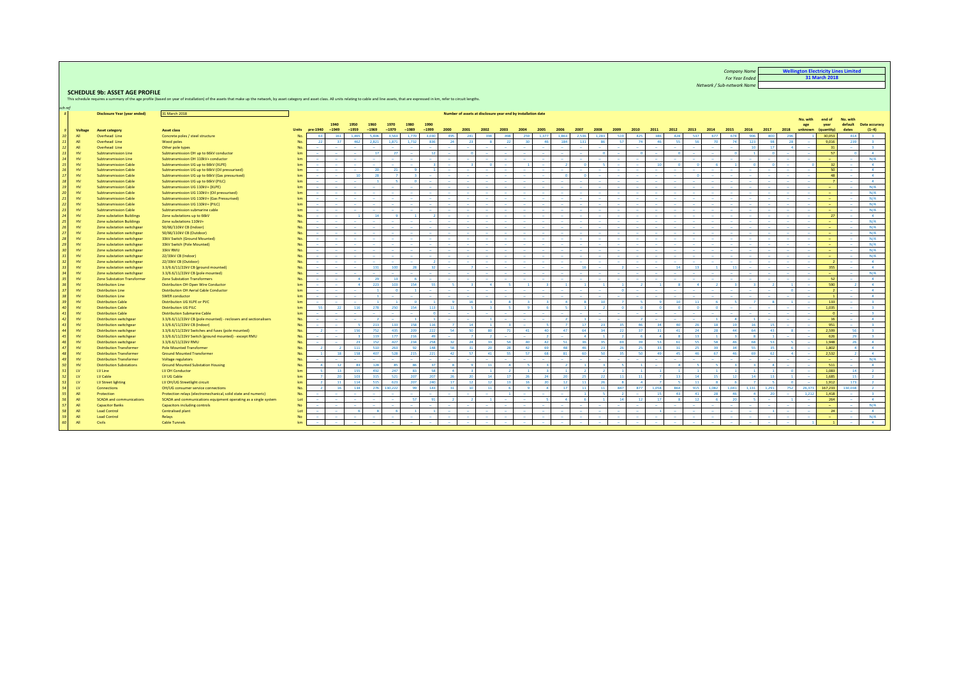*Company Name For Year Ended* **Wellington Electricity Lines Limited 31 March 2018**

*Network / Sub-network Name*

## **SCHEDULE 9b: ASSET AGE PROFILE**<br>This schedule requires a summary of the age profile (base

ce with the summary of the age profile (based on year of installation) of the assets that make up the network, by asset category and asset class. All units relating to cable and line assets, that are expressed in km, refer

<span id="page-26-0"></span>

| sch ref<br>$\mathcal{S}$ |            | <b>Disclosure Year (year ended)</b>                       | 31 March 2018                                                            |              |                 |                 |                 |                 |                 |                 |                 |                 |                 |                          | Number of assets at disclosure year end by installation date |                 |                |                   |              |                 |                |                 |                 |                   |                          |       |        |                          |                  |                |                          |                    |                             |                          |
|--------------------------|------------|-----------------------------------------------------------|--------------------------------------------------------------------------|--------------|-----------------|-----------------|-----------------|-----------------|-----------------|-----------------|-----------------|-----------------|-----------------|--------------------------|--------------------------------------------------------------|-----------------|----------------|-------------------|--------------|-----------------|----------------|-----------------|-----------------|-------------------|--------------------------|-------|--------|--------------------------|------------------|----------------|--------------------------|--------------------|-----------------------------|--------------------------|
|                          |            |                                                           |                                                                          |              |                 |                 |                 |                 |                 |                 |                 |                 |                 |                          |                                                              |                 |                |                   |              |                 |                |                 |                 |                   |                          |       |        |                          |                  |                | No. with                 | end of             | No. with                    |                          |
|                          | Voltage    | <b>Asset category</b>                                     | <b>Asset class</b>                                                       | <b>Units</b> | pre-1940        | 1940<br>$-1949$ | 1950<br>$-1959$ | 1960<br>$-1969$ | 1970<br>$-1979$ | 1980<br>$-1989$ | 1990<br>$-1999$ | 2000            | 2001            | 2002                     | 2003                                                         | 2004            | 2005           | 2006              | 2007         | 2008            | 2009           | 2010            | 2011            | 2012              | 2013                     | 2014  | 2015   | 2016                     | 2017             | 2018           | age<br>unknown           | year<br>(quantity) | default<br>dates            | Data accuracy<br>$(1-4)$ |
| 10 <sup>1</sup>          | All        | Overhead Line                                             | Concrete poles / steel structure                                         | No           | 63              | 161             | 1.465           | 5,406           | 3.563           | 1.770           | 3.031           | 495             | 241             | 30 <sub>1</sub>          | 498                                                          | 259             | 1.377          | 1.863             | 2.536        | 1.283           | 519            | 425             | 386             | 428               | 537                      | 677   | 674    | 906                      | 800              | 296            |                          | 30.053             | 414                         | $\overline{\mathbf{3}}$  |
| 11                       | All        | Overhead Line                                             | Wood poles                                                               | No           | 22              | 37              | 462             | 2.821           | 1.871           | 1.732           | 836             | 24              | 23              |                          | 22                                                           |                 |                | 184               | 131          | 86              | -57            | 7A              | $\overline{AB}$ | 55                | <b>S6</b>                | 70    | 70     | 123                      | $-98$            | 78             |                          | 9.016              | 239                         | $\mathbf{R}$             |
| 12                       | All        | Overhead Line                                             | Other pole types                                                         | No           | - 11            |                 |                 |                 |                 |                 |                 |                 |                 |                          |                                                              |                 |                |                   |              |                 |                |                 |                 |                   |                          |       |        |                          | 17               |                |                          | 31                 |                             |                          |
| 13 <sup>1</sup>          | HV         | <b>Subtransmission Line</b>                               | Subtransmission OH up to 66kV conductor                                  | $k$          | $\sim$          |                 |                 | 17              | 27              |                 | 12              |                 | $\blacksquare$  | ٠                        | $\sim$                                                       |                 |                | $\sim$            |              | $\sqrt{2}$      |                | $\sqrt{2}$      |                 |                   |                          |       |        |                          | $\sqrt{2}$       |                | $\sim$                   | 57                 | $\overline{0}$              | $\sim$ 4                 |
| 14                       | HV         | Subtransmission Line                                      | Subtransmission OH 110kV+ conductor                                      | km           |                 | $\sim$          |                 | $\sim$          | <b>.</b>        |                 | $\sim$          |                 |                 | $\sim$                   | <b>CONTRACTOR</b>                                            | $\sim$          |                | <b>CONTRACTOR</b> | $\sim$       | <b>1999</b>     | $\sim$         |                 |                 | $\sim$            | <b>CONTRACTOR</b>        |       | - -    | $\sim$                   |                  |                |                          | $\sim$             |                             | N/A                      |
| 15                       | HV         | <b>Subtransmission Cable</b>                              | Subtransmission UG up to 66kV (XLPE)                                     | $k$          | $\sim$          | $\sim$          |                 |                 |                 |                 |                 |                 |                 |                          | $\sim$                                                       |                 |                | $\overline{z}$    |              |                 | $\sim$         |                 | 10              |                   |                          |       |        |                          |                  |                |                          | 32                 | <b>CONTRACTOR</b>           | $\sim$ 4                 |
| 16                       | HV         | <b>Subtransmission Cable</b>                              | Subtransmission UG up to 66kV (Oil pressurised)                          | km           | - 11            |                 |                 | 20 <sup>°</sup> | 21              |                 |                 |                 |                 | ٠                        | in 1919.                                                     |                 |                | $\sim$            |              |                 |                |                 |                 | $\sim$            |                          |       |        | ۰.                       |                  |                | $\sim$                   | -50                | $\sim$                      | $\overline{a}$           |
| 17 <sup>1</sup>          | HV         | <b>Subtransmission Cable</b>                              | Subtransmission UG up to 66kV (Gas pressurised)                          | km           | - 11            | $\sim$          | 10              | 28              |                 |                 |                 |                 |                 | ٠                        | ٠                                                            |                 |                | $\Omega$          |              |                 |                |                 |                 | $\sim$            |                          |       | ٠      |                          |                  |                | - 2                      | 48                 | <b>CONTRACTOR</b>           | $\Delta$                 |
| 18                       | HV         | <b>Subtransmission Cable</b>                              | Subtransmission UG up to 66kV (PILC)                                     | $k$          |                 |                 |                 |                 |                 |                 |                 |                 |                 | i a                      |                                                              |                 |                | in the            |              |                 |                |                 |                 | $\sim$            |                          |       |        |                          |                  |                | $\sim$                   |                    |                             | 4 <sup>1</sup>           |
| 19                       | HV         | <b>Subtransmission Cable</b>                              | Subtransmission UG 110kV+ (XLPE)                                         | $k$          |                 |                 |                 |                 |                 |                 |                 |                 |                 |                          | $\sim$                                                       |                 |                | $\sim$            |              |                 |                |                 |                 | $\sim$            |                          |       |        |                          |                  |                | $\sim$                   |                    |                             | N/A                      |
| 20 <sup>1</sup>          | HV         | <b>Subtransmission Cable</b>                              | Subtransmission UG 110kV+ (Oil pressurised)                              | km           |                 |                 |                 |                 |                 |                 |                 |                 |                 | ٠                        | $\sim$                                                       |                 |                | $\sim$            |              |                 |                |                 |                 | - 2               |                          |       | ٠      |                          |                  |                | - 2                      |                    |                             | N/A                      |
| 21                       | HV         | <b>Subtransmission Cable</b>                              | Subtransmission UG 110kV+ (Gas Pressurised)                              | $k$          | $\sim$          |                 |                 |                 |                 |                 |                 |                 |                 | $\overline{\phantom{a}}$ |                                                              |                 |                | ۰.                |              |                 |                |                 |                 | $\sim$            |                          |       |        |                          |                  |                | ٠                        |                    |                             | N/A                      |
| 22                       | HV         | <b>Subtransmission Cable</b>                              | Subtransmission UG 110kV+ (PILC)                                         | $k$          | $\sim$          | $\sim$          |                 | $\sim$          |                 | ٠               | i a             |                 | - 1             | $\sim$                   | $\sim$                                                       |                 |                | $\sim$            |              |                 | $\sim$         |                 |                 | $\sim$            |                          |       | $\sim$ | $\overline{\phantom{a}}$ | $\sim$           |                | $\sim$                   | $\sim$             | $\sim$                      | N/A                      |
| 23                       | HV         | <b>Subtransmission Cable</b>                              | Subtransmission submarine cable                                          | km           | . .             |                 |                 |                 | <b>.</b>        |                 | $\sim$          |                 |                 | $\sim$                   | <b>1999</b>                                                  | $\sim$          |                | <b>Section</b>    |              |                 | $\sim$         |                 |                 | $\sim$            | $\overline{\phantom{a}}$ |       | - -    |                          | $\sim$           |                | $\sim$                   | <b>CONTINUES</b>   |                             | N/A                      |
| 24                       | HV         | <b>Zone substation Buildings</b>                          | Zone substations up to 66kV                                              | No           | - 11            |                 |                 | 14              |                 |                 |                 |                 |                 | ۰.                       | $\sim$                                                       | $\sim$          |                | $\sim$            |              |                 | ۰.             |                 |                 | $\sim$            |                          |       | ٠      |                          | ۰.               |                | $\sim$                   | 27                 |                             | 4                        |
| 25 <sup>1</sup>          | HV         | <b>Zone substation Buildings</b>                          | Zone substations 110kV+                                                  | No           | - 11            |                 |                 |                 |                 |                 |                 |                 |                 |                          | $\sim$                                                       |                 |                | $\sim$            |              |                 |                |                 |                 | - 2               |                          |       |        |                          |                  |                | - 11                     | $\sim$             |                             | N/A                      |
| 26                       | HV         | Zone substation switchgear                                | 50/66/110kV CB (Indoor)                                                  | No           | <b>Section</b>  | $\sim$          |                 |                 | $\sim$          | ٠               | $\sim$          |                 |                 | $\sim$                   | $\sim$                                                       | $\sim$          | $\sim$         | <b>Section</b>    | <b>1999</b>  |                 |                |                 |                 | <b>Section</b>    | $\overline{\phantom{a}}$ |       | $\sim$ | $\sim$                   | ۰.               |                | $\sim$                   | $\sim$             | $\sim$                      | $N/\Lambda$              |
| 27                       | HV         | Zone substation switchgear                                | 50/66/110kV CB (Outdoor)                                                 | No           | - 2             |                 |                 |                 |                 |                 |                 |                 |                 |                          |                                                              |                 |                |                   |              |                 |                |                 |                 |                   |                          |       |        |                          |                  |                |                          |                    |                             | N/A                      |
| 28                       | HV         | Zone substation switchgear                                | 33kV Switch (Ground Mounted)                                             | No           |                 |                 |                 |                 |                 |                 |                 |                 |                 |                          |                                                              |                 |                | $\sim$            |              |                 |                |                 |                 | $\sim$            |                          |       |        |                          |                  |                | $\sim$                   |                    |                             | N/A                      |
| 29                       | HV         | Zone substation switchgear                                | 33kV Switch (Pole Mounted)                                               | No           | $\sim$          | $\sim$          |                 |                 |                 |                 | $\sim$          |                 |                 | $\sim$                   | $\sim$                                                       |                 |                | and the           |              |                 |                |                 |                 | <b>Section</b>    | - 2                      |       | - -    | $\sim$                   | $\sim$           |                | $\sim$                   | $\sim$             |                             | N/A                      |
| 30 <sup>1</sup>          | HV         | Zone substation switchgear                                | 33kV RMU                                                                 | No           | <b>Service</b>  |                 |                 |                 |                 |                 | ۰.              |                 |                 | i a                      | $\sim$                                                       |                 |                | $\sim$            |              |                 |                |                 |                 | $\sim$            |                          |       | $\sim$ |                          |                  |                | - 20                     | $\sim$             | <b>Contract</b>             | N/A                      |
| 31                       | HV         | Zone substation switchgear                                | 22/33kV CB (Indoor)                                                      | No           | $\sim$          | $\sim$          |                 | $\sim$          | ٠               | ٠               | $\sim$          |                 |                 | <b>1999</b><br>٠         | $\sim$                                                       | $\sim$          |                | $\sim$<br>$\sim$  | ٠            |                 | $\sim$         |                 | ٠               | $\sim$<br>$\sim$  |                          |       | ٠      | $\overline{\phantom{a}}$ | $\sim$           |                | $\sim$<br>$\sim$         | $\sim$             | $\sim$                      | N/A<br>$\Delta$          |
| 32<br>33                 | HV<br>HV   | Zone substation switchgear                                | 22/33kV CB (Outdoor)<br>3.3/6.6/11/22kV CB (ground mounted)              | No<br>No     | $\sim$          | a.              |                 | 131             | 100             | 28              | 32              |                 |                 | in the                   | in 1                                                         | in 1911.        |                | $\sim$            | $\sim$<br>16 |                 | $\overline{z}$ |                 |                 | 14                | 13                       |       | $-11$  | in 1919.                 | in 1919.         |                | $\sim$                   | 355                | <b>CONTRACTOR</b><br>$\sim$ | $\overline{a}$           |
| 34                       | HV         | Zone substation switchgear                                |                                                                          | No           |                 |                 |                 |                 |                 |                 |                 |                 |                 |                          |                                                              |                 |                |                   |              |                 |                |                 |                 | $\sim$            |                          |       |        |                          |                  |                | $\sim$                   |                    |                             | N/A                      |
| 35 <sup>1</sup>          | HV         | Zone substation switchgear<br>Zone Substation Transformer | 3.3/6.6/11/22kV CB (pole mounted)<br><b>Zone Substation Transformers</b> | No           | . .             |                 |                 | 29              | 13              |                 |                 |                 |                 |                          |                                                              |                 |                |                   |              |                 |                |                 |                 | <b>CONTRACTOR</b> |                          |       |        |                          | ۰.               |                | $\sim$                   | 52                 |                             | $-4$                     |
| 36                       | HV         | <b>Distribution Line</b>                                  | Distribution OH Open Wire Conductor                                      | $k$          | - 11            |                 |                 | 223             | 103             | 154             | 55              |                 |                 |                          |                                                              |                 |                |                   |              |                 |                |                 |                 |                   |                          |       |        |                          |                  |                | $\overline{\phantom{a}}$ | 590                | $\overline{ }$              | $\overline{a}$           |
| 37 <sup>1</sup>          | HV         | <b>Distribution Line</b>                                  | <b>Distribution OH Aerial Cable Conductor</b>                            | $k$          |                 |                 |                 |                 |                 |                 |                 |                 |                 |                          |                                                              |                 |                |                   |              |                 |                |                 |                 |                   |                          |       |        |                          |                  |                | $\overline{\phantom{a}}$ |                    |                             | $-4$                     |
| 38                       | HV         | <b>Distribution Line</b>                                  | <b>SWER conductor</b>                                                    | $k$          | - 11            |                 |                 |                 |                 |                 |                 |                 |                 |                          | i a                                                          |                 |                | $\sim$            |              |                 |                |                 |                 | $\sim$            |                          |       |        |                          | ۰.               |                | - 20                     |                    | <b>Section</b>              | $\overline{a}$           |
| 39                       | HV         | <b>Distribution Cable</b>                                 | Distribution UG XLPE or PVC                                              | $k$          | $\sim$          |                 |                 |                 |                 |                 |                 | $\sim$          | 16              |                          | $\mathbf{R}$                                                 |                 |                | $\overline{A}$    | $\bullet$    | 10 <sup>1</sup> | - 7            | $\mathbf{r}$    |                 | 10 <sup>10</sup>  | 11 <sup>11</sup>         |       |        |                          |                  |                | - 20                     | 133                | $\sim$                      | $\mathbf{R}$             |
| 40                       | HV         | <b>Distribution Cable</b>                                 | <b>Distribution UG PILC</b>                                              | km           | 55              | 22              | 116             | 278             | 250             | 154             | 113             | 11              |                 |                          |                                                              |                 |                | -5.               |              |                 |                |                 |                 |                   | -n                       |       |        |                          | ٠                |                | ٠                        | 1.035              |                             | $\overline{\mathbf{3}}$  |
| 41                       | HV         | <b>Distribution Cable</b>                                 | <b>Distribution Submarine Cable</b>                                      | km           | <b>Section</b>  | $\sim$          |                 |                 | $\sim$          |                 |                 |                 | <b>1999</b>     | - 2                      | $\sim$                                                       |                 |                | <b>Section</b>    | $\sim$       |                 |                |                 |                 | $\sim$            |                          |       |        |                          | ۰.               |                | $\sim$                   |                    | $\sim$                      | $\mathbf{R}$             |
| 42                       | HV         | <b>Distribution switchgear</b>                            | 3.3/6.6/11/22kV CB (pole mounted) - reclosers and sectionalisers         | No.          | <b>Contract</b> |                 |                 |                 |                 |                 |                 |                 |                 |                          | $\sim$                                                       |                 |                | $\overline{z}$    |              |                 |                | $\rightarrow$   |                 | $\sim$            |                          |       |        |                          |                  |                | - 11                     | -16                | $\sim$                      | $-4$                     |
| 43                       | HV         | <b>Distribution switchgear</b>                            | 3.3/6.6/11/22kV CB (Indoor)                                              | No           |                 |                 |                 | 213             | 133             | 158             | 116             |                 | 14              |                          |                                                              |                 |                | $\overline{z}$    | 17           | 23              | 35             | 46              | 34 <sub>1</sub> | 40                | 26                       | 18    |        | 16                       | 15               |                | ٠                        | 951                |                             | $\mathbf{R}$             |
| 44                       | HV         | <b>Distribution switchgear</b>                            | 3.3/6.6/11/22kV Switches and fuses (pole mounted)                        | No           |                 |                 | 156             | 752             | 435             | 209             | 222             | 54              | 50              |                          | 71                                                           | 41              |                | 47                | 64           | 34              | 22             | 37 <sub>1</sub> |                 | 41                | 24                       | 28    | 44     | 64                       | 43               |                | ٠                        | 2.599              | 56                          | $\mathbf{R}$             |
| 45                       | HV         | <b>Distribution switchgear</b>                            | 3.3/6.6/11/22kV Switch (ground mounted) - except RMU                     | No           | $\sim$          |                 |                 | 119             | 177             | 216             | 49              |                 |                 |                          |                                                              |                 |                |                   |              |                 |                | 6.              |                 |                   | $-12$                    |       |        |                          |                  |                | - 2                      | 626                | 29                          | $\mathbf{R}$             |
| 46                       | HV         | <b>Distribution switchgear</b>                            | 3.3/6.6/11/22kV RMU                                                      | No           |                 |                 | 23              | 152             | 427             | 234             | 258             | 32              | 24              | -21                      | 54                                                           | 40              | $\overline{a}$ | 51                | 26           | 35.1            | 69             | 39 <sup>1</sup> | 53.             | 61                | 55.                      | 58    |        | 68                       | -53              |                | $\overline{\phantom{a}}$ | 1948               | 26                          | $-4$                     |
| 47                       | HV         | <b>Distribution Transformer</b>                           | <b>Pole Mounted Transformer</b>                                          | No           |                 |                 | 111             | 510             | 263             | Q               | 148             | 58              | 31              |                          | 28                                                           | $\Delta$        |                | 48                | 46           | 23              | -26            | 25              | -33             | $-31$             | 25                       | 39    |        | 55                       | -35              |                | $\overline{\phantom{a}}$ | 1.802              | $\overline{a}$              | 4                        |
| 48                       | HV         | <b>Distribution Transformer</b>                           | <b>Ground Mounted Transformer</b>                                        | No           |                 | 18              | 158             | 407             | 528             | 215             | 221             | 42 <sup>1</sup> | 57              | 41                       | 55                                                           | 57              | 68             | 81                | 60           | 50.             | 35             | <b>SO</b>       | 49              | 45                | 46                       | 67    | -46    | 69                       | 62               | $\overline{A}$ | - 20                     | 2.532              | $\overline{2}$              | $\overline{a}$           |
| 49                       | HV         | <b>Distribution Transformer</b>                           | Voltage regulators                                                       | No           | $\sim$          | $\sim$          |                 |                 | $\sim$          | ٠               | $\sim$          |                 |                 | $\overline{\phantom{a}}$ | $\sim$                                                       | ۰.              |                | $\sim$            |              |                 |                |                 |                 | $\sim$            |                          |       |        | $\equiv$                 | ÷                |                | $\sim$                   | $\sim$             | <b>Section</b>              | N/A                      |
| 50                       | HV         | <b>Distribution Substations</b>                           | <b>Ground Mounted Substation Housing</b>                                 | No           |                 | 12              | 23              | 128             | 85              | 86              | $-37$           |                 |                 |                          | $\overline{A}$                                               |                 |                | $\overline{ }$    |              |                 |                |                 |                 |                   |                          |       |        |                          |                  |                | $\sim$                   | 511                |                             | $-4$                     |
| 51                       | LV         | LV Line                                                   | LV OH Conductor                                                          | km           | $\sim$          | 13 <sup>1</sup> | 155             | 492             | 247             | 83              | 58              | $\Lambda$       |                 |                          | $\overline{z}$                                               |                 |                |                   |              |                 |                |                 |                 |                   |                          |       |        |                          |                  |                | - 2                      | 1.083              | 14                          | $\overline{2}$           |
| 52                       | LV         | LV Cable                                                  | LV UG Cable                                                              | $k$          |                 | 20              | 10 <sup>2</sup> | 315             | 521             | 207             | 207             |                 | 20              | $-14$                    | 17                                                           | - 26            |                | 20                | 75           | 22              | 11             | 11              |                 | 13                | 14                       | 15    | -43    | 14                       | 13 <sup>13</sup> |                | ٠                        | 1.685              | 15                          | $\overline{2}$           |
| 53                       | LV         | LV Street lighting                                        | LV OH/UG Streetlight circuit                                             | $k$          |                 | 11              | 114             | 515             | 623             | 207             | 240             | 17              | 12              |                          | 13                                                           |                 |                | 12 <sup>1</sup>   |              | 26              |                | $\Lambda$       |                 |                   | 11                       |       |        |                          |                  |                |                          | 1.912              | 173                         | $\overline{ }$           |
| 54                       | LV         | <b>Connections</b>                                        | OH/UG consumer service connections                                       | No           | $\sim$          | AC              | 134             | 276             | 130 222         | qa              | 143             | 31              | 10 <sup>1</sup> | $\rightarrow$            | $\epsilon$                                                   |                 |                | 17                | 11           | 11.             | 847            | 877             | 1.058           | 864               | 915                      | 1.082 | 1.041  | 1.131                    | 1.291            | 752            | 26.373                   | 167.233            | 130.038                     | $\overline{2}$           |
| 55                       | All        | Protection                                                | Protection relays (electromechanical, solid state and numeric)           | No.          | <b>Service</b>  |                 |                 |                 | $\sim$          |                 | <b>Security</b> |                 | <b>COL</b>      | ۰.                       |                                                              | ÷               |                | <b>Section</b>    |              | <b>S</b>        |                |                 | 15              | A2                | A1                       | 28    | A6     | $\overline{A}$           | 20               |                | 1.212                    | 1.418              | <b>.</b>                    | $\overline{\mathbf{3}}$  |
| 56                       | All        | <b>SCADA</b> and communications                           | SCADA and communications equipment operating as a single system          | 10           | $\sim$          |                 |                 |                 |                 | -57             | $-91$           |                 |                 |                          | $\sim$                                                       | <b>.</b>        |                | $\sim$ 4          |              |                 | 14             | 12              | 17              |                   | 12                       |       |        |                          | ٠                |                | $\sim$                   | 264                | $\sim$                      | $\sim$ 4                 |
| 57                       | All        | <b>Capacitor Banks</b>                                    | <b>Capacitors including controls</b>                                     | No           | $\sim$          |                 |                 |                 |                 |                 |                 |                 |                 |                          |                                                              |                 |                |                   |              |                 |                |                 |                 |                   |                          |       |        |                          |                  |                | - 2                      |                    | $\sim$                      | N/A                      |
| 58                       | All        | <b>Load Control</b>                                       | Centralised plant                                                        | Lot          | $\sim$          | $\sim$          |                 | $\mathbf{R}$    |                 |                 |                 |                 | $\sim$          | ٠                        | $\sim$                                                       | <b>Security</b> |                | $\sim$            | <b>1999</b>  | ۰.              | $\sim$         | . .             |                 | $\sim$            |                          |       | - -    | - 11                     |                  | -              | $\sim$                   | 24                 |                             | $\Delta$                 |
| 59                       | All<br>All | <b>Load Control</b>                                       | Relays                                                                   | No           |                 |                 |                 |                 |                 |                 |                 |                 |                 |                          |                                                              |                 |                |                   |              |                 |                |                 |                 |                   |                          |       |        |                          |                  |                |                          |                    |                             | N/A<br>$\overline{a}$    |
| 60                       |            | Civils                                                    | <b>Cable Tunnels</b>                                                     |              |                 |                 |                 |                 |                 |                 |                 |                 |                 |                          |                                                              |                 |                |                   |              |                 |                |                 |                 |                   |                          |       |        |                          |                  |                |                          |                    |                             |                          |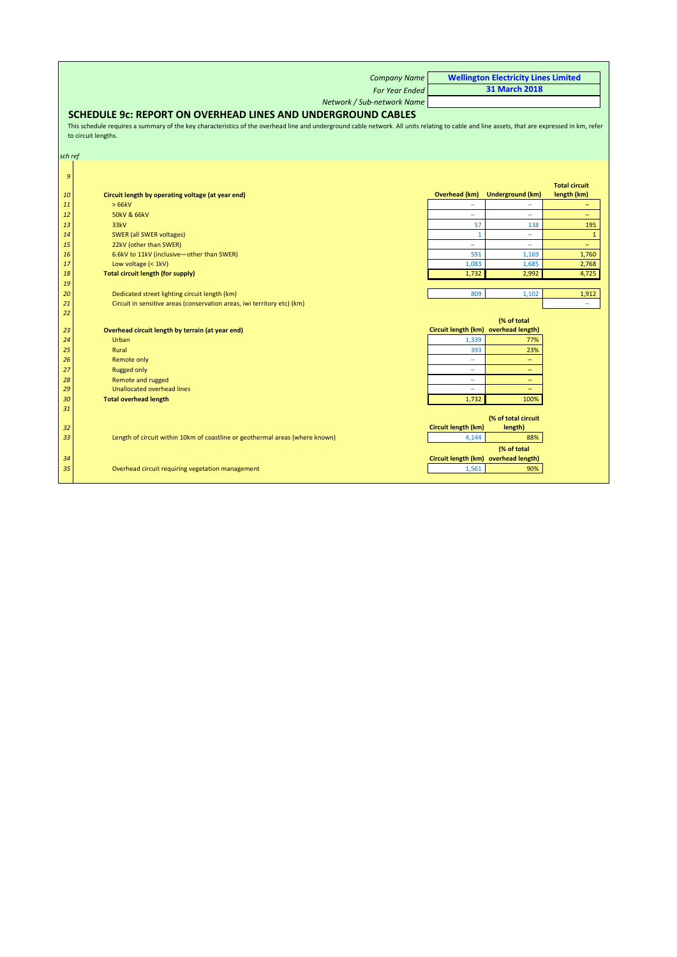|          | <b>Company Name</b>                                                                                                                                                                          |                                      | <b>Wellington Electricity Lines Limited</b> |                          |
|----------|----------------------------------------------------------------------------------------------------------------------------------------------------------------------------------------------|--------------------------------------|---------------------------------------------|--------------------------|
|          | <b>For Year Ended</b>                                                                                                                                                                        |                                      | <b>31 March 2018</b>                        |                          |
|          | Network / Sub-network Name                                                                                                                                                                   |                                      |                                             |                          |
|          | <b>SCHEDULE 9c: REPORT ON OVERHEAD LINES AND UNDERGROUND CABLES</b>                                                                                                                          |                                      |                                             |                          |
|          | This schedule requires a summary of the key characteristics of the overhead line and underground cable network. All units relating to cable and line assets, that are expressed in km, refer |                                      |                                             |                          |
|          | to circuit lengths.                                                                                                                                                                          |                                      |                                             |                          |
|          |                                                                                                                                                                                              |                                      |                                             |                          |
| sch ref  |                                                                                                                                                                                              |                                      |                                             |                          |
|          |                                                                                                                                                                                              |                                      |                                             |                          |
| 9        |                                                                                                                                                                                              |                                      |                                             |                          |
|          |                                                                                                                                                                                              |                                      |                                             | <b>Total circuit</b>     |
| 10       | Circuit length by operating voltage (at year end)                                                                                                                                            | <b>Overhead (km)</b>                 | <b>Underground (km)</b>                     | length (km)              |
| 11       | >66kV                                                                                                                                                                                        |                                      |                                             |                          |
| 12       | 50kV & 66kV<br>33kV                                                                                                                                                                          | $\overline{\phantom{a}}$<br>57       | $\overline{\phantom{a}}$                    | $\overline{\phantom{0}}$ |
| 13<br>14 | <b>SWER (all SWER voltages)</b>                                                                                                                                                              | $\mathbf{1}$                         | 138<br>÷,                                   | 195<br>$\mathbf{1}$      |
| 15       | 22kV (other than SWER)                                                                                                                                                                       | $\equiv$                             | $\equiv$                                    | $\overline{\phantom{0}}$ |
| 16       | 6.6kV to 11kV (inclusive-other than SWER)                                                                                                                                                    | 591                                  | 1,169                                       | 1,760                    |
| 17       | Low voltage (< 1kV)                                                                                                                                                                          | 1,083                                | 1,685                                       | 2,768                    |
| 18       | <b>Total circuit length (for supply)</b>                                                                                                                                                     | 1,732                                | 2,992                                       | 4,725                    |
| 19       |                                                                                                                                                                                              |                                      |                                             |                          |
| 20       | Dedicated street lighting circuit length (km)                                                                                                                                                | 809                                  | 1,102                                       | 1,912                    |
| 21       | Circuit in sensitive areas (conservation areas, iwi territory etc) (km)                                                                                                                      |                                      |                                             | $\overline{\phantom{m}}$ |
| 22       |                                                                                                                                                                                              |                                      |                                             |                          |
| 23       | Overhead circuit length by terrain (at year end)                                                                                                                                             | Circuit length (km) overhead length) | (% of total                                 |                          |
| 24       | Urban                                                                                                                                                                                        | 1,339                                | 77%                                         |                          |
| 25       | Rural                                                                                                                                                                                        | 393                                  | 23%                                         |                          |
| 26       | <b>Remote only</b>                                                                                                                                                                           | $\overline{\phantom{a}}$             | $\equiv$                                    |                          |
| 27       | <b>Rugged only</b>                                                                                                                                                                           | $\equiv$                             | $\overline{\phantom{0}}$                    |                          |
| 28       | <b>Remote and rugged</b>                                                                                                                                                                     | $\overline{\phantom{a}}$             | $-$                                         |                          |
| 29       | Unallocated overhead lines                                                                                                                                                                   | $\overline{\phantom{0}}$             | $\equiv$                                    |                          |
| 30       | <b>Total overhead length</b>                                                                                                                                                                 | 1,732                                | 100%                                        |                          |
| 31       |                                                                                                                                                                                              |                                      |                                             |                          |
|          |                                                                                                                                                                                              |                                      | (% of total circuit                         |                          |
| 32       |                                                                                                                                                                                              | Circuit length (km)                  | length)                                     |                          |
| 33       | Length of circuit within 10km of coastline or geothermal areas (where known)                                                                                                                 | 4.144                                | 88%                                         |                          |
|          |                                                                                                                                                                                              |                                      | (% of total                                 |                          |
| 34       |                                                                                                                                                                                              | Circuit length (km) overhead length) |                                             |                          |
| 35       | Overhead circuit requiring vegetation management                                                                                                                                             | 1,561                                | 90%                                         |                          |
|          |                                                                                                                                                                                              |                                      |                                             |                          |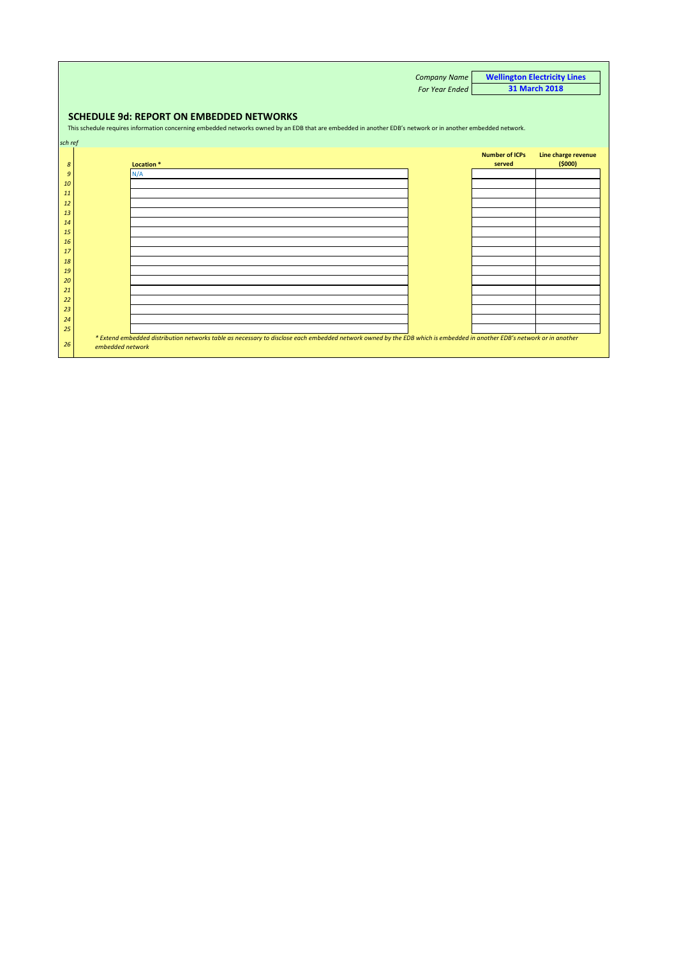|         |                                                 |                                                                                                                                                                        | <b>Company Name</b>   |                       | <b>Wellington Electricity Lines</b> |  |  |  |  |  |  |  |  |  |
|---------|-------------------------------------------------|------------------------------------------------------------------------------------------------------------------------------------------------------------------------|-----------------------|-----------------------|-------------------------------------|--|--|--|--|--|--|--|--|--|
|         |                                                 |                                                                                                                                                                        | <b>For Year Ended</b> |                       | 31 March 2018                       |  |  |  |  |  |  |  |  |  |
|         |                                                 |                                                                                                                                                                        |                       |                       |                                     |  |  |  |  |  |  |  |  |  |
|         |                                                 |                                                                                                                                                                        |                       |                       |                                     |  |  |  |  |  |  |  |  |  |
|         | <b>SCHEDULE 9d: REPORT ON EMBEDDED NETWORKS</b> |                                                                                                                                                                        |                       |                       |                                     |  |  |  |  |  |  |  |  |  |
|         |                                                 | This schedule requires information concerning embedded networks owned by an EDB that are embedded in another EDB's network or in another embedded network.             |                       |                       |                                     |  |  |  |  |  |  |  |  |  |
|         |                                                 |                                                                                                                                                                        |                       |                       |                                     |  |  |  |  |  |  |  |  |  |
| sch ref |                                                 |                                                                                                                                                                        |                       |                       |                                     |  |  |  |  |  |  |  |  |  |
|         |                                                 |                                                                                                                                                                        |                       | <b>Number of ICPs</b> | Line charge revenue                 |  |  |  |  |  |  |  |  |  |
| 8       |                                                 | Location <sup>*</sup>                                                                                                                                                  |                       | served                | (5000)                              |  |  |  |  |  |  |  |  |  |
| 9       | N/A                                             |                                                                                                                                                                        |                       |                       |                                     |  |  |  |  |  |  |  |  |  |
| 10      |                                                 |                                                                                                                                                                        |                       |                       |                                     |  |  |  |  |  |  |  |  |  |
| 11      |                                                 |                                                                                                                                                                        |                       |                       |                                     |  |  |  |  |  |  |  |  |  |
| 12      |                                                 |                                                                                                                                                                        |                       |                       |                                     |  |  |  |  |  |  |  |  |  |
| 13      |                                                 |                                                                                                                                                                        |                       |                       |                                     |  |  |  |  |  |  |  |  |  |
| 14      |                                                 |                                                                                                                                                                        |                       |                       |                                     |  |  |  |  |  |  |  |  |  |
| 15      |                                                 |                                                                                                                                                                        |                       |                       |                                     |  |  |  |  |  |  |  |  |  |
| 16      |                                                 |                                                                                                                                                                        |                       |                       |                                     |  |  |  |  |  |  |  |  |  |
| 17      |                                                 |                                                                                                                                                                        |                       |                       |                                     |  |  |  |  |  |  |  |  |  |
| 18      |                                                 |                                                                                                                                                                        |                       |                       |                                     |  |  |  |  |  |  |  |  |  |
| 19      |                                                 |                                                                                                                                                                        |                       |                       |                                     |  |  |  |  |  |  |  |  |  |
| 20      |                                                 |                                                                                                                                                                        |                       |                       |                                     |  |  |  |  |  |  |  |  |  |
| 21      |                                                 |                                                                                                                                                                        |                       |                       |                                     |  |  |  |  |  |  |  |  |  |
| 22      |                                                 |                                                                                                                                                                        |                       |                       |                                     |  |  |  |  |  |  |  |  |  |
| 23      |                                                 |                                                                                                                                                                        |                       |                       |                                     |  |  |  |  |  |  |  |  |  |
| 24      |                                                 |                                                                                                                                                                        |                       |                       |                                     |  |  |  |  |  |  |  |  |  |
| 25      |                                                 |                                                                                                                                                                        |                       |                       |                                     |  |  |  |  |  |  |  |  |  |
|         |                                                 | * Extend embedded distribution networks table as necessary to disclose each embedded network owned by the EDB which is embedded in another EDB's network or in another |                       |                       |                                     |  |  |  |  |  |  |  |  |  |
| 26      | embedded network                                |                                                                                                                                                                        |                       |                       |                                     |  |  |  |  |  |  |  |  |  |
|         |                                                 |                                                                                                                                                                        |                       |                       |                                     |  |  |  |  |  |  |  |  |  |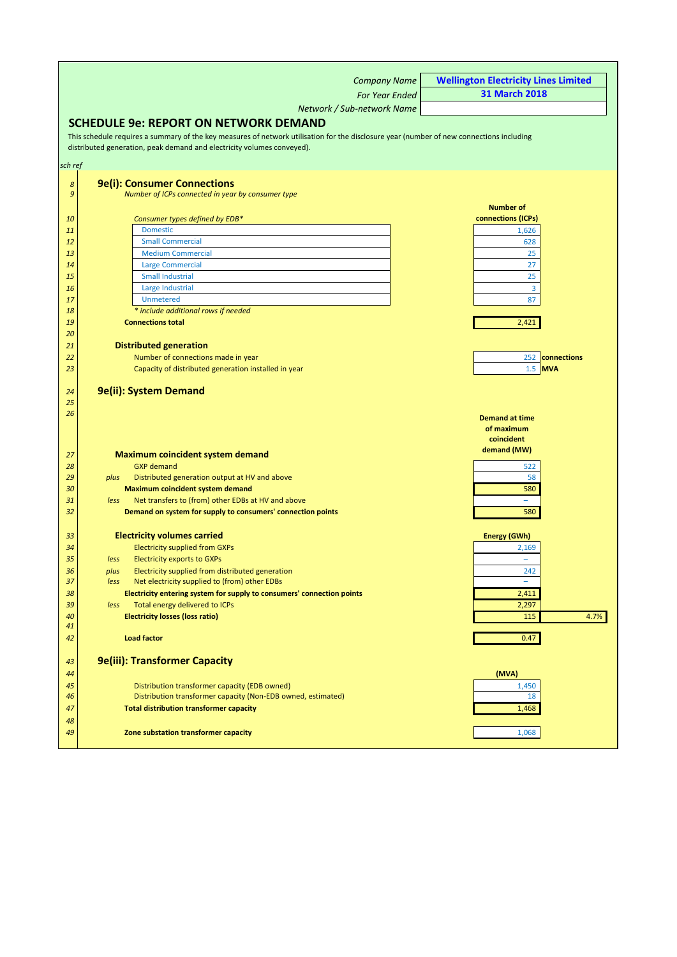<span id="page-29-0"></span>

|                | <b>Company Name</b>                                                                                                                      | <b>Wellington Electricity Lines Limited</b> |
|----------------|------------------------------------------------------------------------------------------------------------------------------------------|---------------------------------------------|
|                | <b>For Year Ended</b>                                                                                                                    | <b>31 March 2018</b>                        |
|                | Network / Sub-network Name                                                                                                               |                                             |
|                | <b>SCHEDULE 9e: REPORT ON NETWORK DEMAND</b>                                                                                             |                                             |
|                | This schedule requires a summary of the key measures of network utilisation for the disclosure year (number of new connections including |                                             |
|                | distributed generation, peak demand and electricity volumes conveyed).                                                                   |                                             |
|                |                                                                                                                                          |                                             |
| sch ref        |                                                                                                                                          |                                             |
| $\pmb{8}$      | <b>9e(i): Consumer Connections</b>                                                                                                       |                                             |
| $\mathfrak{g}$ | Number of ICPs connected in year by consumer type                                                                                        |                                             |
|                |                                                                                                                                          | <b>Number of</b>                            |
| 10             | Consumer types defined by EDB*                                                                                                           | connections (ICPs)                          |
| 11<br>12       | <b>Domestic</b><br><b>Small Commercial</b>                                                                                               | 1,626<br>628                                |
| 13             | <b>Medium Commercial</b>                                                                                                                 | 25                                          |
| 14             | <b>Large Commercial</b>                                                                                                                  | 27                                          |
| 15             | <b>Small Industrial</b>                                                                                                                  | 25                                          |
| 16             | Large Industrial                                                                                                                         | 3                                           |
| 17             | <b>Unmetered</b>                                                                                                                         | 87                                          |
| 18             | * include additional rows if needed                                                                                                      |                                             |
| 19             | <b>Connections total</b>                                                                                                                 | 2,421                                       |
| 20<br>21       | <b>Distributed generation</b>                                                                                                            |                                             |
| 22             | Number of connections made in year                                                                                                       | 252<br>connections                          |
| 23             | Capacity of distributed generation installed in year                                                                                     | $1.5$ MVA                                   |
|                |                                                                                                                                          |                                             |
| 24             | 9e(ii): System Demand                                                                                                                    |                                             |
| 25             |                                                                                                                                          |                                             |
| 26             |                                                                                                                                          | <b>Demand at time</b>                       |
|                |                                                                                                                                          | of maximum                                  |
|                |                                                                                                                                          | coincident<br>demand (MW)                   |
| 27             | <b>Maximum coincident system demand</b>                                                                                                  |                                             |
| 28             | <b>GXP</b> demand                                                                                                                        | 522                                         |
| 29<br>30       | Distributed generation output at HV and above<br>plus<br>Maximum coincident system demand                                                | 58<br>580                                   |
| 31             | Net transfers to (from) other EDBs at HV and above<br>less                                                                               |                                             |
| 32             | Demand on system for supply to consumers' connection points                                                                              | 580                                         |
|                |                                                                                                                                          |                                             |
| 33             | <b>Electricity volumes carried</b>                                                                                                       | <b>Energy (GWh)</b>                         |
| 34             | <b>Electricity supplied from GXPs</b>                                                                                                    | 2,169                                       |
| 35             | <b>Electricity exports to GXPs</b><br>less                                                                                               | $\overline{\phantom{m}}$                    |
| 36             | Electricity supplied from distributed generation<br>plus                                                                                 | 242                                         |
| 37<br>38       | Net electricity supplied to (from) other EDBs<br>less<br>Electricity entering system for supply to consumers' connection points          | 2,411                                       |
| 39             | Total energy delivered to ICPs<br>less                                                                                                   | 2,297                                       |
| 40             | <b>Electricity losses (loss ratio)</b>                                                                                                   | 115<br>4.7%                                 |
| 41             |                                                                                                                                          |                                             |
| 42             | <b>Load factor</b>                                                                                                                       | 0.47                                        |
|                |                                                                                                                                          |                                             |
| 43             | <b>9e(iii): Transformer Capacity</b>                                                                                                     |                                             |
| 44             |                                                                                                                                          | (MVA)                                       |
| 45             | Distribution transformer capacity (EDB owned)<br>Distribution transformer capacity (Non-EDB owned, estimated)                            | 1,450<br>18                                 |
| 46<br>47       | <b>Total distribution transformer capacity</b>                                                                                           | 1,468                                       |
| 48             |                                                                                                                                          |                                             |
| 49             | Zone substation transformer capacity                                                                                                     | 1,068                                       |
|                |                                                                                                                                          |                                             |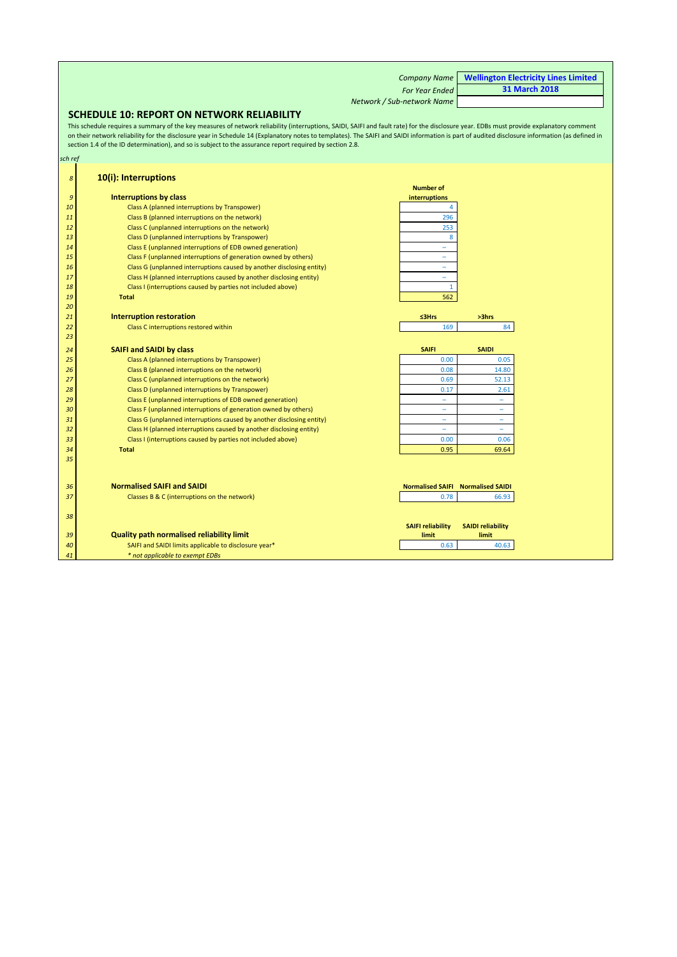|         |                                                                                                                                                                                                                                                                                                                                                                                                                                                                                                       | <b>Company Name</b>        |                          | <b>Wellington Electricity Lines Limited</b> |
|---------|-------------------------------------------------------------------------------------------------------------------------------------------------------------------------------------------------------------------------------------------------------------------------------------------------------------------------------------------------------------------------------------------------------------------------------------------------------------------------------------------------------|----------------------------|--------------------------|---------------------------------------------|
|         |                                                                                                                                                                                                                                                                                                                                                                                                                                                                                                       |                            |                          | <b>31 March 2018</b>                        |
|         |                                                                                                                                                                                                                                                                                                                                                                                                                                                                                                       | <b>For Year Ended</b>      |                          |                                             |
|         |                                                                                                                                                                                                                                                                                                                                                                                                                                                                                                       | Network / Sub-network Name |                          |                                             |
|         | <b>SCHEDULE 10: REPORT ON NETWORK RELIABILITY</b>                                                                                                                                                                                                                                                                                                                                                                                                                                                     |                            |                          |                                             |
|         | This schedule requires a summary of the key measures of network reliability (interruptions, SAIDI, SAIFI and fault rate) for the disclosure year. EDBs must provide explanatory comment<br>on their network reliability for the disclosure year in Schedule 14 (Explanatory notes to templates). The SAIFI and SAIDI information is part of audited disclosure information (as defined in<br>section 1.4 of the ID determination), and so is subject to the assurance report required by section 2.8. |                            |                          |                                             |
| sch ref |                                                                                                                                                                                                                                                                                                                                                                                                                                                                                                       |                            |                          |                                             |
| 8       | 10(i): Interruptions                                                                                                                                                                                                                                                                                                                                                                                                                                                                                  | <b>Number of</b>           |                          |                                             |
| 9       | <b>Interruptions by class</b>                                                                                                                                                                                                                                                                                                                                                                                                                                                                         | interruptions              |                          |                                             |
| 10      | Class A (planned interruptions by Transpower)                                                                                                                                                                                                                                                                                                                                                                                                                                                         | $\overline{4}$             |                          |                                             |
| 11      | Class B (planned interruptions on the network)                                                                                                                                                                                                                                                                                                                                                                                                                                                        | 296                        |                          |                                             |
| 12      | Class C (unplanned interruptions on the network)                                                                                                                                                                                                                                                                                                                                                                                                                                                      | 253                        |                          |                                             |
| 13      | Class D (unplanned interruptions by Transpower)                                                                                                                                                                                                                                                                                                                                                                                                                                                       | 8                          |                          |                                             |
| 14      | Class E (unplanned interruptions of EDB owned generation)                                                                                                                                                                                                                                                                                                                                                                                                                                             | Ξ                          |                          |                                             |
| 15      | Class F (unplanned interruptions of generation owned by others)                                                                                                                                                                                                                                                                                                                                                                                                                                       | ÷                          |                          |                                             |
| 16      | Class G (unplanned interruptions caused by another disclosing entity)                                                                                                                                                                                                                                                                                                                                                                                                                                 | Ξ                          |                          |                                             |
| 17      | Class H (planned interruptions caused by another disclosing entity)                                                                                                                                                                                                                                                                                                                                                                                                                                   | ÷,                         |                          |                                             |
| 18      | Class I (interruptions caused by parties not included above)                                                                                                                                                                                                                                                                                                                                                                                                                                          | $\mathbf{1}$               |                          |                                             |
| 19      | <b>Total</b>                                                                                                                                                                                                                                                                                                                                                                                                                                                                                          | 562                        |                          |                                             |
| 20      |                                                                                                                                                                                                                                                                                                                                                                                                                                                                                                       |                            |                          |                                             |
| 21      | <b>Interruption restoration</b>                                                                                                                                                                                                                                                                                                                                                                                                                                                                       | ≤3Hrs                      | >3hrs                    |                                             |
| 22      | Class C interruptions restored within                                                                                                                                                                                                                                                                                                                                                                                                                                                                 | 169                        | 84                       |                                             |
| 23      |                                                                                                                                                                                                                                                                                                                                                                                                                                                                                                       |                            |                          |                                             |
| 24      | <b>SAIFI and SAIDI by class</b>                                                                                                                                                                                                                                                                                                                                                                                                                                                                       | <b>SAIFI</b>               | <b>SAIDI</b>             |                                             |
| 25      | Class A (planned interruptions by Transpower)                                                                                                                                                                                                                                                                                                                                                                                                                                                         | 0.00                       | 0.05                     |                                             |
| 26      | Class B (planned interruptions on the network)                                                                                                                                                                                                                                                                                                                                                                                                                                                        | 0.08                       | 14.80                    |                                             |
| 27      | Class C (unplanned interruptions on the network)                                                                                                                                                                                                                                                                                                                                                                                                                                                      | 0.69                       | 52.13                    |                                             |
| 28      | Class D (unplanned interruptions by Transpower)                                                                                                                                                                                                                                                                                                                                                                                                                                                       | 0.17                       | 2.61                     |                                             |
| 29      | Class E (unplanned interruptions of EDB owned generation)                                                                                                                                                                                                                                                                                                                                                                                                                                             | $\overline{\phantom{0}}$   | ۳                        |                                             |
| 30      | Class F (unplanned interruptions of generation owned by others)                                                                                                                                                                                                                                                                                                                                                                                                                                       | ۰                          | -                        |                                             |
| 31      | Class G (unplanned interruptions caused by another disclosing entity)                                                                                                                                                                                                                                                                                                                                                                                                                                 |                            | ۳                        |                                             |
| 32      | Class H (planned interruptions caused by another disclosing entity)                                                                                                                                                                                                                                                                                                                                                                                                                                   | $\overline{\phantom{0}}$   | ۳                        |                                             |
| 33      | Class I (interruptions caused by parties not included above)                                                                                                                                                                                                                                                                                                                                                                                                                                          | 0.00                       | 0.06                     |                                             |
| 34      | <b>Total</b>                                                                                                                                                                                                                                                                                                                                                                                                                                                                                          | 0.95                       | 69.64                    |                                             |
| 35      |                                                                                                                                                                                                                                                                                                                                                                                                                                                                                                       |                            |                          |                                             |
|         |                                                                                                                                                                                                                                                                                                                                                                                                                                                                                                       |                            |                          |                                             |
|         |                                                                                                                                                                                                                                                                                                                                                                                                                                                                                                       |                            |                          |                                             |
| 36      | <b>Normalised SAIFI and SAIDI</b>                                                                                                                                                                                                                                                                                                                                                                                                                                                                     | <b>Normalised SAIFI</b>    | <b>Normalised SAIDI</b>  |                                             |
| 37      | Classes B & C (interruptions on the network)                                                                                                                                                                                                                                                                                                                                                                                                                                                          | 0.78                       | 66.93                    |                                             |
|         |                                                                                                                                                                                                                                                                                                                                                                                                                                                                                                       |                            |                          |                                             |
| 38      |                                                                                                                                                                                                                                                                                                                                                                                                                                                                                                       |                            |                          |                                             |
|         |                                                                                                                                                                                                                                                                                                                                                                                                                                                                                                       | <b>SAIFI reliability</b>   | <b>SAIDI reliability</b> |                                             |
| 39      | <b>Quality path normalised reliability limit</b>                                                                                                                                                                                                                                                                                                                                                                                                                                                      | limit                      | limit                    |                                             |
| 40      | SAIFI and SAIDI limits applicable to disclosure year*                                                                                                                                                                                                                                                                                                                                                                                                                                                 | 0.63                       | 40.63                    |                                             |
| 41      | * not applicable to exempt EDBs                                                                                                                                                                                                                                                                                                                                                                                                                                                                       |                            |                          |                                             |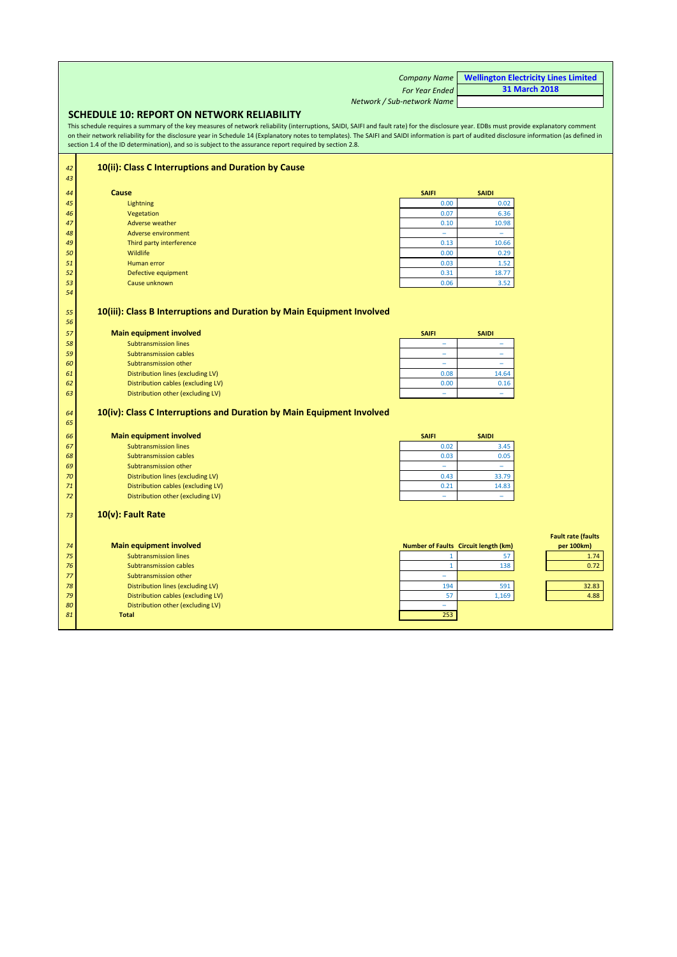<span id="page-31-0"></span>

|                                                                                                                                                                                                                                                                                                                                                                                                                                                                                                       | <b>Company Name</b>        | <b>Wellington Electricity Lines Limited</b> |  |  |
|-------------------------------------------------------------------------------------------------------------------------------------------------------------------------------------------------------------------------------------------------------------------------------------------------------------------------------------------------------------------------------------------------------------------------------------------------------------------------------------------------------|----------------------------|---------------------------------------------|--|--|
|                                                                                                                                                                                                                                                                                                                                                                                                                                                                                                       | <b>For Year Ended</b>      | <b>31 March 2018</b>                        |  |  |
|                                                                                                                                                                                                                                                                                                                                                                                                                                                                                                       | Network / Sub-network Name |                                             |  |  |
| <b>SCHEDULE 10: REPORT ON NETWORK RELIABILITY</b>                                                                                                                                                                                                                                                                                                                                                                                                                                                     |                            |                                             |  |  |
| This schedule requires a summary of the key measures of network reliability (interruptions, SAIDI, SAIFI and fault rate) for the disclosure year. EDBs must provide explanatory comment<br>on their network reliability for the disclosure year in Schedule 14 (Explanatory notes to templates). The SAIFI and SAIDI information is part of audited disclosure information (as defined in<br>section 1.4 of the ID determination), and so is subject to the assurance report required by section 2.8. |                            |                                             |  |  |
| 10(ii): Class C Interruptions and Duration by Cause<br>42                                                                                                                                                                                                                                                                                                                                                                                                                                             |                            |                                             |  |  |

| 43 |                          |              |              |
|----|--------------------------|--------------|--------------|
| 44 | Cause                    | <b>SAIFI</b> | <b>SAIDI</b> |
| 45 | Lightning                | 0.00         | 0.02         |
| 46 | Vegetation               | 0.07         | 6.36         |
| 47 | Adverse weather          | 0.10         | 10.98        |
| 48 | Adverse environment      | -            | -            |
| 49 | Third party interference | 0.13         | 10.66        |
| 50 | Wildlife                 | 0.00         | 0.29         |
| 51 | Human error              | 0.03         | 1.52         |
| 52 | Defective equipment      | 0.31         | 18.77        |
| 53 | Cause unknown            | 0.06         | 3.52         |
| 54 |                          |              |              |

### **10(iii): Class B Interruptions and Duration by Main Equipment Involved**

| 57 | Main equipment involved            | <b>SAIFI</b> | <b>SAIDI</b> |
|----|------------------------------------|--------------|--------------|
| 58 | <b>Subtransmission lines</b>       | -            |              |
| 59 | <b>Subtransmission cables</b>      | -            |              |
| 60 | Subtransmission other              | -            |              |
| 61 | Distribution lines (excluding LV)  | 0.08         | 14.64        |
| 62 | Distribution cables (excluding LV) | 0.00         | 0.16         |
| 63 | Distribution other (excluding LV)  |              |              |
|    |                                    |              |              |

### **10(iv): Class C Interruptions and Duration by Main Equipment Involved**

| 64<br>65 | 10(iv): Class C Interruptions and Duration by Main Equipment Involved |                          |                                             |                                         |
|----------|-----------------------------------------------------------------------|--------------------------|---------------------------------------------|-----------------------------------------|
| 66       | <b>Main equipment involved</b>                                        | <b>SAIFI</b>             | <b>SAIDI</b>                                |                                         |
| 67       | <b>Subtransmission lines</b>                                          | 0.02                     | 3.45                                        |                                         |
| 68       | <b>Subtransmission cables</b>                                         | 0.03                     | 0.05                                        |                                         |
| 69       | Subtransmission other                                                 | $\overline{\phantom{0}}$ | $\overline{\phantom{a}}$                    |                                         |
| 70       | Distribution lines (excluding LV)                                     | 0.43                     | 33.79                                       |                                         |
| 71       | Distribution cables (excluding LV)                                    | 0.21                     | 14.83                                       |                                         |
| 72       | Distribution other (excluding LV)                                     | $\qquad \qquad$          | $\overline{\phantom{m}}$                    |                                         |
| 73       | $10(v)$ : Fault Rate                                                  |                          |                                             |                                         |
|          |                                                                       |                          |                                             |                                         |
| 74       | <b>Main equipment involved</b>                                        |                          | <b>Number of Faults Circuit length (km)</b> | <b>Fault rate (faults</b><br>per 100km) |
| 75       | <b>Subtransmission lines</b>                                          |                          | 57                                          | 1.74                                    |
| 76       | <b>Subtransmission cables</b>                                         |                          | 138                                         | 0.72                                    |
| 77       | Subtransmission other                                                 | ۰                        |                                             |                                         |
| 78       | Distribution lines (excluding LV)                                     | 194                      | 591                                         | 32.83                                   |
| 79       | Distribution cables (excluding LV)                                    | 57                       | 1,169                                       | 4.88                                    |
| 80       | Distribution other (excluding LV)                                     | $\overline{\phantom{a}}$ |                                             |                                         |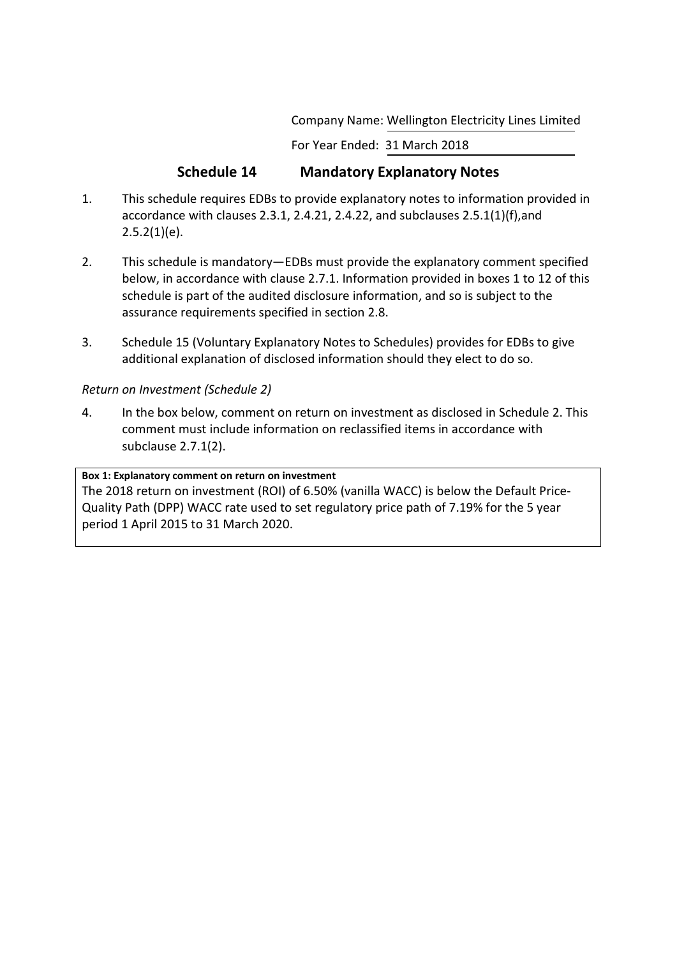Company Name: Wellington Electricity Lines Limited

For Year Ended: 31 March 2018

# **Schedule 14 Mandatory Explanatory Notes**

- 1. This schedule requires EDBs to provide explanatory notes to information provided in accordance with clauses 2.3.1, 2.4.21, 2.4.22, and subclauses 2.5.1(1)(f),and  $2.5.2(1)(e)$ .
- 2. This schedule is mandatory—EDBs must provide the explanatory comment specified below, in accordance with clause 2.7.1. Information provided in boxes 1 to 12 of this schedule is part of the audited disclosure information, and so is subject to the assurance requirements specified in section 2.8.
- 3. Schedule 15 (Voluntary Explanatory Notes to Schedules) provides for EDBs to give additional explanation of disclosed information should they elect to do so.

# *Return on Investment (Schedule 2)*

4. In the box below, comment on return on investment as disclosed in Schedule 2. This comment must include information on reclassified items in accordance with subclause 2.7.1(2).

# **Box 1: Explanatory comment on return on investment**

The 2018 return on investment (ROI) of 6.50% (vanilla WACC) is below the Default Price-Quality Path (DPP) WACC rate used to set regulatory price path of 7.19% for the 5 year period 1 April 2015 to 31 March 2020.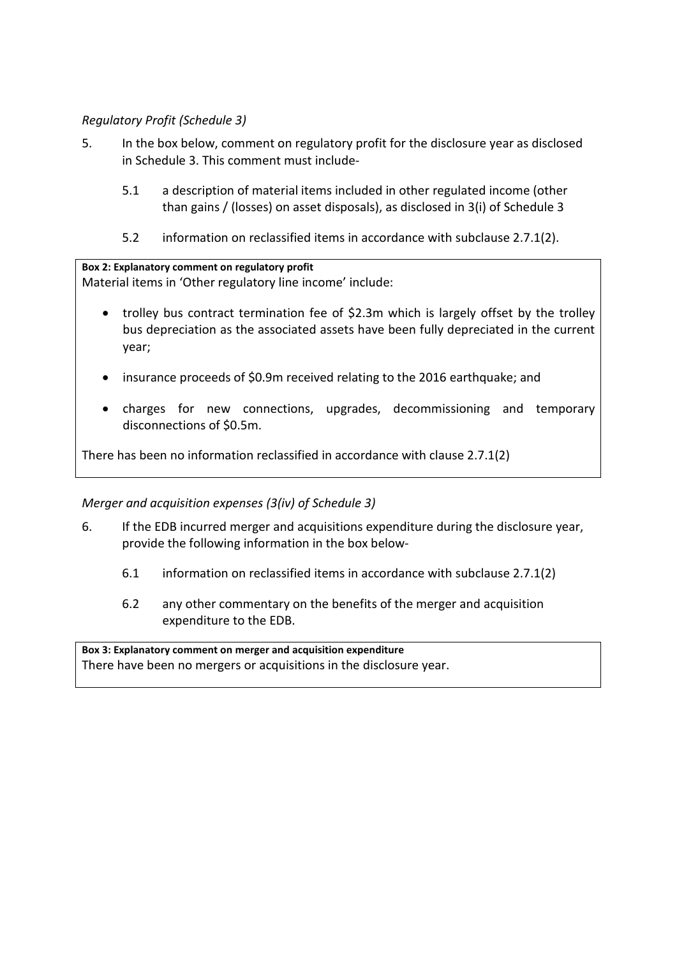# *Regulatory Profit (Schedule 3)*

- 5. In the box below, comment on regulatory profit for the disclosure year as disclosed in Schedule 3. This comment must include-
	- 5.1 a description of material items included in other regulated income (other than gains / (losses) on asset disposals), as disclosed in 3(i) of Schedule 3
	- 5.2 information on reclassified items in accordance with subclause 2.7.1(2).

**Box 2: Explanatory comment on regulatory profit** Material items in 'Other regulatory line income' include:

- trolley bus contract termination fee of \$2.3m which is largely offset by the trolley bus depreciation as the associated assets have been fully depreciated in the current year;
- insurance proceeds of \$0.9m received relating to the 2016 earthquake; and
- charges for new connections, upgrades, decommissioning and temporary disconnections of \$0.5m.

There has been no information reclassified in accordance with clause 2.7.1(2)

# *Merger and acquisition expenses (3(iv) of Schedule 3)*

- 6. If the EDB incurred merger and acquisitions expenditure during the disclosure year, provide the following information in the box below-
	- 6.1 information on reclassified items in accordance with subclause 2.7.1(2)
	- 6.2 any other commentary on the benefits of the merger and acquisition expenditure to the EDB.

**Box 3: Explanatory comment on merger and acquisition expenditure** There have been no mergers or acquisitions in the disclosure year.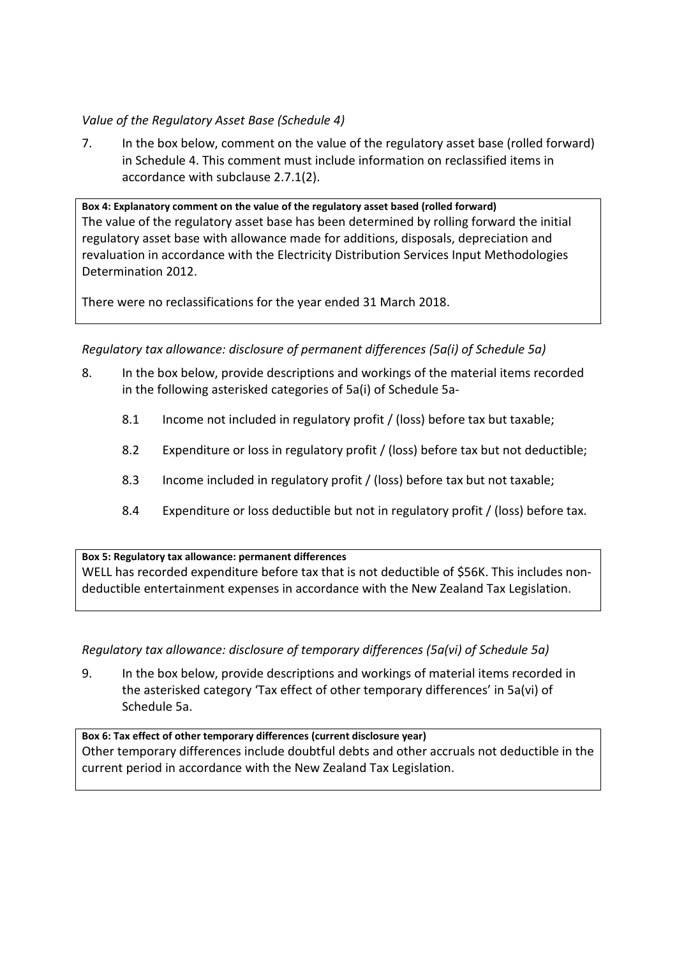# *Value of the Regulatory Asset Base (Schedule 4)*

7. In the box below, comment on the value of the regulatory asset base (rolled forward) in Schedule 4. This comment must include information on reclassified items in accordance with subclause 2.7.1(2).

**Box 4: Explanatory comment on the value of the regulatory asset based (rolled forward)** The value of the regulatory asset base has been determined by rolling forward the initial regulatory asset base with allowance made for additions, disposals, depreciation and revaluation in accordance with the Electricity Distribution Services Input Methodologies Determination 2012.

There were no reclassifications for the year ended 31 March 2018.

*Regulatory tax allowance: disclosure of permanent differences (5a(i) of Schedule 5a)*

- 8. In the box below, provide descriptions and workings of the material items recorded in the following asterisked categories of 5a(i) of Schedule 5a-
	- 8.1 Income not included in regulatory profit / (loss) before tax but taxable;
	- 8.2 Expenditure or loss in regulatory profit / (loss) before tax but not deductible;
	- 8.3 Income included in regulatory profit / (loss) before tax but not taxable;
	- 8.4 Expenditure or loss deductible but not in regulatory profit / (loss) before tax.

**Box 5: Regulatory tax allowance: permanent differences**

WELL has recorded expenditure before tax that is not deductible of \$56K. This includes nondeductible entertainment expenses in accordance with the New Zealand Tax Legislation.

*Regulatory tax allowance: disclosure of temporary differences (5a(vi) of Schedule 5a)*

9. In the box below, provide descriptions and workings of material items recorded in the asterisked category 'Tax effect of other temporary differences' in 5a(vi) of Schedule 5a.

**Box 6: Tax effect of other temporary differences (current disclosure year)** Other temporary differences include doubtful debts and other accruals not deductible in the current period in accordance with the New Zealand Tax Legislation.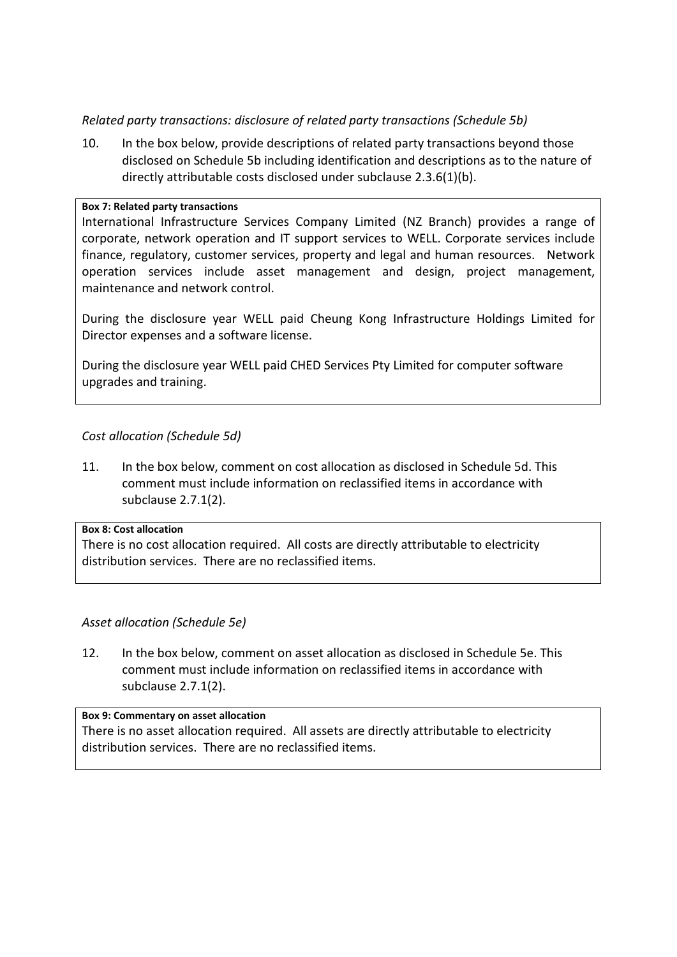# *Related party transactions: disclosure of related party transactions (Schedule 5b)*

10. In the box below, provide descriptions of related party transactions beyond those disclosed on Schedule 5b including identification and descriptions as to the nature of directly attributable costs disclosed under subclause 2.3.6(1)(b).

## **Box 7: Related party transactions**

International Infrastructure Services Company Limited (NZ Branch) provides a range of corporate, network operation and IT support services to WELL. Corporate services include finance, regulatory, customer services, property and legal and human resources. Network operation services include asset management and design, project management, maintenance and network control.

During the disclosure year WELL paid Cheung Kong Infrastructure Holdings Limited for Director expenses and a software license.

During the disclosure year WELL paid CHED Services Pty Limited for computer software upgrades and training.

# *Cost allocation (Schedule 5d)*

11. In the box below, comment on cost allocation as disclosed in Schedule 5d. This comment must include information on reclassified items in accordance with subclause 2.7.1(2).

## **Box 8: Cost allocation**

There is no cost allocation required. All costs are directly attributable to electricity distribution services. There are no reclassified items.

# *Asset allocation (Schedule 5e)*

12. In the box below, comment on asset allocation as disclosed in Schedule 5e. This comment must include information on reclassified items in accordance with subclause 2.7.1(2).

# **Box 9: Commentary on asset allocation**

There is no asset allocation required. All assets are directly attributable to electricity distribution services. There are no reclassified items.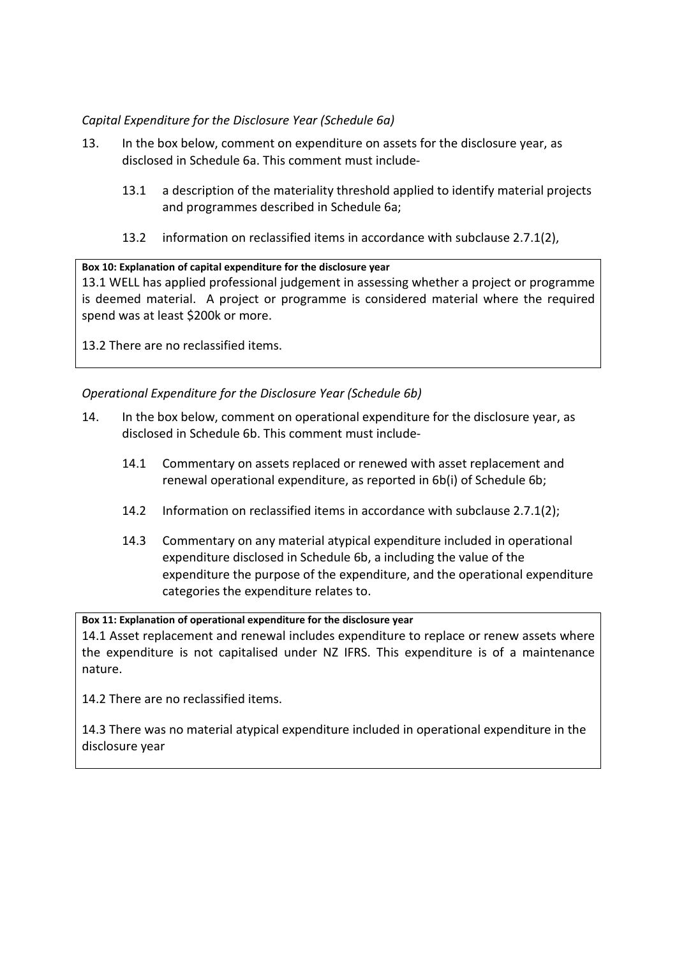# *Capital Expenditure for the Disclosure Year (Schedule 6a)*

- 13. In the box below, comment on expenditure on assets for the disclosure year, as disclosed in Schedule 6a. This comment must include-
	- 13.1 a description of the materiality threshold applied to identify material projects and programmes described in Schedule 6a;
	- 13.2 information on reclassified items in accordance with subclause 2.7.1(2),

## **Box 10: Explanation of capital expenditure for the disclosure year**

13.1 WELL has applied professional judgement in assessing whether a project or programme is deemed material. A project or programme is considered material where the required spend was at least \$200k or more.

13.2 There are no reclassified items.

# *Operational Expenditure for the Disclosure Year (Schedule 6b)*

- 14. In the box below, comment on operational expenditure for the disclosure year, as disclosed in Schedule 6b. This comment must include-
	- 14.1 Commentary on assets replaced or renewed with asset replacement and renewal operational expenditure, as reported in 6b(i) of Schedule 6b;
	- 14.2 Information on reclassified items in accordance with subclause 2.7.1(2);
	- 14.3 Commentary on any material atypical expenditure included in operational expenditure disclosed in Schedule 6b, a including the value of the expenditure the purpose of the expenditure, and the operational expenditure categories the expenditure relates to.

**Box 11: Explanation of operational expenditure for the disclosure year** 14.1 Asset replacement and renewal includes expenditure to replace or renew assets where the expenditure is not capitalised under NZ IFRS. This expenditure is of a maintenance nature.

14.2 There are no reclassified items.

14.3 There was no material atypical expenditure included in operational expenditure in the disclosure year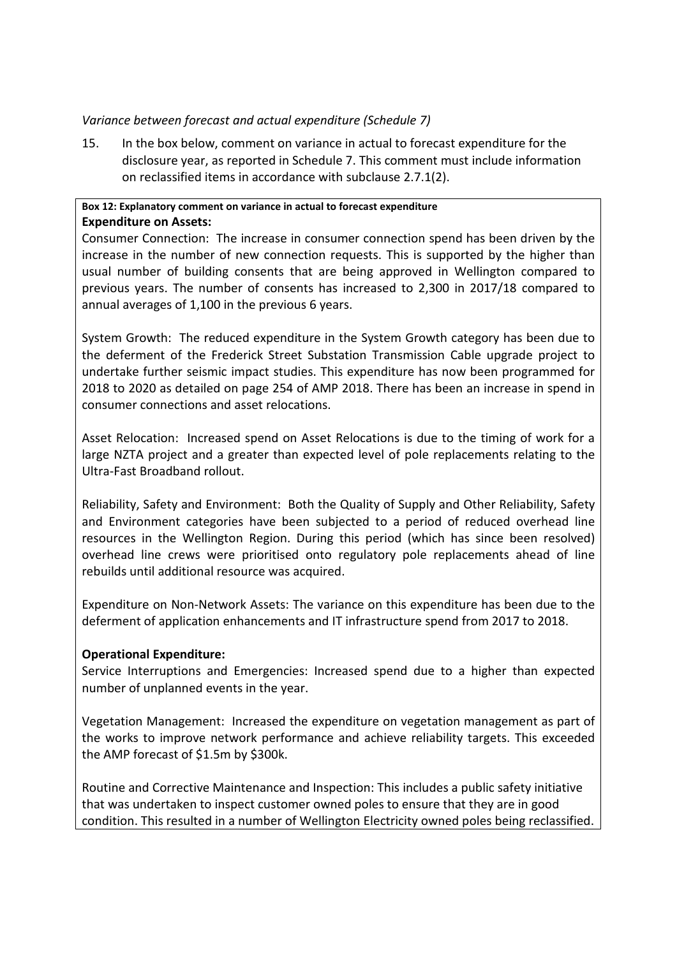# *Variance between forecast and actual expenditure (Schedule 7)*

15. In the box below, comment on variance in actual to forecast expenditure for the disclosure year, as reported in Schedule 7. This comment must include information on reclassified items in accordance with subclause 2.7.1(2).

# **Box 12: Explanatory comment on variance in actual to forecast expenditure Expenditure on Assets:**

Consumer Connection: The increase in consumer connection spend has been driven by the increase in the number of new connection requests. This is supported by the higher than usual number of building consents that are being approved in Wellington compared to previous years. The number of consents has increased to 2,300 in 2017/18 compared to annual averages of 1,100 in the previous 6 years.

System Growth: The reduced expenditure in the System Growth category has been due to the deferment of the Frederick Street Substation Transmission Cable upgrade project to undertake further seismic impact studies. This expenditure has now been programmed for 2018 to 2020 as detailed on page 254 of AMP 2018. There has been an increase in spend in consumer connections and asset relocations.

Asset Relocation: Increased spend on Asset Relocations is due to the timing of work for a large NZTA project and a greater than expected level of pole replacements relating to the Ultra-Fast Broadband rollout.

Reliability, Safety and Environment: Both the Quality of Supply and Other Reliability, Safety and Environment categories have been subjected to a period of reduced overhead line resources in the Wellington Region. During this period (which has since been resolved) overhead line crews were prioritised onto regulatory pole replacements ahead of line rebuilds until additional resource was acquired.

Expenditure on Non-Network Assets: The variance on this expenditure has been due to the deferment of application enhancements and IT infrastructure spend from 2017 to 2018.

# **Operational Expenditure:**

Service Interruptions and Emergencies: Increased spend due to a higher than expected number of unplanned events in the year.

Vegetation Management: Increased the expenditure on vegetation management as part of the works to improve network performance and achieve reliability targets. This exceeded the AMP forecast of \$1.5m by \$300k.

Routine and Corrective Maintenance and Inspection: This includes a public safety initiative that was undertaken to inspect customer owned poles to ensure that they are in good condition. This resulted in a number of Wellington Electricity owned poles being reclassified.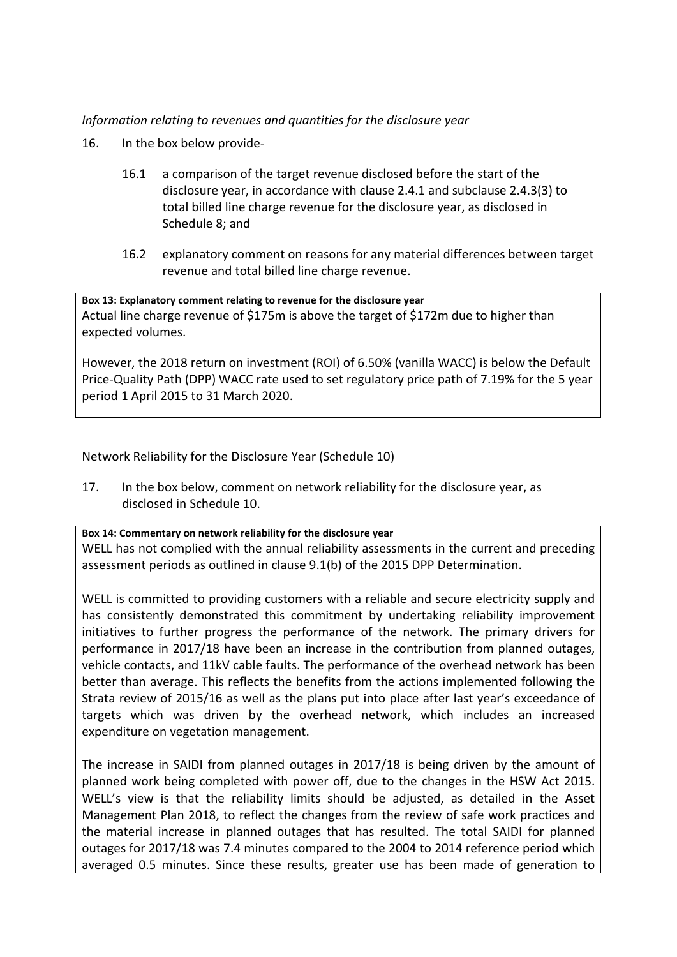# *Information relating to revenues and quantities for the disclosure year*

- 16. In the box below provide-
	- 16.1 a comparison of the target revenue disclosed before the start of the disclosure year, in accordance with clause 2.4.1 and subclause 2.4.3(3) to total billed line charge revenue for the disclosure year, as disclosed in Schedule 8; and
	- 16.2 explanatory comment on reasons for any material differences between target revenue and total billed line charge revenue.

**Box 13: Explanatory comment relating to revenue for the disclosure year** Actual line charge revenue of \$175m is above the target of \$172m due to higher than expected volumes.

However, the 2018 return on investment (ROI) of 6.50% (vanilla WACC) is below the Default Price-Quality Path (DPP) WACC rate used to set regulatory price path of 7.19% for the 5 year period 1 April 2015 to 31 March 2020.

Network Reliability for the Disclosure Year (Schedule 10)

17. In the box below, comment on network reliability for the disclosure year, as disclosed in Schedule 10.

**Box 14: Commentary on network reliability for the disclosure year** WELL has not complied with the annual reliability assessments in the current and preceding assessment periods as outlined in clause 9.1(b) of the 2015 DPP Determination.

WELL is committed to providing customers with a reliable and secure electricity supply and has consistently demonstrated this commitment by undertaking reliability improvement initiatives to further progress the performance of the network. The primary drivers for performance in 2017/18 have been an increase in the contribution from planned outages, vehicle contacts, and 11kV cable faults. The performance of the overhead network has been better than average. This reflects the benefits from the actions implemented following the Strata review of 2015/16 as well as the plans put into place after last year's exceedance of targets which was driven by the overhead network, which includes an increased expenditure on vegetation management.

The increase in SAIDI from planned outages in 2017/18 is being driven by the amount of planned work being completed with power off, due to the changes in the HSW Act 2015. WELL's view is that the reliability limits should be adjusted, as detailed in the Asset Management Plan 2018, to reflect the changes from the review of safe work practices and the material increase in planned outages that has resulted. The total SAIDI for planned outages for 2017/18 was 7.4 minutes compared to the 2004 to 2014 reference period which averaged 0.5 minutes. Since these results, greater use has been made of generation to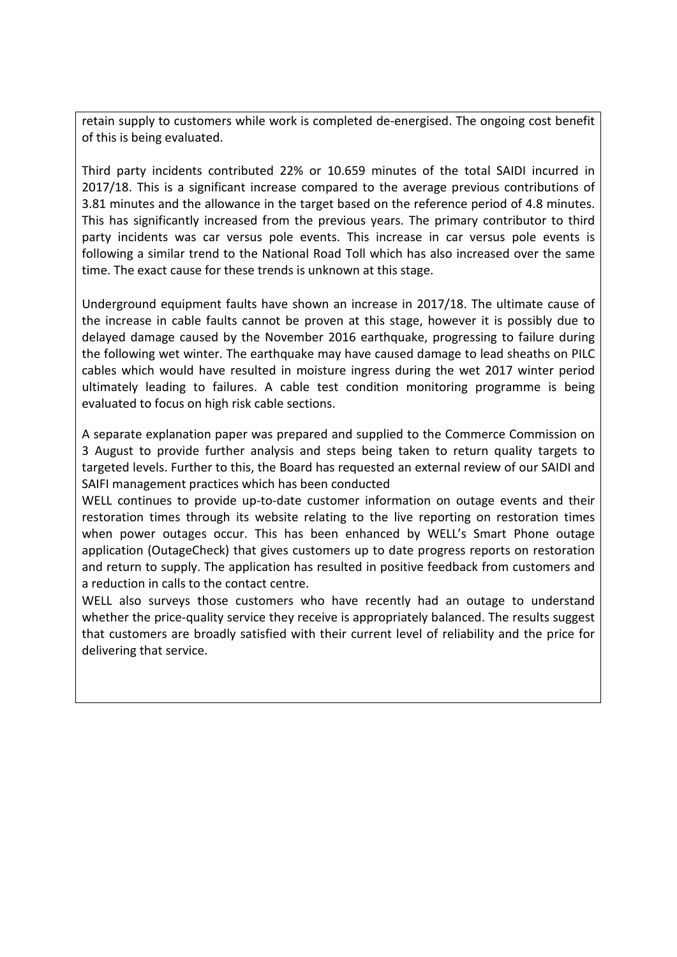retain supply to customers while work is completed de-energised. The ongoing cost benefit of this is being evaluated.

Third party incidents contributed 22% or 10.659 minutes of the total SAIDI incurred in 2017/18. This is a significant increase compared to the average previous contributions of 3.81 minutes and the allowance in the target based on the reference period of 4.8 minutes. This has significantly increased from the previous years. The primary contributor to third party incidents was car versus pole events. This increase in car versus pole events is following a similar trend to the National Road Toll which has also increased over the same time. The exact cause for these trends is unknown at this stage.

Underground equipment faults have shown an increase in 2017/18. The ultimate cause of the increase in cable faults cannot be proven at this stage, however it is possibly due to delayed damage caused by the November 2016 earthquake, progressing to failure during the following wet winter. The earthquake may have caused damage to lead sheaths on PILC cables which would have resulted in moisture ingress during the wet 2017 winter period ultimately leading to failures. A cable test condition monitoring programme is being evaluated to focus on high risk cable sections.

A separate explanation paper was prepared and supplied to the Commerce Commission on 3 August to provide further analysis and steps being taken to return quality targets to targeted levels. Further to this, the Board has requested an external review of our SAIDI and SAIFI management practices which has been conducted

WELL continues to provide up-to-date customer information on outage events and their restoration times through its website relating to the live reporting on restoration times when power outages occur. This has been enhanced by WELL's Smart Phone outage application (OutageCheck) that gives customers up to date progress reports on restoration and return to supply. The application has resulted in positive feedback from customers and a reduction in calls to the contact centre.

WELL also surveys those customers who have recently had an outage to understand whether the price-quality service they receive is appropriately balanced. The results suggest that customers are broadly satisfied with their current level of reliability and the price for delivering that service.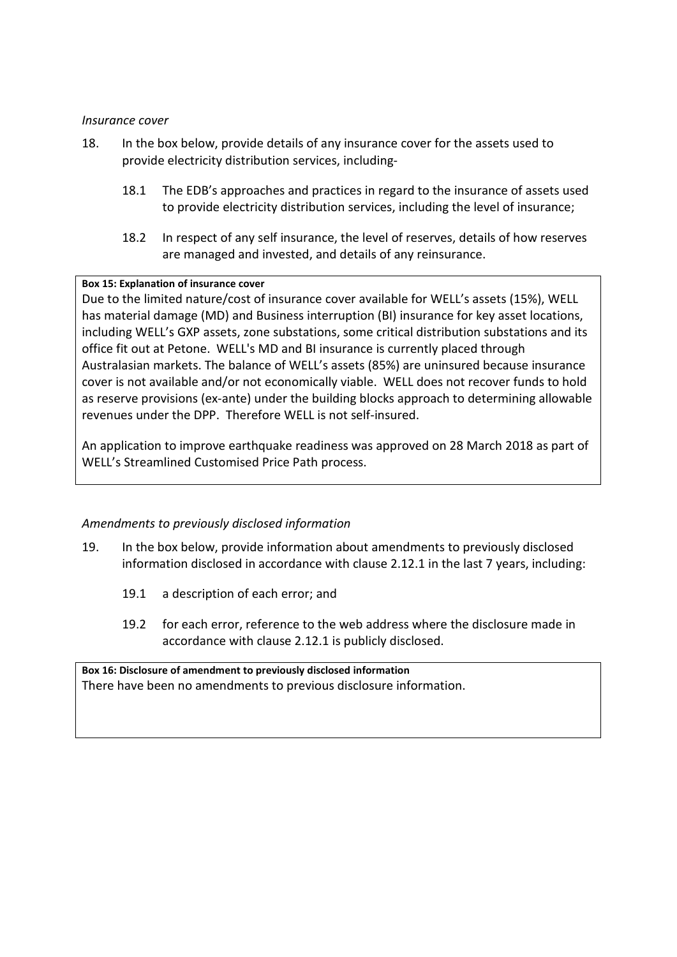# *Insurance cover*

- 18. In the box below, provide details of any insurance cover for the assets used to provide electricity distribution services, including-
	- 18.1 The EDB's approaches and practices in regard to the insurance of assets used to provide electricity distribution services, including the level of insurance;
	- 18.2 In respect of any self insurance, the level of reserves, details of how reserves are managed and invested, and details of any reinsurance.

## **Box 15: Explanation of insurance cover**

Due to the limited nature/cost of insurance cover available for WELL's assets (15%), WELL has material damage (MD) and Business interruption (BI) insurance for key asset locations, including WELL's GXP assets, zone substations, some critical distribution substations and its office fit out at Petone. WELL's MD and BI insurance is currently placed through Australasian markets. The balance of WELL's assets (85%) are uninsured because insurance cover is not available and/or not economically viable. WELL does not recover funds to hold as reserve provisions (ex-ante) under the building blocks approach to determining allowable revenues under the DPP. Therefore WELL is not self-insured.

An application to improve earthquake readiness was approved on 28 March 2018 as part of WELL's Streamlined Customised Price Path process.

# *Amendments to previously disclosed information*

- 19. In the box below, provide information about amendments to previously disclosed information disclosed in accordance with clause 2.12.1 in the last 7 years, including:
	- 19.1 a description of each error; and
	- 19.2 for each error, reference to the web address where the disclosure made in accordance with clause 2.12.1 is publicly disclosed.

**Box 16: Disclosure of amendment to previously disclosed information** There have been no amendments to previous disclosure information.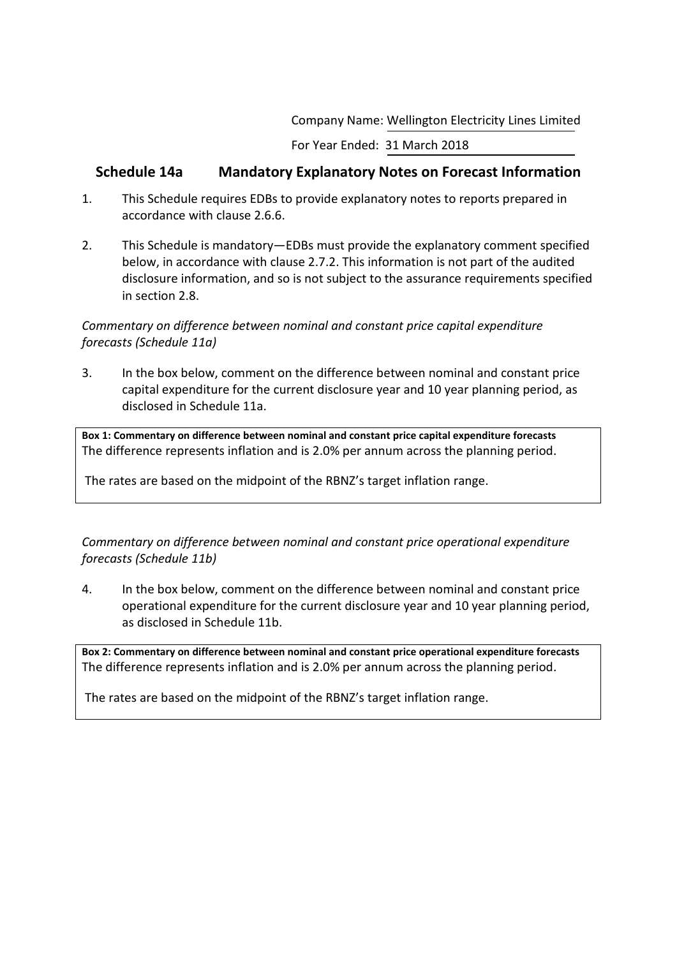Company Name: Wellington Electricity Lines Limited

For Year Ended: 31 March 2018

# **Schedule 14a Mandatory Explanatory Notes on Forecast Information**

- 1. This Schedule requires EDBs to provide explanatory notes to reports prepared in accordance with clause 2.6.6.
- 2. This Schedule is mandatory—EDBs must provide the explanatory comment specified below, in accordance with clause 2.7.2. This information is not part of the audited disclosure information, and so is not subject to the assurance requirements specified in section 2.8.

# *Commentary on difference between nominal and constant price capital expenditure forecasts (Schedule 11a)*

3. In the box below, comment on the difference between nominal and constant price capital expenditure for the current disclosure year and 10 year planning period, as disclosed in Schedule 11a.

**Box 1: Commentary on difference between nominal and constant price capital expenditure forecasts** The difference represents inflation and is 2.0% per annum across the planning period.

The rates are based on the midpoint of the RBNZ's target inflation range.

*Commentary on difference between nominal and constant price operational expenditure forecasts (Schedule 11b)*

4. In the box below, comment on the difference between nominal and constant price operational expenditure for the current disclosure year and 10 year planning period, as disclosed in Schedule 11b.

**Box 2: Commentary on difference between nominal and constant price operational expenditure forecasts** The difference represents inflation and is 2.0% per annum across the planning period.

The rates are based on the midpoint of the RBNZ's target inflation range.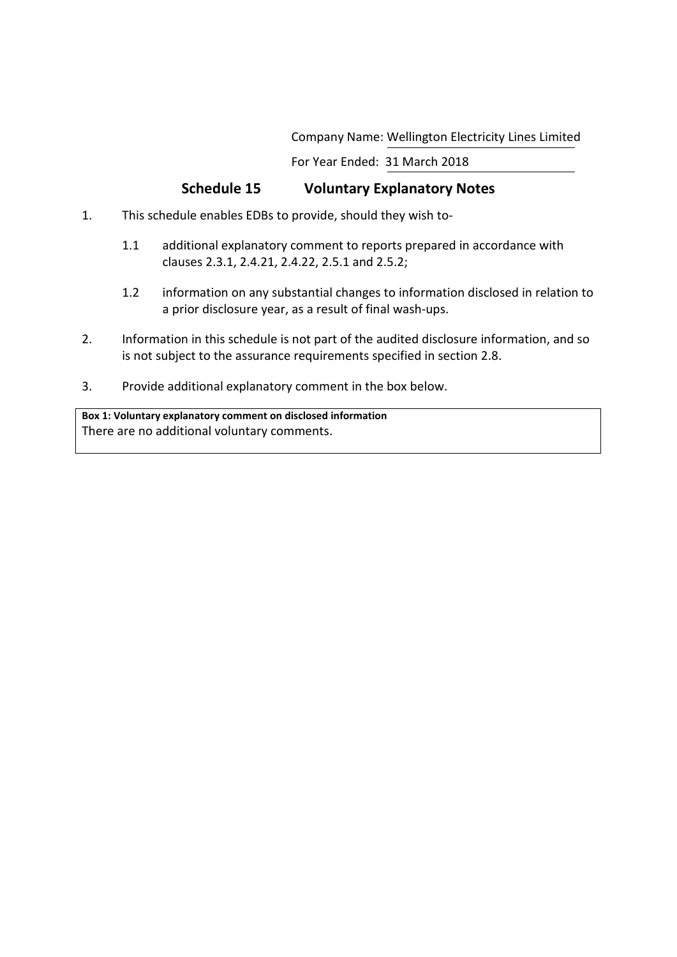Company Name: Wellington Electricity Lines Limited

For Year Ended: 31 March 2018

# **Schedule 15 Voluntary Explanatory Notes**

- 1. This schedule enables EDBs to provide, should they wish to-
	- 1.1 additional explanatory comment to reports prepared in accordance with clauses 2.3.1, 2.4.21, 2.4.22, 2.5.1 and 2.5.2;
	- 1.2 information on any substantial changes to information disclosed in relation to a prior disclosure year, as a result of final wash-ups.
- 2. Information in this schedule is not part of the audited disclosure information, and so is not subject to the assurance requirements specified in section 2.8.
- 3. Provide additional explanatory comment in the box below.

**Box 1: Voluntary explanatory comment on disclosed information** There are no additional voluntary comments.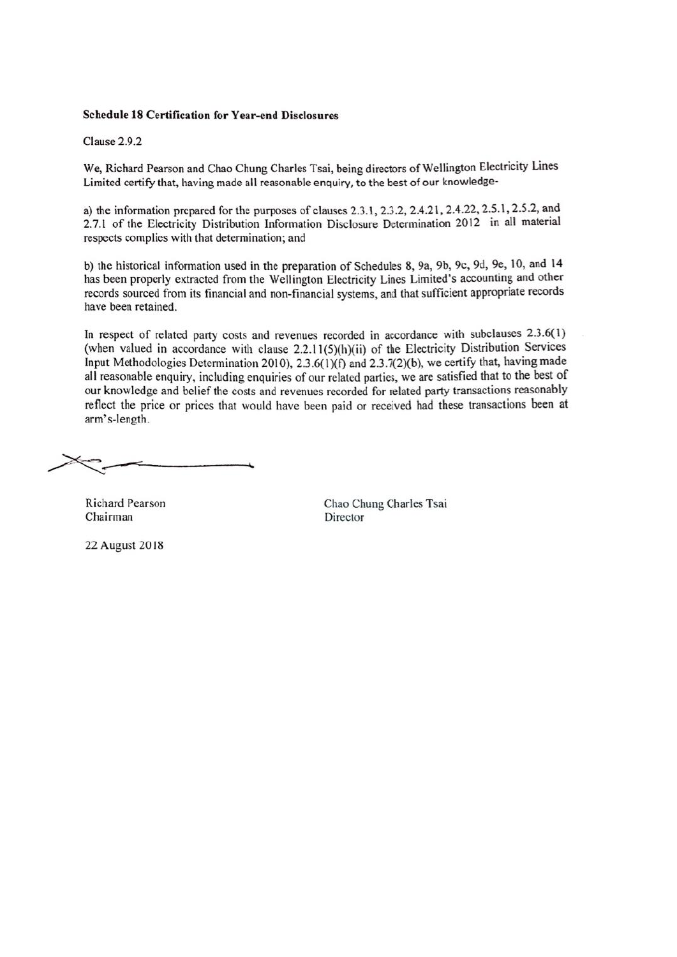#### **Schedule 18 Certification for Year-end Disclosures**

Clause 2.9.2

We, Richard Pearson and Chao Chung Charles Tsai, being directors of Wellington Electricity Lines Limited certify that, having made all reasonable enquiry, to the best of our knowledge-

a) the information prepared for the purposes of clauses 2.3.1, 2.3.2, 2.4.21, 2.4.22, 2.5.1, 2.5.2, and 2.7.1 of the Electricity Distribution Information Disclosure Determination 2012 in all material respects complies with that determination; and

b) the historical information used in the preparation of Schedules 8, 9a, 9b, 9c, 9d, 9e, 10, and 14 has been properly extracted from the Wellington Electricity Lines Limited's accounting and other records sourced from its financial and non-financial systems, and that sufficient appropriate records have been retained.

In respect of related party costs and revenues recorded in accordance with subclauses 2.3.6(1) (when valued in accordance with clause 2.2.11(5)(h)(ii) of the Electricity Distribution Services Input Methodologies Determination 2010), 2.3.6(1)(f) and 2.3.7(2)(b), we certify that, having made all reasonable enquiry, including enquiries of our related parties, we are satisfied that to the best of our knowledge and belief the costs and revenues recorded for related party transactions reasonably reflect the price or prices that would have been paid or received had these transactions been at arm's-length.

Richard Pearson Chairman

Chao Chung Charles Tsai Director

22 August 2018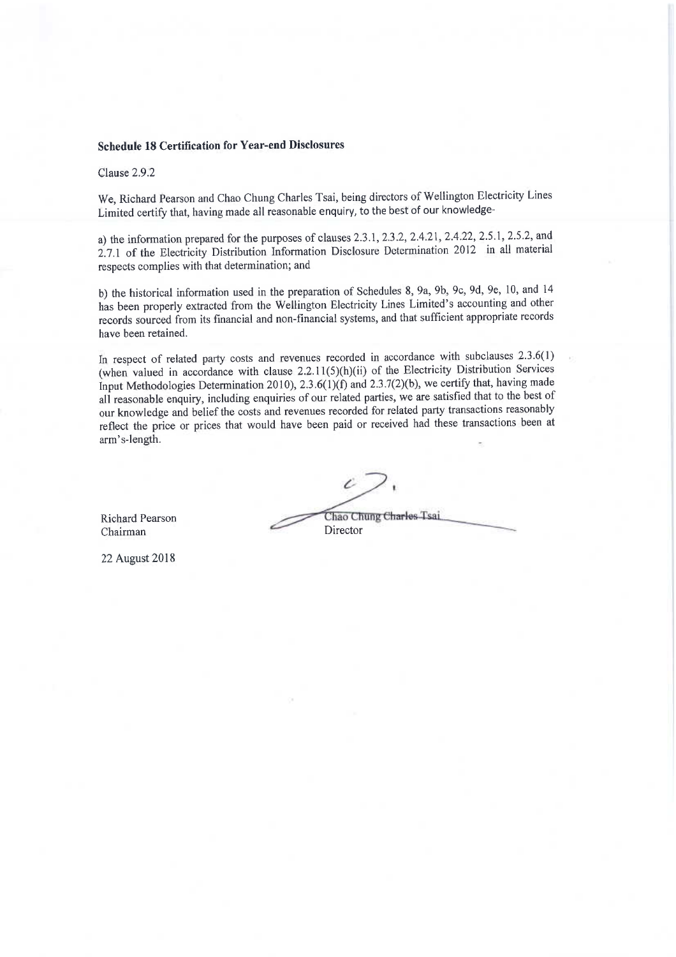# **Schedule 18 Certification for Year-end Disclosures**

Clause 2.9.2

We, Richard Pearson and Chao Chung Charles Tsai, being directors of Wellington Electricity Lines Limited certify that, having made all reasonable enquiry, to the best of our knowledge-

a) the information prepared for the purposes of clauses 2.3.1, 2.3.2, 2.4.21, 2.4.22, 2.5.1, 2.5.2, and 2.7.1 of the Electricity Distribution Information Disclosure Determination 2012 in all material respects complies with that determination; and

b) the historical information used in the preparation of Schedules 8, 9a, 9b, 9c, 9d, 9e, 10, and 14 has been properly extracted from the Wellington Electricity Lines Limited's accounting and other records sourced from its financial and non-financial systems, and that sufficient appropriate records have been retained.

In respect of related party costs and revenues recorded in accordance with subclauses 2.3.6(1) (when valued in accordance with clause 2.2.11(5)(h)(ii) of the Electricity Distribution Services Input Methodologies Determination 2010), 2.3.6(1)(f) and 2.3.7(2)(b), we certify that, having made all reasonable enquiry, including enquiries of our related parties, we are satisfied that to the best of our knowledge and belief the costs and revenues recorded for related party transactions reasonably reflect the price or prices that would have been paid or received had these transactions been at arm's-length.

**Richard Pearson** Chairman

22 August 2018

Chao Chung Charles Tsai Director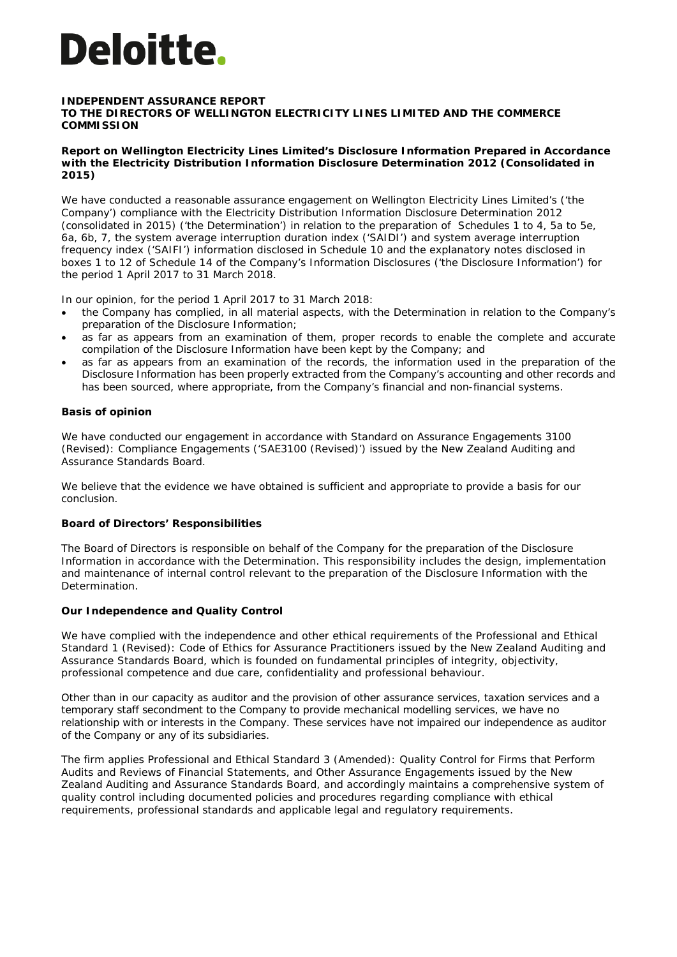# **Deloitte**.

### **INDEPENDENT ASSURANCE REPORT**

**TO THE DIRECTORS OF WELLINGTON ELECTRICITY LINES LIMITED AND THE COMMERCE COMMISSION**

#### **Report on Wellington Electricity Lines Limited's Disclosure Information Prepared in Accordance with the Electricity Distribution Information Disclosure Determination 2012 (Consolidated in 2015)**

We have conducted a reasonable assurance engagement on Wellington Electricity Lines Limited's ('the Company') compliance with the Electricity Distribution Information Disclosure Determination 2012 (consolidated in 2015) ('the Determination') in relation to the preparation of Schedules 1 to 4, 5a to 5e, 6a, 6b, 7, the system average interruption duration index ('SAIDI') and system average interruption frequency index ('SAIFI') information disclosed in Schedule 10 and the explanatory notes disclosed in boxes 1 to 12 of Schedule 14 of the Company's Information Disclosures ('the Disclosure Information') for the period 1 April 2017 to 31 March 2018.

In our opinion, for the period 1 April 2017 to 31 March 2018:

- the Company has complied, in all material aspects, with the Determination in relation to the Company's preparation of the Disclosure Information;
- as far as appears from an examination of them, proper records to enable the complete and accurate compilation of the Disclosure Information have been kept by the Company; and
- as far as appears from an examination of the records, the information used in the preparation of the Disclosure Information has been properly extracted from the Company's accounting and other records and has been sourced, where appropriate, from the Company's financial and non-financial systems.

## **Basis of opinion**

We have conducted our engagement in accordance with Standard on Assurance Engagements 3100 (Revised): *Compliance Engagements* ('SAE3100 (Revised)') issued by the New Zealand Auditing and Assurance Standards Board.

We believe that the evidence we have obtained is sufficient and appropriate to provide a basis for our conclusion.

## **Board of Directors' Responsibilities**

The Board of Directors is responsible on behalf of the Company for the preparation of the Disclosure Information in accordance with the Determination. This responsibility includes the design, implementation and maintenance of internal control relevant to the preparation of the Disclosure Information with the Determination.

## **Our Independence and Quality Control**

We have complied with the independence and other ethical requirements of the Professional and Ethical Standard 1 (Revised): *Code of Ethics for Assurance Practitioners* issued by the New Zealand Auditing and Assurance Standards Board, which is founded on fundamental principles of integrity, objectivity, professional competence and due care, confidentiality and professional behaviour.

Other than in our capacity as auditor and the provision of other assurance services, taxation services and a temporary staff secondment to the Company to provide mechanical modelling services, we have no relationship with or interests in the Company. These services have not impaired our independence as auditor of the Company or any of its subsidiaries.

The firm applies Professional and Ethical Standard 3 (Amended): *Quality Control for Firms that Perform*  Audits and Reviews of Financial Statements, and Other Assurance Engagements issued by the New Zealand Auditing and Assurance Standards Board*,* and accordingly maintains a comprehensive system of quality control including documented policies and procedures regarding compliance with ethical requirements, professional standards and applicable legal and regulatory requirements.